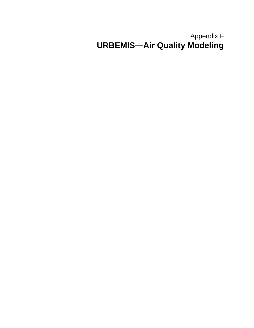# Appendix F **URBEMIS—Air Quality Modeling**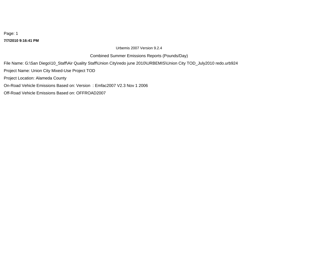### **7/7/2010 9:16:41 PM**

Urbemis 2007 Version 9.2.4

Combined Summer Emissions Reports (Pounds/Day)

File Name: G:\San Diego\10\_Staff\Air Quality Staff\Union City\redo june 2010\URBEMIS\Union City TOD\_July2010 redo.urb924

Project Name: Union City Mixed-Use Project TOD

Project Location: Alameda County

On-Road Vehicle Emissions Based on: Version : Emfac2007 V2.3 Nov 1 2006

Off-Road Vehicle Emissions Based on: OFFROAD2007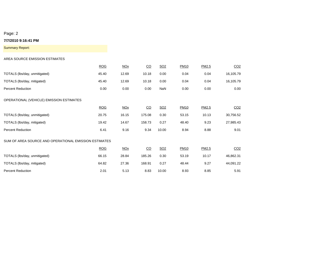### **7/7/2010 9:16:41 PM**

Summary Report:

### AREA SOURCE EMISSION ESTIMATES

|                                                       | <b>ROG</b> | $NOx$      | CO        | SO <sub>2</sub> | <b>PM10</b> | PM2.5 | CO <sub>2</sub> |
|-------------------------------------------------------|------------|------------|-----------|-----------------|-------------|-------|-----------------|
| TOTALS (lbs/day, unmitigated)                         | 45.40      | 12.69      | 10.18     | 0.00            | 0.04        | 0.04  | 16,105.79       |
| TOTALS (lbs/day, mitigated)                           | 45.40      | 12.69      | 10.18     | 0.00            | 0.04        | 0.04  | 16,105.79       |
| <b>Percent Reduction</b>                              | 0.00       | 0.00       | 0.00      | NaN             | 0.00        | 0.00  | 0.00            |
| OPERATIONAL (VEHICLE) EMISSION ESTIMATES              |            |            |           |                 |             |       |                 |
|                                                       | <b>ROG</b> | $NOx$      | CO        | SO <sub>2</sub> | <b>PM10</b> | PM2.5 | CO <sub>2</sub> |
| TOTALS (lbs/day, unmitigated)                         | 20.75      | 16.15      | 175.08    | 0.30            | 53.15       | 10.13 | 30,756.52       |
| TOTALS (lbs/day, mitigated)                           | 19.42      | 14.67      | 158.73    | 0.27            | 48.40       | 9.23  | 27,985.43       |
| <b>Percent Reduction</b>                              | 6.41       | 9.16       | 9.34      | 10.00           | 8.94        | 8.88  | 9.01            |
| SUM OF AREA SOURCE AND OPERATIONAL EMISSION ESTIMATES |            |            |           |                 |             |       |                 |
|                                                       | <b>ROG</b> | <b>NOx</b> | <u>CO</u> | SO <sub>2</sub> | <b>PM10</b> | PM2.5 | CO <sub>2</sub> |
| TOTALS (lbs/day, unmitigated)                         | 66.15      | 28.84      | 185.26    | 0.30            | 53.19       | 10.17 | 46,862.31       |
| TOTALS (lbs/day, mitigated)                           | 64.82      | 27.36      | 168.91    | 0.27            | 48.44       | 9.27  | 44,091.22       |
| <b>Percent Reduction</b>                              | 2.01       | 5.13       | 8.83      | 10.00           | 8.93        | 8.85  | 5.91            |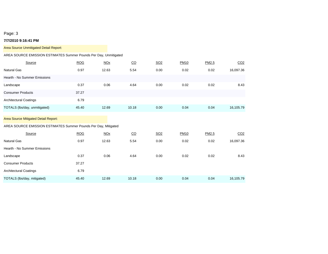### **7/7/2010 9:16:41 PM**

| Area Source Unmitigated Detail Report:                            |            |            |       |            |             |       |                 |
|-------------------------------------------------------------------|------------|------------|-------|------------|-------------|-------|-----------------|
| AREA SOURCE EMISSION ESTIMATES Summer Pounds Per Day, Unmitigated |            |            |       |            |             |       |                 |
| Source                                                            | <b>ROG</b> | <b>NOx</b> | CO    | <b>SO2</b> | <b>PM10</b> | PM2.5 | CO <sub>2</sub> |
| <b>Natural Gas</b>                                                | 0.97       | 12.63      | 5.54  | 0.00       | 0.02        | 0.02  | 16,097.36       |
| Hearth - No Summer Emissions                                      |            |            |       |            |             |       |                 |
| Landscape                                                         | 0.37       | 0.06       | 4.64  | 0.00       | 0.02        | 0.02  | 8.43            |
| <b>Consumer Products</b>                                          | 37.27      |            |       |            |             |       |                 |
| <b>Architectural Coatings</b>                                     | 6.79       |            |       |            |             |       |                 |
| TOTALS (lbs/day, unmitigated)                                     | 45.40      | 12.69      | 10.18 | 0.00       | 0.04        | 0.04  | 16,105.79       |
| Area Source Mitigated Detail Report:                              |            |            |       |            |             |       |                 |
| AREA SOURCE EMISSION ESTIMATES Summer Pounds Per Day, Mitigated   |            |            |       |            |             |       |                 |
| Source                                                            | <b>ROG</b> | <b>NOx</b> | CO    | <b>SO2</b> | <b>PM10</b> | PM2.5 | CO <sub>2</sub> |
| <b>Natural Gas</b>                                                | 0.97       | 12.63      | 5.54  | 0.00       | 0.02        | 0.02  | 16,097.36       |
| Hearth - No Summer Emissions                                      |            |            |       |            |             |       |                 |
| Landscape                                                         | 0.37       | 0.06       | 4.64  | 0.00       | 0.02        | 0.02  | 8.43            |
| <b>Consumer Products</b>                                          | 37.27      |            |       |            |             |       |                 |
| <b>Architectural Coatings</b>                                     | 6.79       |            |       |            |             |       |                 |
| TOTALS (lbs/day, mitigated)                                       | 45.40      | 12.69      | 10.18 | 0.00       | 0.04        | 0.04  | 16,105.79       |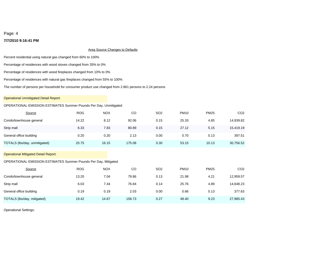### **7/7/2010 9:16:41 PM**

### Area Source Changes to Defaults

Percent residential using natural gas changed from 60% to 100%

Percentage of residences with wood stoves changed from 35% to 0%

Percentage of residences with wood fireplaces changed from 10% to 0%

Percentage of residences with natural gas fireplaces changed from 55% to 100%

The number of persons per household for consumer product use changed from 2.861 persons to 2.24 persons

### Operational Unmitigated Detail Report:

### OPERATIONAL EMISSION ESTIMATES Summer Pounds Per Day, Unmitigated

| Source                                                          | <b>ROG</b> | <b>NOX</b> | CO     | SO <sub>2</sub> | <b>PM10</b> | <b>PM25</b> | CO <sub>2</sub> |
|-----------------------------------------------------------------|------------|------------|--------|-----------------|-------------|-------------|-----------------|
| Condo/townhouse general                                         | 14.22      | 8.12       | 92.06  | 0.15            | 25.33       | 4.85        | 14,939.82       |
| Strip mall                                                      | 6.33       | 7.83       | 80.89  | 0.15            | 27.12       | 5.15        | 15,419.19       |
| General office building                                         | 0.20       | 0.20       | 2.13   | 0.00            | 0.70        | 0.13        | 397.51          |
| TOTALS (lbs/day, unmitigated)                                   | 20.75      | 16.15      | 175.08 | 0.30            | 53.15       | 10.13       | 30,756.52       |
| <b>Operational Mitigated Detail Report:</b>                     |            |            |        |                 |             |             |                 |
| OPERATIONAL EMISSION ESTIMATES Summer Pounds Per Day, Mitigated |            |            |        |                 |             |             |                 |
| Source                                                          | <b>ROG</b> | <b>NOX</b> | CO     | SO <sub>2</sub> | <b>PM10</b> | <b>PM25</b> | CO <sub>2</sub> |
| Condo/townhouse general                                         | 13.20      | 7.04       | 79.86  | 0.13            | 21.98       | 4.21        | 12,959.57       |
| Strip mall                                                      | 6.03       | 7.44       | 76.84  | 0.14            | 25.76       | 4.89        | 14,648.23       |
| General office building                                         | 0.19       | 0.19       | 2.03   | 0.00            | 0.66        | 0.13        | 377.63          |
| TOTALS (lbs/day, mitigated)                                     | 19.42      | 14.67      | 158.73 | 0.27            | 48.40       | 9.23        | 27,985.43       |

Operational Settings: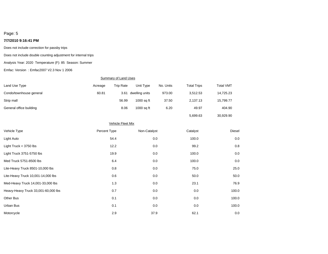### **7/7/2010 9:16:41 PM**

Does not include correction for passby trips

Does not include double counting adjustment for internal trips

#### Analysis Year: 2020 Temperature (F): 85 Season: Summer

Emfac: Version : Emfac2007 V2.3 Nov 1 2006

### Summary of Land Uses

| Land Use Type           | Acreage | Trip Rate | Unit Type      | No. Units | <b>Total Trips</b> | <b>Total VMT</b> |
|-------------------------|---------|-----------|----------------|-----------|--------------------|------------------|
| Condo/townhouse general | 60.81   | 3.61      | dwelling units | 973.00    | 3.512.53           | 14,725.23        |
| Strip mall              |         | 56.99     | $1000$ sq ft   | 37.50     | 2.137.13           | 15,799.77        |
| General office building |         | 8.06      | 1000 sa ft     | 6.20      | 49.97              | 404.90           |
|                         |         |           |                |           | 5.699.63           | 30.929.90        |

# Other Bus 0.1 0.0 0.0 100.0 Heavy-Heavy Truck 33,001-60,000 lbs 0.7 0.0 0.0 0.0 0.0 0.0 100.0 100.0 100.0 100.0 Med-Heavy Truck 14,001-33,000 lbs 1.3 1.3 0.0 23.1 23.1 76.9 Urban Bus 0.1 0.0 0.0 100.0 0.0 1.1 Motorcycle 2.9 2.9 37.9 62.1 62.1 0.0 يعالى المساحة 2.9 مليون 2.9 مليون 2.9 مليون 2.9 مليون 2.9 مليون Lite-Heavy Truck 10,001-14,000 lbs 0.6 0.0 50.0 50.0 Light Truck < 3750 lbs 12.2 0.0 99.2 0.8 ل المسابق التي يتم التي تقويت التي يتم التي تقويت التي تقويت التي تقويت التي تقويت التي تقويت التي تقويت التي ي<br>التي تقويت التي تقويت التي تقويت التي تقويت التي تقويت التي تقويت التي تقويت التي تقويت التي تقويت التي تقويت Light Truck 3751-5750 lbs 6.0 0.0 100.0 100.0 100.0 100.0 100.0 100.0 100.0 100.0 100.0 100.0 100.0 100.0 100.0 Lite-Heavy Truck 8501-10,000 lbs 0.8 0.0 75.0 25.0 Med Truck 5751-8500 lbs 6.4 0.0 100.0 0.0 Vehicle Fleet Mix Vehicle Type Percent Type Non-Catalyst Catalyst Diesel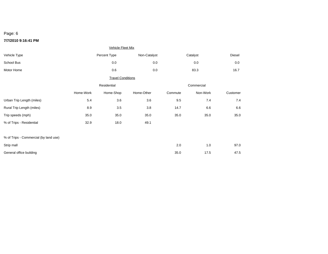### **7/7/2010 9:16:41 PM**

|                                       |           | <b>Vehicle Fleet Mix</b> |              |            |          |          |  |
|---------------------------------------|-----------|--------------------------|--------------|------------|----------|----------|--|
| Vehicle Type                          |           | Percent Type             | Non-Catalyst |            | Catalyst | Diesel   |  |
| School Bus                            |           | 0.0                      | 0.0          |            | 0.0      | $0.0\,$  |  |
| Motor Home                            |           | $0.6\,$                  | 0.0          |            | 83.3     | 16.7     |  |
|                                       |           | <b>Travel Conditions</b> |              |            |          |          |  |
|                                       |           | Residential              |              | Commercial |          |          |  |
|                                       | Home-Work | Home-Shop                | Home-Other   | Commute    | Non-Work | Customer |  |
| Urban Trip Length (miles)             | 5.4       | 3.6                      | 3.6          | 9.5        | 7.4      | 7.4      |  |
| Rural Trip Length (miles)             | 8.9       | 3.5                      | 3.8          | 14.7       | 6.6      | 6.6      |  |
| Trip speeds (mph)                     | 35.0      | 35.0                     | 35.0         | 35.0       | 35.0     | 35.0     |  |
| % of Trips - Residential              | 32.9      | 18.0                     | 49.1         |            |          |          |  |
|                                       |           |                          |              |            |          |          |  |
| % of Trips - Commercial (by land use) |           |                          |              |            |          |          |  |
| Strip mall                            |           |                          |              | $2.0\,$    | 1.0      | 97.0     |  |
| General office building               |           |                          |              | 35.0       | 17.5     | 47.5     |  |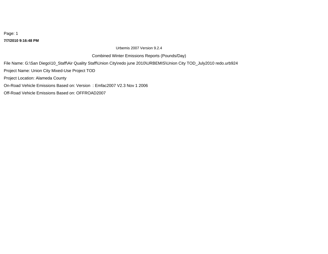### **7/7/2010 9:16:48 PM**

Urbemis 2007 Version 9.2.4

Combined Winter Emissions Reports (Pounds/Day)

File Name: G:\San Diego\10\_Staff\Air Quality Staff\Union City\redo june 2010\URBEMIS\Union City TOD\_July2010 redo.urb924

Project Name: Union City Mixed-Use Project TOD

Project Location: Alameda County

On-Road Vehicle Emissions Based on: Version : Emfac2007 V2.3 Nov 1 2006

Off-Road Vehicle Emissions Based on: OFFROAD2007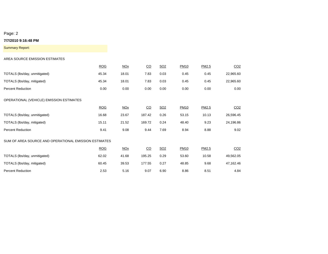### **7/7/2010 9:16:48 PM**

Summary Report:

### AREA SOURCE EMISSION ESTIMATES

|                                                       | <b>ROG</b> | <b>NOx</b> | $\underline{CO}$ | SO <sub>2</sub> | <b>PM10</b> | PM2.5 | CO <sub>2</sub> |
|-------------------------------------------------------|------------|------------|------------------|-----------------|-------------|-------|-----------------|
| TOTALS (lbs/day, unmitigated)                         | 45.34      | 18.01      | 7.83             | 0.03            | 0.45        | 0.45  | 22,965.60       |
| TOTALS (lbs/day, mitigated)                           | 45.34      | 18.01      | 7.83             | 0.03            | 0.45        | 0.45  | 22,965.60       |
| <b>Percent Reduction</b>                              | 0.00       | 0.00       | 0.00             | 0.00            | 0.00        | 0.00  | 0.00            |
| OPERATIONAL (VEHICLE) EMISSION ESTIMATES              |            |            |                  |                 |             |       |                 |
|                                                       | <b>ROG</b> | <b>NOx</b> | $\overline{C}O$  | SO <sub>2</sub> | <b>PM10</b> | PM2.5 | CO <sub>2</sub> |
| TOTALS (lbs/day, unmitigated)                         | 16.68      | 23.67      | 187.42           | 0.26            | 53.15       | 10.13 | 26,596.45       |
| TOTALS (lbs/day, mitigated)                           | 15.11      | 21.52      | 169.72           | 0.24            | 48.40       | 9.23  | 24,196.86       |
| <b>Percent Reduction</b>                              | 9.41       | 9.08       | 9.44             | 7.69            | 8.94        | 8.88  | 9.02            |
| SUM OF AREA SOURCE AND OPERATIONAL EMISSION ESTIMATES |            |            |                  |                 |             |       |                 |
|                                                       | <b>ROG</b> | <b>NOx</b> | $\overline{C}O$  | SO <sub>2</sub> | <b>PM10</b> | PM2.5 | CO <sub>2</sub> |
| TOTALS (lbs/day, unmitigated)                         | 62.02      | 41.68      | 195.25           | 0.29            | 53.60       | 10.58 | 49,562.05       |
| TOTALS (lbs/day, mitigated)                           | 60.45      | 39.53      | 177.55           | 0.27            | 48.85       | 9.68  | 47,162.46       |
| <b>Percent Reduction</b>                              | 2.53       | 5.16       | 9.07             | 6.90            | 8.86        | 8.51  | 4.84            |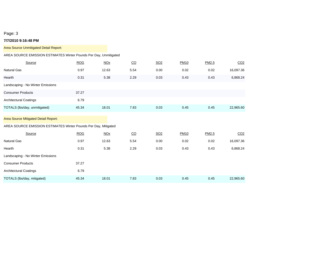### **7/7/2010 9:16:48 PM**

| Area Source Unmitigated Detail Report:                                                                  |            |                       |                  |            |             |       |                 |
|---------------------------------------------------------------------------------------------------------|------------|-----------------------|------------------|------------|-------------|-------|-----------------|
| AREA SOURCE EMISSION ESTIMATES Winter Pounds Per Day, Unmitigated                                       |            |                       |                  |            |             |       |                 |
| Source                                                                                                  | <b>ROG</b> | <b>NO<sub>X</sub></b> | $\underline{CO}$ | <b>SO2</b> | <b>PM10</b> | PM2.5 | CO <sub>2</sub> |
| <b>Natural Gas</b>                                                                                      | 0.97       | 12.63                 | 5.54             | 0.00       | 0.02        | 0.02  | 16,097.36       |
| Hearth                                                                                                  | 0.31       | 5.38                  | 2.29             | 0.03       | 0.43        | 0.43  | 6,868.24        |
| Landscaping - No Winter Emissions                                                                       |            |                       |                  |            |             |       |                 |
| <b>Consumer Products</b>                                                                                | 37.27      |                       |                  |            |             |       |                 |
| <b>Architectural Coatings</b>                                                                           | 6.79       |                       |                  |            |             |       |                 |
| TOTALS (lbs/day, unmitigated)                                                                           | 45.34      | 18.01                 | 7.83             | 0.03       | 0.45        | 0.45  | 22,965.60       |
| Area Source Mitigated Detail Report:<br>AREA SOURCE EMISSION ESTIMATES Winter Pounds Per Day, Mitigated |            |                       |                  |            |             |       |                 |
| Source                                                                                                  | <b>ROG</b> | NOx                   | $\underline{CO}$ | <b>SO2</b> | <b>PM10</b> | PM2.5 | CO <sub>2</sub> |
| <b>Natural Gas</b>                                                                                      | 0.97       | 12.63                 | 5.54             | 0.00       | 0.02        | 0.02  | 16,097.36       |
| Hearth                                                                                                  | 0.31       | 5.38                  | 2.29             | 0.03       | 0.43        | 0.43  | 6,868.24        |
| Landscaping - No Winter Emissions                                                                       |            |                       |                  |            |             |       |                 |
| <b>Consumer Products</b>                                                                                | 37.27      |                       |                  |            |             |       |                 |
| <b>Architectural Coatings</b>                                                                           | 6.79       |                       |                  |            |             |       |                 |
| TOTALS (lbs/day, mitigated)                                                                             | 45.34      | 18.01                 | 7.83             | 0.03       | 0.45        | 0.45  | 22,965.60       |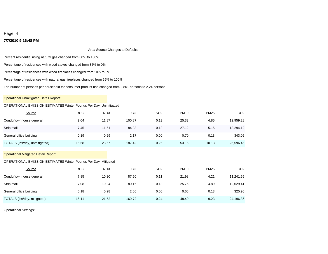### **7/7/2010 9:16:48 PM**

### **Area Source Changes to Defaults**

Percent residential using natural gas changed from 60% to 100%

Percentage of residences with wood stoves changed from 35% to 0%

Percentage of residences with wood fireplaces changed from 10% to 0%

Percentage of residences with natural gas fireplaces changed from 55% to 100%

The number of persons per household for consumer product use changed from 2.861 persons to 2.24 persons

### Operational Unmitigated Detail Report:

### OPERATIONAL EMISSION ESTIMATES Winter Pounds Per Day, Unmitigated

| Source                                                                                                         | <b>ROG</b> | <b>NOX</b> | CO     | SO <sub>2</sub> | <b>PM10</b> | <b>PM25</b> | CO <sub>2</sub> |
|----------------------------------------------------------------------------------------------------------------|------------|------------|--------|-----------------|-------------|-------------|-----------------|
| Condo/townhouse general                                                                                        | 9.04       | 11.87      | 100.87 | 0.13            | 25.33       | 4.85        | 12,959.28       |
| Strip mall                                                                                                     | 7.45       | 11.51      | 84.38  | 0.13            | 27.12       | 5.15        | 13,294.12       |
| General office building                                                                                        | 0.19       | 0.29       | 2.17   | 0.00            | 0.70        | 0.13        | 343.05          |
| TOTALS (lbs/day, unmitigated)                                                                                  | 16.68      | 23.67      | 187.42 | 0.26            | 53.15       | 10.13       | 26,596.45       |
| <b>Operational Mitigated Detail Report:</b><br>OPERATIONAL EMISSION ESTIMATES Winter Pounds Per Day, Mitigated |            |            |        |                 |             |             |                 |
|                                                                                                                |            |            |        |                 |             |             |                 |
| Source                                                                                                         | <b>ROG</b> | <b>NOX</b> | CO     | SO <sub>2</sub> | <b>PM10</b> | <b>PM25</b> | CO <sub>2</sub> |
| Condo/townhouse general                                                                                        | 7.85       | 10.30      | 87.50  | 0.11            | 21.98       | 4.21        | 11,241.55       |
| Strip mall                                                                                                     | 7.08       | 10.94      | 80.16  | 0.13            | 25.76       | 4.89        | 12,629.41       |
| General office building                                                                                        | 0.18       | 0.28       | 2.06   | 0.00            | 0.66        | 0.13        | 325.90          |
| TOTALS (lbs/day, mitigated)                                                                                    | 15.11      | 21.52      | 169.72 | 0.24            | 48.40       | 9.23        | 24,196.86       |

Operational Settings: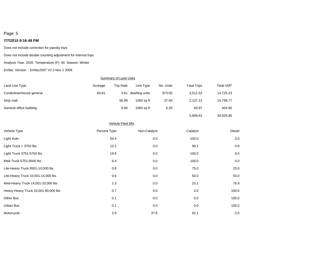### **7/7/2010 9:16:48 PM**

Does not include correction for passby trips

Does not include double counting adjustment for internal trips

Analysis Year: 2020 Temperature (F): 40 Season: Winter

Emfac: Version : Emfac2007 V2.3 Nov 1 2006

### **Summary of Land Uses**

| Land Use Type           | Acreage | <b>Trip Rate</b> | Unit Type      | No. Units | <b>Total Trips</b> | <b>Total VMT</b> |
|-------------------------|---------|------------------|----------------|-----------|--------------------|------------------|
| Condo/townhouse general | 60.81   | 3.61             | dwelling units | 973.00    | 3.512.53           | 14,725.23        |
| Strip mall              |         | 56.99            | 1000 sa ft     | 37.50     | 2.137.13           | 15,799.77        |
| General office building |         | 8.06             | $1000$ sq ft   | 6.20      | 49.97              | 404.90           |
|                         |         |                  |                |           | 5,699.63           | 30.929.90        |

| <b>Vehicle Fleet Mix</b>            |              |              |          |        |  |  |  |  |  |  |
|-------------------------------------|--------------|--------------|----------|--------|--|--|--|--|--|--|
| Vehicle Type                        | Percent Type | Non-Catalyst | Catalyst | Diesel |  |  |  |  |  |  |
| Light Auto                          | 54.4         | 0.0          | 100.0    | 0.0    |  |  |  |  |  |  |
| Light Truck < 3750 lbs              | 12.2         | 0.0          | 99.2     | 0.8    |  |  |  |  |  |  |
| Light Truck 3751-5750 lbs           | 19.9         | 0.0          | 100.0    | 0.0    |  |  |  |  |  |  |
| Med Truck 5751-8500 lbs             | 6.4          | 0.0          | 100.0    | 0.0    |  |  |  |  |  |  |
| Lite-Heavy Truck 8501-10,000 lbs    | 0.8          | 0.0          | 75.0     | 25.0   |  |  |  |  |  |  |
| Lite-Heavy Truck 10,001-14,000 lbs  | 0.6          | 0.0          | 50.0     | 50.0   |  |  |  |  |  |  |
| Med-Heavy Truck 14,001-33,000 lbs   | 1.3          | 0.0          | 23.1     | 76.9   |  |  |  |  |  |  |
| Heavy-Heavy Truck 33,001-60,000 lbs | 0.7          | 0.0          | 0.0      | 100.0  |  |  |  |  |  |  |
| Other Bus                           | 0.1          | 0.0          | 0.0      | 100.0  |  |  |  |  |  |  |
| Urban Bus                           | 0.1          | 0.0          | 0.0      | 100.0  |  |  |  |  |  |  |
| Motorcycle                          | 2.9          | 37.9         | 62.1     | 0.0    |  |  |  |  |  |  |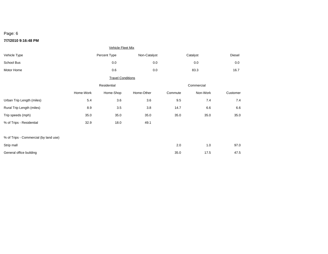### **7/7/2010 9:16:48 PM**

|                                       |           | <b>Vehicle Fleet Mix</b> |              |            |          |          |  |
|---------------------------------------|-----------|--------------------------|--------------|------------|----------|----------|--|
| Vehicle Type                          |           | Percent Type             | Non-Catalyst |            | Catalyst | Diesel   |  |
| School Bus                            |           | 0.0                      | 0.0          |            | 0.0      | $0.0\,$  |  |
| Motor Home                            |           | $0.6\,$                  | 0.0          |            | 83.3     | 16.7     |  |
|                                       |           | <b>Travel Conditions</b> |              |            |          |          |  |
|                                       |           | Residential              |              | Commercial |          |          |  |
|                                       | Home-Work | Home-Shop                | Home-Other   | Commute    | Non-Work | Customer |  |
| Urban Trip Length (miles)             | 5.4       | 3.6                      | 3.6          | 9.5        | 7.4      | 7.4      |  |
| Rural Trip Length (miles)             | 8.9       | 3.5                      | 3.8          | 14.7       | 6.6      | 6.6      |  |
| Trip speeds (mph)                     | 35.0      | 35.0                     | 35.0         | 35.0       | 35.0     | 35.0     |  |
| % of Trips - Residential              | 32.9      | 18.0                     | 49.1         |            |          |          |  |
|                                       |           |                          |              |            |          |          |  |
| % of Trips - Commercial (by land use) |           |                          |              |            |          |          |  |
| Strip mall                            |           |                          |              | $2.0\,$    | 1.0      | 97.0     |  |
| General office building               |           |                          |              | 35.0       | 17.5     | 47.5     |  |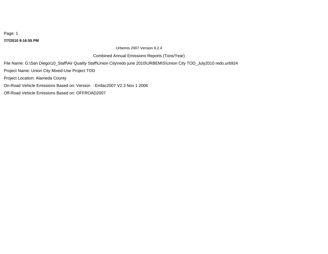**7/7/2010 9:16:55 PM**

Urbemis 2007 Version 9.2.4

Combined Annual Emissions Reports (Tons/Year)

File Name: G:\San Diego\10\_Staff\Air Quality Staff\Union City\redo june 2010\URBEMIS\Union City TOD\_July2010 redo.urb924 Project Name: Union City Mixed-Use Project TOD Project Location: Alameda County

On-Road Vehicle Emissions Based on: Version : Emfac2007 V2.3 Nov 1 2006

Off-Road Vehicle Emissions Based on: OFFROAD2007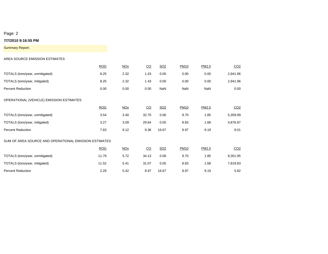### **7/7/2010 9:16:55 PM**

Summary Report:

### AREA SOURCE EMISSION ESTIMATES

|                                                       | <b>ROG</b> | <b>NOx</b> | CO              | SO <sub>2</sub> | <b>PM10</b> | PM2.5 | CO <sub>2</sub> |
|-------------------------------------------------------|------------|------------|-----------------|-----------------|-------------|-------|-----------------|
| TOTALS (tons/year, unmitigated)                       | 8.25       | 2.32       | 1.43            | 0.00            | 0.00        | 0.00  | 2,941.96        |
| TOTALS (tons/year, mitigated)                         | 8.25       | 2.32       | 1.43            | 0.00            | 0.00        | 0.00  | 2,941.96        |
| <b>Percent Reduction</b>                              | 0.00       | 0.00       | 0.00            | NaN             | NaN         | NaN   | 0.00            |
| OPERATIONAL (VEHICLE) EMISSION ESTIMATES              |            |            |                 |                 |             |       |                 |
|                                                       | <b>ROG</b> | <b>NOx</b> | $\overline{C}O$ | SO <sub>2</sub> | <b>PM10</b> | PM2.5 | CO <sub>2</sub> |
| TOTALS (tons/year, unmitigated)                       | 3.54       | 3.40       | 32.70           | 0.06            | 9.70        | 1.85  | 5,359.99        |
| TOTALS (tons/year, mitigated)                         | 3.27       | 3.09       | 29.64           | 0.05            | 8.83        | 1.68  | 4,876.87        |
| <b>Percent Reduction</b>                              | 7.63       | 9.12       | 9.36            | 16.67           | 8.97        | 9.19  | 9.01            |
| SUM OF AREA SOURCE AND OPERATIONAL EMISSION ESTIMATES |            |            |                 |                 |             |       |                 |
|                                                       | <b>ROG</b> | <b>NOx</b> | CO              | SO <sub>2</sub> | <b>PM10</b> | PM2.5 | CO <sub>2</sub> |
| TOTALS (tons/year, unmitigated)                       | 11.79      | 5.72       | 34.13           | 0.06            | 9.70        | 1.85  | 8,301.95        |
| TOTALS (tons/year, mitigated)                         | 11.52      | 5.41       | 31.07           | 0.05            | 8.83        | 1.68  | 7,818.83        |
| <b>Percent Reduction</b>                              | 2.29       | 5.42       | 8.97            | 16.67           | 8.97        | 9.19  | 5.82            |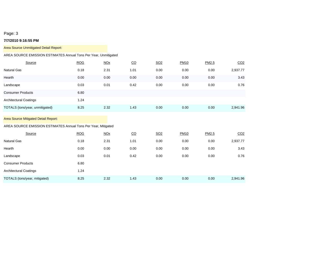### **7/7/2010 9:16:55 PM**

| Area Source Unmitigated Detail Report:                                                                 |            |                       |                  |                 |             |       |                 |
|--------------------------------------------------------------------------------------------------------|------------|-----------------------|------------------|-----------------|-------------|-------|-----------------|
| AREA SOURCE EMISSION ESTIMATES Annual Tons Per Year, Unmitigated                                       |            |                       |                  |                 |             |       |                 |
| Source                                                                                                 | <b>ROG</b> | <b>NOx</b>            | $\underline{CO}$ | SO <sub>2</sub> | <b>PM10</b> | PM2.5 | CO <sub>2</sub> |
| <b>Natural Gas</b>                                                                                     | 0.18       | 2.31                  | 1.01             | 0.00            | 0.00        | 0.00  | 2,937.77        |
| Hearth                                                                                                 | 0.00       | 0.00                  | 0.00             | 0.00            | 0.00        | 0.00  | 3.43            |
| Landscape                                                                                              | 0.03       | 0.01                  | 0.42             | 0.00            | 0.00        | 0.00  | 0.76            |
| <b>Consumer Products</b>                                                                               | 6.80       |                       |                  |                 |             |       |                 |
| <b>Architectural Coatings</b>                                                                          | 1.24       |                       |                  |                 |             |       |                 |
| TOTALS (tons/year, unmitigated)                                                                        | 8.25       | 2.32                  | 1.43             | 0.00            | 0.00        | 0.00  | 2,941.96        |
| Area Source Mitigated Detail Report:<br>AREA SOURCE EMISSION ESTIMATES Annual Tons Per Year, Mitigated |            |                       |                  |                 |             |       |                 |
| Source                                                                                                 | <b>ROG</b> | <b>NO<sub>X</sub></b> | $\underline{CO}$ | <b>SO2</b>      | <b>PM10</b> | PM2.5 | CO <sub>2</sub> |
| Natural Gas                                                                                            | 0.18       | 2.31                  | 1.01             | 0.00            | 0.00        | 0.00  | 2,937.77        |
| Hearth                                                                                                 | 0.00       | 0.00                  | 0.00             | 0.00            | 0.00        | 0.00  | 3.43            |
| Landscape                                                                                              | 0.03       | 0.01                  | 0.42             | 0.00            | 0.00        | 0.00  | 0.76            |
| <b>Consumer Products</b>                                                                               | 6.80       |                       |                  |                 |             |       |                 |
| <b>Architectural Coatings</b>                                                                          | 1.24       |                       |                  |                 |             |       |                 |
| TOTALS (tons/year, mitigated)                                                                          | 8.25       | 2.32                  | 1.43             | 0.00            | 0.00        | 0.00  | 2,941.96        |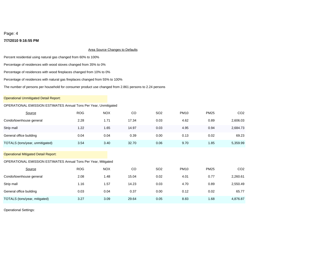### **7/7/2010 9:16:55 PM**

### **Area Source Changes to Defaults**

Percent residential using natural gas changed from 60% to 100%

Percentage of residences with wood stoves changed from 35% to 0%

Percentage of residences with wood fireplaces changed from 10% to 0%

Percentage of residences with natural gas fireplaces changed from 55% to 100%

The number of persons per household for consumer product use changed from 2.861 persons to 2.24 persons

### Operational Unmitigated Detail Report:

### OPERATIONAL EMISSION ESTIMATES Annual Tons Per Year, Unmitigated

| Source                                                                                                               | <b>ROG</b> | <b>NOX</b> | CO    | SO <sub>2</sub> | <b>PM10</b> | <b>PM25</b> | CO <sub>2</sub> |
|----------------------------------------------------------------------------------------------------------------------|------------|------------|-------|-----------------|-------------|-------------|-----------------|
| Condo/townhouse general                                                                                              | 2.28       | 1.71       | 17.34 | 0.03            | 4.62        | 0.89        | 2,606.03        |
| Strip mall                                                                                                           | 1.22       | 1.65       | 14.97 | 0.03            | 4.95        | 0.94        | 2,684.73        |
| General office building                                                                                              | 0.04       | 0.04       | 0.39  | 0.00            | 0.13        | 0.02        | 69.23           |
| TOTALS (tons/year, unmitigated)                                                                                      | 3.54       | 3.40       | 32.70 | 0.06            | 9.70        | 1.85        | 5,359.99        |
| <b>Operational Mitigated Detail Report:</b><br><b>OPERATIONAL EMISSION ESTIMATES Annual Tons Per Year, Mitigated</b> |            |            |       |                 |             |             |                 |
|                                                                                                                      |            |            |       |                 |             |             |                 |
| Source                                                                                                               | <b>ROG</b> | <b>NOX</b> | CO    | SO <sub>2</sub> | <b>PM10</b> | <b>PM25</b> | CO <sub>2</sub> |
| Condo/townhouse general                                                                                              | 2.08       | 1.48       | 15.04 | 0.02            | 4.01        | 0.77        | 2,260.61        |
| Strip mall                                                                                                           | 1.16       | 1.57       | 14.23 | 0.03            | 4.70        | 0.89        | 2,550.49        |
| General office building                                                                                              | 0.03       | 0.04       | 0.37  | 0.00            | 0.12        | 0.02        | 65.77           |
| TOTALS (tons/year, mitigated)                                                                                        | 3.27       | 3.09       | 29.64 | 0.05            | 8.83        | 1.68        | 4,876.87        |

Operational Settings: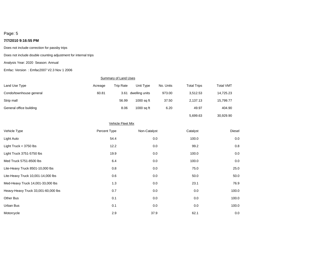### **7/7/2010 9:16:55 PM**

Does not include correction for passby trips

Does not include double counting adjustment for internal trips

Analysis Year: 2020 Season: Annual

Emfac: Version : Emfac2007 V2.3 Nov 1 2006

### **Summary of Land Uses**

| Land Use Type           | Acreage | <b>Trip Rate</b> | Unit Type      | No. Units | <b>Total Trips</b> | <b>Total VMT</b> |
|-------------------------|---------|------------------|----------------|-----------|--------------------|------------------|
| Condo/townhouse general | 60.81   | 3.61             | dwelling units | 973.00    | 3,512.53           | 14,725.23        |
| Strip mall              |         | 56.99            | $1000$ sq ft   | 37.50     | 2.137.13           | 15,799.77        |
| General office building |         | 8.06             | 1000 sa ft     | 6.20      | 49.97              | 404.90           |
|                         |         |                  |                |           | 5,699.63           | 30.929.90        |

|                                     | <b>Vehicle Fleet Mix</b> |              |          |        |
|-------------------------------------|--------------------------|--------------|----------|--------|
| Vehicle Type                        | Percent Type             | Non-Catalyst | Catalyst | Diesel |
| Light Auto                          | 54.4                     | 0.0          | 100.0    | 0.0    |
| Light Truck < 3750 lbs              | 12.2                     | 0.0          | 99.2     | 0.8    |
| Light Truck 3751-5750 lbs           | 19.9                     | 0.0          | 100.0    | 0.0    |
| Med Truck 5751-8500 lbs             | 6.4                      | 0.0          | 100.0    | 0.0    |
| Lite-Heavy Truck 8501-10,000 lbs    | 0.8                      | 0.0          | 75.0     | 25.0   |
| Lite-Heavy Truck 10,001-14,000 lbs  | 0.6                      | 0.0          | 50.0     | 50.0   |
| Med-Heavy Truck 14,001-33,000 lbs   | 1.3                      | 0.0          | 23.1     | 76.9   |
| Heavy-Heavy Truck 33,001-60,000 lbs | 0.7                      | 0.0          | 0.0      | 100.0  |
| Other Bus                           | 0.1                      | 0.0          | 0.0      | 100.0  |
| Urban Bus                           | 0.1                      | 0.0          | 0.0      | 100.0  |
| Motorcycle                          | 2.9                      | 37.9         | 62.1     | 0.0    |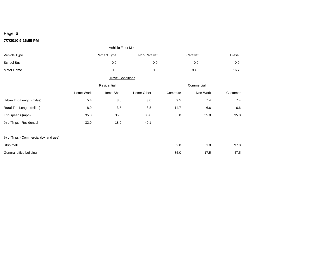### **7/7/2010 9:16:55 PM**

|                                       |           | <b>Vehicle Fleet Mix</b> |              |         |            |          |  |
|---------------------------------------|-----------|--------------------------|--------------|---------|------------|----------|--|
| Vehicle Type                          |           | Percent Type             | Non-Catalyst |         | Catalyst   | Diesel   |  |
| School Bus                            |           | 0.0                      | 0.0          |         | 0.0        | $0.0\,$  |  |
| Motor Home                            |           | 0.6                      | 0.0          |         | 83.3       | 16.7     |  |
|                                       |           | <b>Travel Conditions</b> |              |         |            |          |  |
|                                       |           | Residential              |              |         | Commercial |          |  |
|                                       | Home-Work | Home-Shop                | Home-Other   | Commute | Non-Work   | Customer |  |
| Urban Trip Length (miles)             | 5.4       | 3.6                      | 3.6          | 9.5     | 7.4        | 7.4      |  |
| Rural Trip Length (miles)             | 8.9       | $3.5\,$                  | $3.8\,$      | 14.7    | 6.6        | 6.6      |  |
| Trip speeds (mph)                     | 35.0      | 35.0                     | 35.0         | 35.0    | 35.0       | 35.0     |  |
| % of Trips - Residential              | 32.9      | 18.0                     | 49.1         |         |            |          |  |
| % of Trips - Commercial (by land use) |           |                          |              |         |            |          |  |
| Strip mall                            |           |                          |              | 2.0     | 1.0        | 97.0     |  |
| General office building               |           |                          |              | 35.0    | 17.5       | 47.5     |  |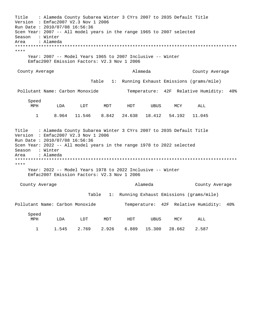Title : Alameda County Subarea Winter 3 CYrs 2007 to 2035 Default Title Versio n : Emfac2007 V2.3 Nov 1 2006 Run Da te : 2010/07/08 16:56:36 Scen Y ear: 2007 -- All model years in the range 1965 to 2007 selected Season : Winter Area \*\*\*\*\*\*\*\*\*\*\*\*\*\*\*\*\*\*\*\*\*\*\*\*\*\*\*\*\*\*\*\*\*\*\*\*\*\*\*\*\*\*\*\*\*\*\*\*\*\*\*\*\*\*\*\*\*\*\*\*\*\*\*\*\*\*\*\*\*\*\*\*\*\*\*\*\*\*\*\*\*\*\*\*\* \*\*\*\* Year: 2007 -- Model Years 1965 to 2007 Inclusive -- Winter Emfac2007 Emission Factors: V2.3 Nov 1 2006 County Average and Alameda : Alameda County Average Table 1: Running Exhaust Emissions (grams/mile) Pollutant Name: Carbon Monoxide Temperature: 42F Relative Humidity: 40% S peed MPH LDA LDT MDT HDT UBUS MCY ALL Title : Alameda County Subarea Winter 3 CYrs 2007 to 2035 Default Title Version : Emfac2007 V2.3 Nov 1 2006 Run Date : 2010/07/08 16:56:36 Scen Y ear: 2022 -- All model years in the range 1978 to 2022 selected Season : Winter Area \*\*\*\*\*\*\*\*\*\*\*\*\*\*\*\*\*\*\*\*\*\*\*\*\*\*\*\*\*\*\*\*\*\*\*\*\*\*\*\*\*\*\*\*\*\*\*\*\*\*\*\*\*\*\*\*\*\*\*\*\*\*\*\*\*\*\*\*\*\*\*\*\*\*\*\*\*\*\*\*\*\*\*\*\* \*\*\*\* Y ear: 2022 -- Model Years 1978 to 2022 Inclusive -- Winter Emfac2007 Emission Factors: V2.3 Nov 1 2006 County Average and County Average and County Average and Alameda County Average 1 8.964 11.546 8.842 24.638 18.412 54.192 11.045 : Alameda Table 1: Running Exhaust Emissions (grams/mile) Pollutant Name: Carbon Monoxide Temperature: 42F Relative Humidity: 40% Speed MPH LDA LDT MDT HDT UBUS MCY ALL 1 1.545 2.769 2.926 6.889 15.300 28.662 2.587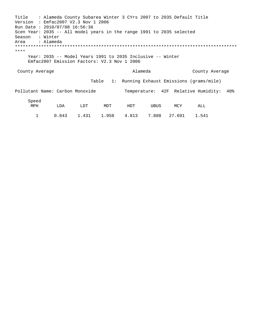Title : Alameda County Subarea Winter 3 CYrs 2007 to 2035 Default Title Version : Emfac2007 V2.3 Nov 1 2006 Run Da te : 2010/07/08 16:56:36 Scen Y ear: 2035 -- All model years in the range 1991 to 2035 selected Season : Winter Area \*\*\*\*\*\*\*\*\*\*\*\*\*\*\*\*\*\*\*\*\*\*\*\*\*\*\*\*\*\*\*\*\*\*\*\*\*\*\*\*\*\*\*\*\*\*\*\*\*\*\*\*\*\*\*\*\*\*\*\*\*\*\*\*\*\*\*\*\*\*\*\*\*\*\*\*\*\*\*\*\*\*\*\*\* \*\*\*\* Y ear: 2035 -- Model Years 1991 to 2035 Inclusive -- Winter Emfac2007 Emission Factors: V2.3 Nov 1 2006 County Average and County Average and County Average and Alameda County Average Table 1: Running Exhaust Emissions (grams/mile) Pollutant Name: Carbon Monoxide Temperature: 42F Relative Humidity: 40% S peed MPH LDA LDT MDT HDT UBUS MCY ALL 1 0.843 1.431 1.958 4.813 7.888 27.691 1.541 : Alameda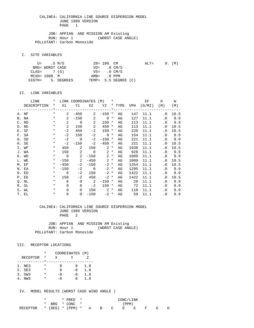JOB: APPIAN AND MISSION AM Existing RUN: Hour 1 (WORST CASE ANGLE) POLLUTANT: Carbon Monoxide

I. SITE VARIABLES

|               | U= .5 M/S       |                   | ZO= 100. CM             |                      | $\text{ALT} =$ |  | 0. (M) |
|---------------|-----------------|-------------------|-------------------------|----------------------|----------------|--|--------|
|               | BRG= WORST CASE |                   | $VD = 0 CM/S$           |                      |                |  |        |
| $CLAS = 7(G)$ |                 |                   | $VS = 0 \, \text{CM/S}$ |                      |                |  |        |
| MIXH= 1000. M |                 |                   | AMB= .0 PPM             |                      |                |  |        |
|               |                 | SIGTH= 5. DEGREES |                         | TEMP= 5.5 DEGREE (C) |                |  |        |

#### II. LINK VARIABLES

| LINK        | $\star$  |                | LINK COORDINATES (M)                  |                            |                   | $\star$ |    |      | EF                              | Н         | W      |
|-------------|----------|----------------|---------------------------------------|----------------------------|-------------------|---------|----|------|---------------------------------|-----------|--------|
| DESCRIPTION |          |                |                                       |                            |                   |         |    |      | * X1 Y1 X2 Y2 * TYPE VPH (G/MI) | (M)       | (M)    |
|             |          |                | _____*____________________________*__ |                            |                   |         |    |      |                                 |           |        |
| A. NF       | $\star$  | $\overline{2}$ |                                       |                            | $-450$ 2 $-150$ * |         | AG | 147  | 11.1                            | $\cdot$ 0 | 10.5   |
| B. NA       | $\star$  | $\overline{2}$ | $-150$                                | 2                          | $0 *$             |         | AG | 127  | 11.1                            | . 0       | 9.9    |
| C. ND       | $\star$  | 2              |                                       | $0\qquad 2$                | $150 *$           |         | AG | 113  | 11.1                            |           | .0 9.9 |
| D. NE       | $\star$  | 2              | 150                                   | 2                          | 450               | $\star$ | AG | 113  | 11.1                            | . 0       | 10.5   |
| E. SF       | $\star$  | $-2$           | 450                                   | $-2$                       | 150               | $\ast$  | AG | 226  | 11.1                            | . 0       | 10.5   |
| F. SA       | $\star$  | $-2$           | 150                                   | $-2$                       | $\overline{0}$ *  |         | AG | 154  | 11.1                            |           | .0 9.9 |
| G. SD       | $\ast$   | $-2$           | $\overline{0}$                        | $-2$                       | $-150$ *          |         | AG | 221  | 11.1                            |           | .0 9.9 |
| H. SE       | $\star$  | $-2$           | $-150$                                | $-2$                       | $-450$ *          |         | AG | 221  | 11.1                            | . 0       | 10.5   |
| I. WF       | $\star$  | 450            | $\overline{a}$                        | 150                        | $2 *$             |         | AG | 1038 | 11.1                            | . 0       | 10.5   |
| J. WA       | $\star$  | 150            | $\overline{\phantom{a}}$              | $\overline{0}$             | $2 *$             |         | AG | 928  | 11.1                            | $\cdot$ 0 | 9.9    |
| K. WD       |          | $*$ 0          | $\overline{\phantom{a}}$ 2            |                            | $-150$ 2 *        |         | AG | 1009 | 11.1                            |           | .0 9.9 |
| L. WE       | $\star$  |                | $-150$ 2                              |                            | $-450$ 2 *        |         | AG | 1009 | 11.1                            | . 0       | 10.5   |
| M. EF       | $\star$  | $-450$         | $-2$                                  | $-150$                     | $-2$ *            |         | AG | 1354 | 11.1                            | . 0       | 10.5   |
| N. EA       | $\star$  | $-150$         | $-2$                                  | $\overline{0}$             | $-2$ *            |         | AG | 1295 | 11.1                            |           | .0 9.9 |
| O. ED       | $\star$  | $\Omega$       | $-2$                                  | 150                        | $-2$ *            |         | AG | 1422 | 11.1                            | $\cdot$ 0 | 9.9    |
| P. EE       | $\star$  | 150            | $-2$                                  | 450                        | $-2$ *            |         | AG | 1422 | 11.1                            | . 0       | 10.5   |
| Q. NL       | $\star$  | $\Omega$       | $\Omega$                              | $\overline{\phantom{0}}$ 2 | $-150$ *          |         | AG | 20   | 11.1                            | $\cdot$ 0 | 9.9    |
| R. SL       | $\star$  | $\Omega$       | $\Omega$                              | $-2$                       | $150 *$           |         | AG | 72   | 11.1                            | . 0       | 9.9    |
| S. WL       | $\star$  | $\Omega$       | $\Omega$                              |                            | $150$ 2 $*$       |         | AG | 110  | 11.1                            | $\cdot$ 0 | 9.9    |
| T. EL       | $^\star$ | $\Omega$       | $\Omega$                              | $-150$                     | $-2$ *            |         | AG | 59   | 11.1                            | $\cdot$ 0 | 9.9    |

#### CALINE4: CALIFORNIA LINE SOURCE DISPERSION MODEL JUNE 1989 VERSION PAGE 2

 JOB: APPIAN AND MISSION AM Existing RUN: Hour 1 (WORST CASE ANGLE) POLLUTANT: Carbon Monoxide

#### III. RECEPTOR LOCATIONS

|                 | *        | COORDINATES (M) |      |     |
|-----------------|----------|-----------------|------|-----|
| <b>RECEPTOR</b> | *        | X               |      |     |
|                 |          |                 |      |     |
| 1. NE3          | *        | я               | 8    | 1.8 |
| 2. SE3          | $^\star$ | я               | $-8$ | 1.8 |
| 3. SW3          | *        | -8              | -8   | 1.8 |
| NW 3            |          | -8              | x    | 1 R |

IV. MODEL RESULTS (WORST CASE WIND ANGLE )

|                                    | * |  | $*$ PRED $*$         |  |                | CONC/LINK |   |   |   |   |
|------------------------------------|---|--|----------------------|--|----------------|-----------|---|---|---|---|
|                                    |   |  | $*$ BRG $*$ CONC $*$ |  |                | $'$ PPM)  |   |   |   |   |
| RECEPTOR $*$ (DEG) $*$ (PPM) $*$ A |   |  |                      |  | $\overline{B}$ |           | E | F | G | Н |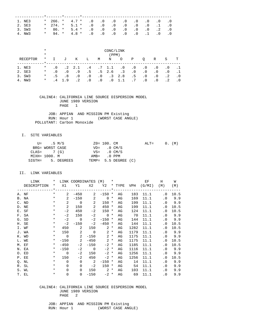| 1. NE3 |         |  | * 266. * $4.7$ * .0 .0 .0 .0 .0 .0 .0 .0  |  |  |  |  |
|--------|---------|--|-------------------------------------------|--|--|--|--|
| 2. SE3 |         |  | $*$ 274. $*$ 5.1 $*$ .0 .0 .0 .0 .0 .1 .0 |  |  |  |  |
| 3. SW3 |         |  | * 86. * 5.4 * .0 .0 .0 .0 .0 .0 .2 .0     |  |  |  |  |
| 4. NW3 | $\star$ |  | 94. * 4.8 * .0 .0 .0 .0 .0 .1 .0 .0       |  |  |  |  |

|            | $^\star$<br>$\star$ |           |           |                |           |           | CONC/LINK<br>(PPM) |            |           |           |           |           |           |
|------------|---------------------|-----------|-----------|----------------|-----------|-----------|--------------------|------------|-----------|-----------|-----------|-----------|-----------|
| RECEPTOR   | $\ast$              | Ι.        | J         | Κ              | L         | M         | N                  | $\circ$    | Ρ         | O         | R         | S         | т         |
| 1. NE3     | $\ast$              | $\cdot$ 0 |           | $.2 \quad 2.1$ | $\cdot$ 4 |           | .7 1.1             | $\cdot$ 0  | . 0       | . 0       | $\cdot$ 0 | $\cdot$ 0 |           |
| 2. SE3     | $\ast$              | . 0       | $\cdot$ 0 | . 9            | .5        |           | $.5 \t2.6$         | $\cdot$ 3  | $\cdot$ 0 | $\cdot$ 0 | $\cdot$ 0 | $\cdot$ 0 |           |
| 3. SW3     | $\ast$              | . 5       | .8        | $\cdot$ 0      | $\cdot$ 0 | $\cdot$ 0 |                    | $.3 \t2.8$ | .5        | $\cdot$ 0 | $\cdot$ 0 | $\cdot$ 2 | $\cdot$ 0 |
| NW 3<br>4. | $\ast$              | 4         | 19        | $\cdot$ 2      | $\cdot$ 0 | $\cdot$ 0 | $\cdot$ 0          |            | .7        | $\cdot$ 0 | $\cdot$ 0 |           |           |

 JOB: APPIAN AND MISSION PM Existing RUN: Hour 1 (WORST CASE ANGLE) POLLUTANT: Carbon Monoxide

### I. SITE VARIABLES

|               | U= .5 M/S       |                   | $Z0 = 100$ . CM         |                      | $ALT = 0. (M)$ |  |  |
|---------------|-----------------|-------------------|-------------------------|----------------------|----------------|--|--|
|               | BRG= WORST CASE |                   | $VD = 0 CM/S$           |                      |                |  |  |
| $CLAS = 7(G)$ |                 |                   | $VS = 0 \, \text{CM/S}$ |                      |                |  |  |
| MIXH= 1000. M |                 |                   | AMB= .0 PPM             |                      |                |  |  |
|               |                 | SIGTH= 5. DEGREES |                         | TEMP= 5.5 DEGREE (C) |                |  |  |

II. LINK VARIABLES

| LINK        | $\star$ |                | LINK COORDINATES (M) *     |                                              |                   |        |    |      | EF                              | H                          | W      |
|-------------|---------|----------------|----------------------------|----------------------------------------------|-------------------|--------|----|------|---------------------------------|----------------------------|--------|
| DESCRIPTION |         |                |                            |                                              |                   |        |    |      | * X1 Y1 X2 Y2 * TYPE VPH (G/MI) | ( M )                      | (M)    |
|             |         |                |                            |                                              |                   |        |    |      |                                 |                            |        |
| A. NF       | $\star$ | $\overline{2}$ | $-450$                     |                                              | $2 - 150$ *       |        | AG | 183  | 11.1                            | $\cdot$ 0                  | 10.5   |
| B. NA       | $\star$ | 2              |                            | $-150$ 2                                     | $0*$              |        | AG | 169  | 11.1                            |                            | .0 9.9 |
| C. ND       | $\star$ | 2              |                            | $\begin{array}{ccc} & & 0 & & 2 \end{array}$ | $150 *$           |        | AG | 199  | 11.1                            |                            | .0 9.9 |
| D. NE       | $\star$ | 2              | 150                        | $\overline{\phantom{0}}^2$                   | 450               | $\ast$ | AG | 199  | 11.1                            | $\cdot$ 0                  | 10.5   |
| E. SF       | $\ast$  | $-2$           | 450                        | $-2$                                         | 150 *             |        | AG | 124  | 11.1                            | . 0                        | 10.5   |
| F. SA       | $\star$ | $-2$           | 150                        |                                              | $-2$ 0 $*$        |        | AG | 70   | 11.1                            |                            | .0 9.9 |
| G. SD       | $\ast$  |                | $-2$ 0                     | $-2$                                         | $-150$ *          |        | AG | 144  | 11.1                            |                            | .0 9.9 |
| H. SE       | $\ast$  | $-2$           | $-150$                     | $-2$                                         | $-450$ *          |        | AG | 144  | 11.1                            | . 0                        | 10.5   |
| I. WF       | $\star$ |                | 450 2                      |                                              | $150$ 2 $*$       |        | AG | 1282 | 11.1                            | $\cdot$ 0                  | 10.5   |
| J. WA       | $\star$ |                | 150 2                      |                                              | $0 \t 2 \t \star$ |        | AG | 1179 | 11.1                            |                            | .0 9.9 |
| K. WD       | $\star$ | $\overline{0}$ | $\overline{\phantom{a}}$ 2 |                                              | $-150$ 2 *        |        | AG | 1175 | 11.1                            |                            | .0 9.9 |
| L. WE       | $\star$ |                | $-150$ 2                   |                                              | $-450$ 2 *        |        | AG | 1175 | 11.1                            | $\overline{\phantom{0}}$ . | 10.5   |
| M. EF       | $\star$ | $-450$         | $-2$                       | $-150$                                       | $-2$ *            |        | AG | 1185 | 11.1                            | . 0                        | 10.5   |
| N. EA       | $\star$ | $-150$         |                            | $-2$ 0                                       | $-2$ *            |        | AG | 1116 | 11.1                            |                            | .0 9.9 |
| O. ED       | $\star$ | $\overline{0}$ | $-2$                       | 150                                          | $-2$ *            |        | AG | 1256 | 11.1                            | $\cdot$ 0                  | 9.9    |
| P. EE       | $\star$ | 150            | $-2$                       | 450                                          | $-2$ *            |        | AG | 1256 | 11.1                            | . 0                        | 10.5   |
| Q. NL       | $\star$ | $\Omega$       | $\Omega$                   | $\overline{\phantom{a}}$ 2                   | $-150$ *          |        | AG | 14   | 11.1                            |                            | .0 9.9 |
| R. SL       | $\star$ | $\Omega$       | $\Omega$                   | $-2$                                         | $150*$            |        | AG | 54   | 11.1                            | $\cdot$ 0                  | 9.9    |
| S. WL       | $\star$ | $\Omega$       | $\Omega$                   |                                              | $150$ 2 $*$       |        | AG | 103  | 11.1                            | $\cdot$ 0                  | 9.9    |
| T. EL       | $\ast$  | $\mathbf 0$    | $\Omega$                   | $-150$                                       | $-2$ *            |        | AG | 69   | 11.1                            | $\cdot$ 0                  | 9.9    |

### CALINE4: CALIFORNIA LINE SOURCE DISPERSION MODEL JUNE 1989 VERSION PAGE 2

JOB: APPIAN AND MISSION PM Existing<br>RUN: Hour 1 (WORST CASE AND (WORST CASE ANGLE)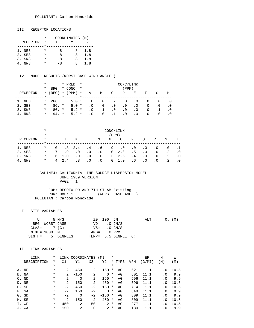#### III. RECEPTOR LOCATIONS

|                 | * | COORDINATES (M) |      |     |
|-----------------|---|-----------------|------|-----|
| <b>RECEPTOR</b> | * | X               | v    |     |
|                 |   |                 |      |     |
| 1. NE3          | * | я               | я    | 1.8 |
| 2. SE3          | * | я               | $-8$ | 1.8 |
| 3. SW3          | * | -8              | -8   | 1.8 |
| NW3             |   | -8              | я    | 1.8 |

#### IV. MODEL RESULTS (WORST CASE WIND ANGLE )

|    |          | $^\star$ |            | * PRED<br>$\star$<br>CONC/LINK |                         |         |     |           |           |           |           |           |           |     |
|----|----------|----------|------------|--------------------------------|-------------------------|---------|-----|-----------|-----------|-----------|-----------|-----------|-----------|-----|
|    |          | $^\star$ | <b>BRG</b> |                                | * CONC                  | $\star$ |     |           |           | (PPM)     |           |           |           |     |
|    | RECEPTOR |          | $*$ (DEG)  |                                | $*$ (PPM)               | $\star$ | Α   | B         | C         | D         | Е         | F         | G         | Н   |
|    |          |          |            |                                | $\star$ $\star$ $\star$ |         |     |           |           |           |           |           |           |     |
|    | 1. NE3   | $\star$  | 266. *     |                                | $5.0*$                  |         | . 0 | $\cdot$ 0 | $\cdot$ 2 | . 0       | $\cdot$ 0 | $\cdot$ 0 | $\cdot$ 0 | . 0 |
|    | 2. SE3   | $^\star$ | $86. *$    |                                | $5.0*$                  |         | . 0 | $\cdot$ 0 | . 0       | $\cdot$ 0 | $\cdot$ 0 | . 0       | . 0       | . 0 |
|    | 3. SW3   | $^\star$ | $86. *$    |                                | $5.2*$                  |         | . 0 | .1        | . 0       | $\cdot$ 0 | . 0       | $\cdot$ 0 |           | . 0 |
| 4. | NW3      | $\ast$   | 94. *      |                                | $5.2*$                  |         | . 0 | . 0       |           | . 0       | . 0       | $\cdot$ 0 | . 0       |     |

|          | $\star$  | CONC/LINK |     |                |           |           |           |            |           |           |           |           |           |  |
|----------|----------|-----------|-----|----------------|-----------|-----------|-----------|------------|-----------|-----------|-----------|-----------|-----------|--|
|          | $\ast$   | (PPM)     |     |                |           |           |           |            |           |           |           |           |           |  |
| RECEPTOR | $\ast$   |           | ιT  | Κ              | L         | M         | N         | $\circ$    | Ρ         | O         | R         | S         | т         |  |
|          |          |           |     |                |           |           |           |            |           |           |           |           |           |  |
| 1. NE3   | $\ast$   | $\cdot$ 0 |     | $.3 \quad 2.4$ | $.4\,$    | . 6       | . 9       | $\cdot$ 0  | $\cdot$ 0 | $\cdot$ 0 | $\cdot$ 0 | . 0       |           |  |
| 2. SE3   | $^\star$ | .7        | .9  | $\cdot$ 0      | $\cdot$ 0 | $\cdot$ 0 |           | $.0 \t2.8$ | .5        | $\cdot$ 0 | $\cdot$ 0 | $\cdot$ 2 | $\cdot$ 0 |  |
| 3. SW3   | $\ast$   | . 6       | 1.0 | $\cdot$ 0      | $\cdot$ 0 | $\cdot$ 0 | $\cdot$ 3 | 2.5        | .4        | $\cdot$ 0 | $\cdot$ 0 | $\cdot$ 2 | $\cdot$ 0 |  |
| NW 3     | $\ast$   | 4         | 2.4 |                | $\cdot$ 0 | . 0       | $\cdot$ 0 | 1.0        | $.6\,$    | $\cdot$ 0 | $\cdot$ 0 |           |           |  |

#### CALINE4: CALIFORNIA LINE SOURCE DISPERSION MODEL JUNE 1989 VERSION PAGE 1

| JOB: DECOTO RD AND 7TH ST AM Existing |
|---------------------------------------|
| (WORST CASE ANGLE)<br>RUN: Hour 1     |
| POLLUTANT: Carbon Monoxide            |

#### I. SITE VARIABLES

|               | U= .5 M/S       |                   | Z0= 100. CM             |                      | $\text{ALT} =$ | 0. (M) |  |
|---------------|-----------------|-------------------|-------------------------|----------------------|----------------|--------|--|
|               | BRG= WORST CASE |                   | $VD = 0 CM/S$           |                      |                |        |  |
| $CLAS = 7(G)$ |                 |                   | $VS = 0 \, \text{CM/S}$ |                      |                |        |  |
| MIXH= 1000. M |                 |                   | AMB= .0 PPM             |                      |                |        |  |
|               |                 | SIGTH= 5. DEGREES |                         | TEMP= 5.5 DEGREE (C) |                |        |  |

### II. LINK VARIABLES

|    | LINK        | *        |                | LINK COORDINATES |          | (M)           | *        |        |            | ЕF     | Η         | W    |
|----|-------------|----------|----------------|------------------|----------|---------------|----------|--------|------------|--------|-----------|------|
|    | DESCRIPTION | *        | X1             | Y1               | X2       | Y2            |          | * TYPE | <b>VPH</b> | (G/MI) | (M)       | (M)  |
|    |             | $\star$  |                |                  |          | ----*-        |          |        |            |        |           |      |
|    | A. NF       | $^\star$ | 2              | $-450$           | 2        | $-150$        | $^\star$ | AG     | 621        | 11.1   | . 0       | 10.5 |
|    | B. NA       | $\ast$   | 2              | $-150$           | 2        | $\Omega$      | $\ast$   | AG     | 601        | 11.1   | . 0       | 9.9  |
|    | $C.$ ND     | $\ast$   | 2              | $\Omega$         | 2        | 150           | $\ast$   | AG     | 596        | 11.1   | $\cdot$ 0 | 9.9  |
|    | D. NE       | $\ast$   | $\mathfrak{D}$ | 150              | 2        | 450           | $^\star$ | AG     | 596        | 11.1   | . 0       | 10.5 |
|    | E. SF       | $^\star$ | $-2$           | 450              | $-2$     | 150           | $\ast$   | AG     | 714        | 11.1   | $\cdot$ 0 | 10.5 |
|    | F. SA       | $^\star$ | $-2$           | 150              | $-2$     | $\Omega$      | $\ast$   | AG     | 648        | 11.1   | . 0       | 9.9  |
|    | G. SD       | $\ast$   | $-2$           | $\Omega$         | $-2$     | $-150$        | $\ast$   | AG     | 809        | 11.1   | . 0       | 9.9  |
|    | H. SE       | $^\star$ | $-2$           | $-150$           | $-2$     | $-450$        | $\ast$   | AG     | 809        | 11.1   | . 0       | 10.5 |
| Ι. | WF          | $\ast$   | 450            | 2                | 150      | 2             | $\ast$   | AG     | 277        | 11.1   | . 0       | 10.5 |
|    | J. WA       | $\ast$   | 150            | 2                | $\Omega$ | $\mathcal{L}$ | $\star$  | AG     | 130        | 11.1   | . 0       | 9.9  |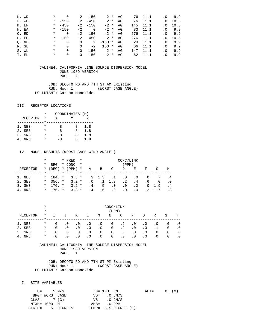|       | K. WD | $\ast$  | $\Omega$ |          | $2 - 150$      |          | $2 *$   | AG |     | 76 11.1 | . 0       | 9.9  |
|-------|-------|---------|----------|----------|----------------|----------|---------|----|-----|---------|-----------|------|
| L. WE |       | $\ast$  | $-150$   | 2        | $-450$         | $2 *$    |         | AG | 76  | 11.1    | . 0       | 10.5 |
| M. EF |       | $\star$ | $-450$   |          | $-2 - 150$     | $-2$ *   |         | AG | 145 | 11.1    | $\cdot$ 0 | 10.5 |
| N. EA |       |         | $* -150$ | $-2$     | $\overline{0}$ | $-2$ *   |         | AG | 83  | 11.1    | . 0       | 9.9  |
| O. ED |       | $\ast$  | $\Omega$ | $-2$     | 150            | $-2$ *   |         | AG | 276 | 11.1    | . 0       | 9.9  |
|       | P. EE | $\ast$  | 150      | $-2$     | 450            | $-2$ *   |         | AG | 276 | 11.1    | $\cdot$ 0 | 10.5 |
|       | O. NL | $\ast$  | $\Omega$ | $\Omega$ | -2             | $-150$ * |         | AG | 20  | 11.1    | $\cdot$ 0 | 9.9  |
|       | R. SL | $\ast$  | $\Omega$ | $\Omega$ | $-2$           | 150      | $\star$ | AG | 66  | 11.1    | . 0       | 9.9  |
|       | S. WL | $\ast$  | $\Omega$ | $\Omega$ | 150            | $2^*$    |         | AG | 147 | 11.1    | . 0       | 9.9  |
|       | T. EL | $\ast$  | $\Omega$ | $\Omega$ | $-150$         | $-2$ *   |         | AG | 62  | 11.1    | . 0       | 9.9  |

 JOB: DECOTO RD AND 7TH ST AM Existing RUN: Hour 1 (WORST CASE ANGLE) POLLUTANT: Carbon Monoxide

### III. RECEPTOR LOCATIONS

|                 | $\star$ | COORDINATES (M) |      |     |
|-----------------|---------|-----------------|------|-----|
| <b>RECEPTOR</b> | *       | x               |      |     |
|                 |         |                 |      |     |
| 1. NE3          | *       | я               | 8    | 1.8 |
| 2. SE3          | *       | я               | $-8$ | 1.8 |
| 3. SW3          | *       | -8              | -8   | 1.8 |
| NW3             | *       | -8              | x    | 1.8 |

#### IV. MODEL RESULTS (WORST CASE WIND ANGLE )

|          | $\ast$  |            | * PRED          | $\star$ | CONC/LINK  |                 |            |           |     |           |     |             |
|----------|---------|------------|-----------------|---------|------------|-----------------|------------|-----------|-----|-----------|-----|-------------|
|          | *       | <b>BRG</b> | * CONC          | $\star$ |            |                 |            | (PPM)     |     |           |     |             |
| RECEPTOR |         | $*$ (DEG)  | $*$ (PPM)       | $\ast$  | Α          | B               | C          | D         | Е   | F         | G   | H           |
|          |         |            | $\star$ $\star$ |         |            |                 |            |           |     |           |     |             |
| 1. NE3   | $\star$ | 184. *     | $3.3*$          |         |            | $.3 \t1.3$      | $\ldots$ 1 | $\cdot$ 0 | . 0 | . 0       | .7  | $\cdot$ . 4 |
| 2. SE3   | $\star$ | $356.$ *   | $3.2*$          |         | $\cdot$ 0  | $.1 \t1.3$      |            | $\cdot$ 2 | . 4 | . 6       | . 0 | $\cdot$ 0   |
| 3. SW3   | $\star$ | 176. *     | $3.2*$          |         | .4         | .5 <sub>1</sub> | $\cdot$ 0  | $\cdot$ 0 | . 0 | $\cdot$ 0 | 1.9 | $\cdot$ .4  |
| 4. NW3   | $\star$ | $176.$ *   | $3.3*$          |         | $4 \times$ | .6              | $\cdot$ 0  | $\cdot$ 0 | . 0 |           |     |             |

|           | $\ast$  | CONC/LINK |           |           |           |           |           |           |           |           |           |           |           |  |
|-----------|---------|-----------|-----------|-----------|-----------|-----------|-----------|-----------|-----------|-----------|-----------|-----------|-----------|--|
|           | $\ast$  | (PPM)     |           |           |           |           |           |           |           |           |           |           |           |  |
| RECEPTOR  | $\star$ |           | J         | Κ         | Ш.        | M         | N         | $\circ$   | Ρ         | O         | R         | S         | т         |  |
| 1. NE3    | $\ast$  | $\cdot$ 0 | $\cdot$ 0 | $\cdot$ 0 | $\cdot$ 0 | $\cdot$ 0 | $\cdot$ 0 | $\cdot$ 2 | $\cdot$ 0 | $\cdot$ 0 | . 0       | . 0       | . 0       |  |
| 2. SE3    | $\ast$  | . 0       | $\cdot$ 0 | $\cdot$ 0 | $\cdot$ 0 | $\cdot$ 0 | $\cdot$ 0 | $\cdot$ 2 | $\cdot$ 0 | $\cdot$ 0 |           | $\cdot$ 0 | $\cdot$ 0 |  |
| 3. SW3    | $\ast$  | $\cdot$ 0 | $\cdot$ 0 | $\cdot$ 0 | $\cdot$ 0 | $\cdot$ 0 | $\cdot$ 0 | $\cdot$ 0 | $\cdot$ 0 | $\cdot$ 0 | $\cdot$ 0 | $\cdot$ 0 | $\cdot$ 0 |  |
| NW3<br>4. | $\ast$  | . 0       | . 0       | $\cdot$ 0 | $\cdot$ 0 | $\cdot$ 0 | $\cdot$ 0 | $\cdot$ 0 | $\cdot$ 0 | $\cdot$ 0 | $\cdot$ 0 | $\cdot$ 0 | . 0       |  |

 CALINE4: CALIFORNIA LINE SOURCE DISPERSION MODEL JUNE 1989 VERSION PAGE 1

 JOB: DECOTO RD AND 7TH ST PM Existing RUN: Hour 1 (WORST CASE ANGLE) POLLUTANT: Carbon Monoxide

I. SITE VARIABLES

|               | U= .5 M/S       |                   | ZO= 100. CM             |                      | $ALT = 0. (M)$ |  |  |
|---------------|-----------------|-------------------|-------------------------|----------------------|----------------|--|--|
|               | BRG= WORST CASE |                   | $VD = 0 CM/S$           |                      |                |  |  |
| $CLAS = 7(G)$ |                 |                   | $VS = 0 \, \text{CM/S}$ |                      |                |  |  |
|               | MIXH= 1000. M   |                   | $AMB = 0$ PPM           |                      |                |  |  |
|               |                 | SIGTH= 5. DEGREES |                         | TEMP= 5.5 DEGREE (C) |                |  |  |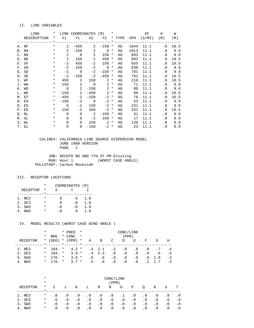### II. LINK VARIABLES

| LINK<br>$\star$  |         |                | LINK COORDINATES (M) *     |                                              |                    |         |    |      | EF                                  | H                          | W      |
|------------------|---------|----------------|----------------------------|----------------------------------------------|--------------------|---------|----|------|-------------------------------------|----------------------------|--------|
| DESCRIPTION      |         |                |                            |                                              |                    |         |    |      | * X1 Y1 X2 Y2 * TYPE VPH (G/MI) (M) |                            | (M)    |
|                  |         |                |                            |                                              |                    |         |    |      |                                     |                            |        |
| A. NF            | $\star$ | $\overline{2}$ | $-450$                     |                                              | $2 -150 * AG$      |         |    | 1044 | 11.1                                | $\cdot$ 0                  | 10.5   |
| $\star$<br>B. NA |         | $\mathbf{2}$   |                            | $-150$ 2                                     | $\overline{0}$ $*$ |         | AG | 1013 | 11.1                                |                            | .0 9.9 |
| C. ND            | $\star$ | $\overline{a}$ |                            | $\begin{array}{ccc} & & 0 & & 2 \end{array}$ | $150 *$            |         | AG | 893  | 11.1                                |                            | .0 9.9 |
| D. NE            | $\star$ | $\overline{2}$ | 150                        | $\overline{\phantom{0}}^2$                   | 450                | $\star$ | AG | 893  | 11.1                                | $\overline{\phantom{0}}$ . | 10.5   |
| E. SF            | $\star$ | $-2$           | 450                        | $-2$                                         | $150 *$            |         | AG | 655  | 11.1                                | . 0                        | 10.5   |
| F. SA            | $\star$ | $-2$           | 150                        |                                              | $-2$ 0 $*$         |         | AG | 638  | 11.1                                |                            | .0 9.9 |
| G. SD            | $\star$ |                | $-2$ 0                     | $-2$                                         | $-150$ *           |         | AG | 781  | 11.1                                |                            | .0 9.9 |
| H. SE            | $\star$ | $-2$           | $-150$                     | $-2$                                         | $-450$ *           |         | AG | 781  | 11.1                                | . 0                        | 10.5   |
| I. WF            | $\star$ | 450            | $\overline{\phantom{a}}$ 2 | 150                                          | $2^*$              |         | AG | 210  | 11.1                                | $\overline{\phantom{0}}$ . | 10.5   |
| J. WA            | $\star$ |                | 150 2                      |                                              | $0 \t 2 \t \star$  |         | AG | 71   | 11.1                                |                            | .0 9.9 |
| K. WD            |         |                | $*$ 0 2                    |                                              | $-150$ 2 *         |         | AG | 80   | 11.1                                |                            | .0 9.9 |
| L. WE            | $\star$ |                | $-150$ 2                   |                                              | $-450$ 2 *         |         | AG | 80   | 11.1                                | $\cdot$ 0                  | 10.5   |
| M. EF            | $\star$ | $-450$         | $-2$                       | $-150$                                       | $-2$ *             |         | AG | 76   | 11.1                                | . 0                        | 10.5   |
| N. EA            | $\star$ | $-150$         |                            | $-2$ 0                                       | $-2$ *             |         | AG | 53   | 11.1                                |                            | .0 9.9 |
| O. ED            | $\star$ | $\overline{0}$ | $-2$                       | 150                                          | $-2$ *             |         | AG | 231  | 11.1                                | . 0                        | 9.9    |
| P. EE            | $\star$ | 150            |                            | $-2$ 450                                     | $-2$ *             |         | AG | 231  | 11.1                                | . 0                        | 10.5   |
| Q. NL            | $\star$ | $\Omega$       | $\overline{0}$             | $\overline{\mathbf{2}}$                      | $-150$ *           |         | AG | 31   | 11.1                                | $\cdot$ 0                  | 9.9    |
| R. SL            | $\star$ | $\Omega$       | $\Omega$                   | $-2$                                         | $150 *$            |         | AG | 17   | 11.1                                | $\cdot$ 0                  | 9.9    |
| S. WL            | $\star$ | $\Omega$       | $\Omega$                   |                                              | $150$ 2 *          |         | AG | 139  | 11.1                                | $\cdot$ 0                  | 9.9    |
| T. EL            | $\star$ | $\Omega$       | $\overline{0}$             | $-150$                                       | $-2$ *             |         | AG | 23   | 11.1                                | $\cdot$ 0                  | 9.9    |

 CALINE4: CALIFORNIA LINE SOURCE DISPERSION MODEL JUNE 1989 VERSION PAGE 2

 JOB: DECOTO RD AND 7TH ST PM Existing RUN: Hour 1 (WORST CASE ANGLE) POLLUTANT: Carbon Monoxide

### III. RECEPTOR LOCATIONS

|                 | $\star$ | COORDINATES (M) |      |     |
|-----------------|---------|-----------------|------|-----|
| <b>RECEPTOR</b> | *       | X               |      |     |
|                 |         |                 |      |     |
| 1. NE3          | *       | я               | Χ    | 1.8 |
| 2. SE3          | *       | я               | $-8$ | 1.8 |
| 3. SW3          | *       | -8              | $-8$ | 1.8 |
| NW 3            | *       | -8              | я    | 1.8 |

IV. MODEL RESULTS (WORST CASE WIND ANGLE )

|          | *<br>*  | <b>BRG</b>   |         | * PRED<br>* CONC | $\star$<br>$\star$ | CONC/LINK<br>(PPM) |                |           |           |           |           |     |                |  |
|----------|---------|--------------|---------|------------------|--------------------|--------------------|----------------|-----------|-----------|-----------|-----------|-----|----------------|--|
| RECEPTOR | $\star$ | (DEG)        |         | $*$ (PPM)        | $\star$            | Α                  | B              | C         | D         | Е         | F         | G   | Н              |  |
|          |         |              | $\star$ |                  |                    |                    |                |           |           |           |           |     |                |  |
| 1. NE3   | $\star$ | 184. *       |         | $4.2*$           |                    |                    | $.4 \quad 2.1$ | $\cdot$ 2 | $\cdot$ 0 | $\cdot$ 0 | $\cdot$ 0 | .7  | $\cdot$ 4      |  |
| 2. SE3   | $\star$ | 184. *       |         | $3.9*$           |                    |                    | $.4 \quad 2.3$ | $\cdot$ 0 | $\cdot$ 0 | $\cdot$ 0 | $\cdot$ 0 | . 6 | $\overline{5}$ |  |
| 3. SW3   | $\star$ | $176.$ *     |         | $3.6*$           |                    | .6                 | . 8            | . 0       | $\cdot$ 0 | $\cdot$ 0 | $\cdot$ 0 | 1.8 | .3             |  |
| 4. NW3   |         | $*$ 176, $*$ |         | $3.7 *$          |                    | .5 <sub>1</sub>    | . 9            | $\cdot$ 0 | . 0       | $\cdot$ 0 |           |     |                |  |

|           | $\ast$  | CONC/LINK |           |           |           |           |           |           |           |           |           |           |           |
|-----------|---------|-----------|-----------|-----------|-----------|-----------|-----------|-----------|-----------|-----------|-----------|-----------|-----------|
|           | $\ast$  |           | (PPM)     |           |           |           |           |           |           |           |           |           |           |
| RECEPTOR  | $\star$ |           | J         | Κ         | Ш.        | M         | N         | $\circ$   | Ρ         |           | R         | S         | т         |
| 1. NE3    | $\ast$  | $\cdot$ 0 | $\cdot$ 0 | $\cdot$ 0 | $\cdot$ 0 | $\cdot$ 0 | $\cdot$ 0 | .1        | $\cdot$ 0 | $\cdot$ 0 | $\cdot$ 0 | . 0       | . 0       |
| 2. SE3    | $\ast$  | . 0       | $\cdot$ 0 | $\cdot$ 0 | $\cdot$ 0 | $\cdot$ 0 | $\cdot$ 0 | $\cdot$ 0 | $\cdot$ 0 | $\cdot$ 0 | $\cdot$ 0 | . 0       | $\cdot$ 0 |
| 3. SW3    | $\ast$  | $\cdot$ 0 | $\cdot$ 0 | $\cdot$ 0 | $\cdot$ 0 | $\cdot$ 0 | $\cdot$ 0 | $\cdot$ 0 | $\cdot$ 0 | $\cdot$ 0 | $\cdot$ 0 | . 0       | $\cdot$ 0 |
| NW3<br>4. | $\ast$  | . 0       | . 0       | $\cdot$ 0 | $\cdot$ 0 | $\cdot$ 0 | $\cdot$ 0 | $\cdot$ 0 | $\cdot$ 0 | $\cdot$ 0 | $\cdot$ 0 | $\cdot$ 0 | . 0       |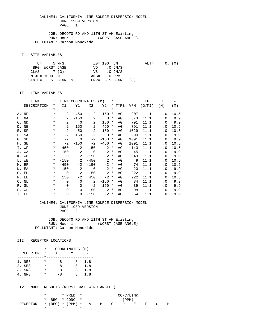JOB: DECOTO RD AND 11TH ST AM Existing RUN: Hour 1 (WORST CASE ANGLE) POLLUTANT: Carbon Monoxide

I. SITE VARIABLES

| U= .5 M/S       |                   | $Z0 = 100$ . CM |                         | $\text{ALT} =$ |  | $0.$ (M) |
|-----------------|-------------------|-----------------|-------------------------|----------------|--|----------|
| BRG= WORST CASE |                   | $VD = 0 CM/S$   |                         |                |  |          |
| $CLAS = 7(G)$   |                   |                 | $VS = 0 \, \text{CM/S}$ |                |  |          |
| MIXH= 1000. M   |                   | AMB= .0 PPM     |                         |                |  |          |
|                 | SIGTH= 5. DEGREES |                 | TEMP= 5.5 DEGREE (C)    |                |  |          |

#### II. LINK VARIABLES

| LINK        | $\star$  |                | LINK COORDINATES (M) *     |                            |                   |        |    |      | EF                              | H                          | W      |
|-------------|----------|----------------|----------------------------|----------------------------|-------------------|--------|----|------|---------------------------------|----------------------------|--------|
| DESCRIPTION |          |                |                            |                            |                   |        |    |      | * X1 Y1 X2 Y2 * TYPE VPH (G/MI) | (M)                        | (M)    |
|             |          |                |                            |                            |                   |        |    |      |                                 |                            |        |
| A. NF       | $\star$  | $\mathbf{2}$   | $-450$                     |                            | $2 - 150$ *       |        | AG | 907  | 11.1                            | $\cdot$ 0                  | 10.5   |
| B. NA       | $\star$  | 2              |                            | $-150$ 2                   | $0 *$             |        | AG | 873  | 11.1                            |                            | .0 9.9 |
| C. ND       | $\star$  | 2              |                            | $0\qquad 2$                | $150 *$           |        | AG | 791  | 11.1                            |                            | .0 9.9 |
| D. NE       | $\star$  | 2              | 150                        | $\overline{\phantom{0}}^2$ | 450               | $\ast$ | AG | 791  | 11.1                            | $\overline{\phantom{0}}$ . | 10.5   |
| E. SF       | $\ast$   | $-2$           | 450                        | $-2$                       | $150 *$           |        | AG | 1029 | 11.1                            | . 0                        | 10.5   |
| F. SA       | $\ast$   | $-2$           | 150                        |                            | $-2$ 0 $*$        |        | AG | 990  | 11.1                            |                            | .0 9.9 |
| G. SD       | $\ast$   | $-2$           | $\overline{0}$             | $-2$                       | $-150$ *          |        | AG | 1091 | 11.1                            |                            | .0 9.9 |
| H. SE       | $\ast$   | $-2$           | $-150$                     | $-2$                       | $-450$ *          |        | AG | 1091 | 11.1                            | . 0                        | 10.5   |
| I. WF       | $\ast$   | 450            | $\sim$ 2                   |                            | $150$ 2 $*$       |        | AG | 143  | 11.1                            | $\cdot$ 0                  | 10.5   |
| J. WA       | $\star$  |                | 150 2                      |                            | $0 \t 2 \t \star$ |        | AG | 45   | 11.1                            |                            | .0 9.9 |
| K. WD       | $\star$  | $\overline{0}$ | $\overline{\phantom{a}}$ 2 |                            | $-150$ 2 *        |        | AG | 49   | 11.1                            |                            | .0 9.9 |
| L. WE       | $\star$  |                | $-150$ 2                   |                            | $-450$ 2 *        |        | AG | 49   | 11.1                            | $\cdot$ 0                  | 10.5   |
| M. EF       | $\star$  | $-450$         | $-2$                       | $-150$                     | $-2$ *            |        | AG | 74   | 11.1                            | . 0                        | 10.5   |
| N. EA       | $\star$  | $-150$         |                            | $-2$ 0                     | $-2$ *            |        | AG | 20   | 11.1                            |                            | .0 9.9 |
| O. ED       | $\star$  | $\overline{0}$ | $-2$                       | 150                        | $-2$ *            |        | AG | 222  | 11.1                            | $\cdot$ 0                  | 9.9    |
| P. EE       | $\star$  | 150            | $-2$                       | 450                        | $-2$ *            |        | AG | 222  | 11.1                            | . 0                        | 10.5   |
| Q. NL       | $\star$  | $\Omega$       | $\Omega$                   | $\overline{\phantom{a}}$ 2 | $-150$ *          |        | AG | 34   | 11.1                            | $\cdot$ 0                  | 9.9    |
| R. SL       | $\star$  | $\Omega$       | $\mathbf 0$                | $-2$                       | $150 *$           |        | AG | 39   | 11.1                            | $\cdot$ 0                  | 9.9    |
| S. WL       | $\star$  | $\Omega$       | $\Omega$                   | 150                        | $2^*$             |        | AG | 98   | 11.1                            | $\cdot$ 0                  | 9.9    |
| T. EL       | $^\star$ | $\mathbf 0$    | $\overline{0}$             | $-150$                     | $-2$ *            |        | AG | 54   | 11.1                            | $\cdot$ 0                  | 9.9    |

#### CALINE4: CALIFORNIA LINE SOURCE DISPERSION MODEL JUNE 1989 VERSION PAGE 2

JOB: DECOTO RD AND 11TH ST AM Existing<br>RUN: Hour 1 (WORST CASE ANGL) (WORST CASE ANGLE) POLLUTANT: Carbon Monoxide

#### III. RECEPTOR LOCATIONS

|                 | * | COORDINATES (M) |      |     |
|-----------------|---|-----------------|------|-----|
| <b>RECEPTOR</b> | * | X               |      |     |
|                 |   |                 |      |     |
| 1. NE3          | * | я               | 8    | 1.8 |
| 2. SE3          | * | я               | $-8$ | 1.8 |
| 3. SW3          | * | -8              | $-8$ | 1.8 |
| NW 3            | * | $-8$            | x    | 1.8 |

IV. MODEL RESULTS (WORST CASE WIND ANGLE )

|                                          |  | $*$ PRED $*$                        | CONC/LINK |  |  |       |  |  |  |   |
|------------------------------------------|--|-------------------------------------|-----------|--|--|-------|--|--|--|---|
|                                          |  | * BRG * $CONC$ *                    |           |  |  | (PPM) |  |  |  |   |
| RECEPTOR * (DEG) * (PPM) * $A$ B C D E F |  |                                     |           |  |  |       |  |  |  | H |
|                                          |  | *-------*------*------------------- |           |  |  |       |  |  |  |   |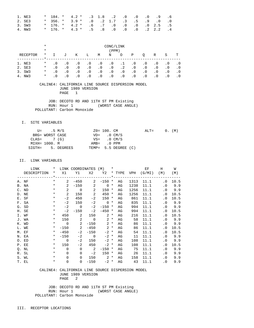| 1. NE3 |  |  |  |  | $*$ 184. $*$ 4.2 $*$ .3 1.8 .2 .0 .0 .0 .9 .6 |  |  |
|--------|--|--|--|--|-----------------------------------------------|--|--|
| 2. SE3 |  |  |  |  | $*$ 356. $*$ 3.9 $*$ .0 .2 1.7 .3 .5 .9 .0 .0 |  |  |
| 3. SW3 |  |  |  |  | $*$ 176. $*$ 4.2 $*$ .6 .7 .0 .0 .0 .0 2.5 .5 |  |  |
| 4. NW3 |  |  |  |  | $*$ 176. $*$ 4.3 $*$ .5 .8 .0 .0 .0 .2 2.2 .4 |  |  |

|          | $\ast$   | CONC/LINK |           |           |           |           |           |           |           |           |           |           |           |
|----------|----------|-----------|-----------|-----------|-----------|-----------|-----------|-----------|-----------|-----------|-----------|-----------|-----------|
|          | $\ast$   | (PPM)     |           |           |           |           |           |           |           |           |           |           |           |
| RECEPTOR | $^\star$ |           | J         | Κ         | Ш.        | M         | N         | $\circ$   | Ρ         | O         | R         | S         | т         |
| 1. NE3   | $\ast$   | . 0       | . 0       | $\cdot$ 0 | . 0       | . 0       | $\cdot$ 0 | .1        | . 0       | $\cdot$ 0 | . 0       | . 0       | $\cdot$ 0 |
| 2. SE3   | $^\star$ | $\cdot$ 0 | $\cdot$ 0 | $\cdot$ 0 | $\cdot$ 0 | $\cdot$ 0 | $\cdot$ 0 | $\cdot$ 2 | $\cdot$ 0 | $\cdot$ 0 | $\cdot$ 0 | $\cdot$ 0 | . 0       |
| 3. SW3   | $\ast$   | $\cdot$ 0 | $\cdot$ 0 | $\cdot$ 0 | $\cdot$ 0 | $\cdot$ 0 | $\cdot$ 0 | $\cdot$ 0 | $\cdot$ 0 | $\cdot$ 0 | $\cdot$ 0 | $\cdot$ 0 | . 0       |
| NW3      | $\ast$   | . 0       |           | $\cdot$ 0 | . 0       | $\cdot$ 0 | $\cdot$ 0 | $\cdot$ 0 | . 0       | $\cdot$ 0 | $\cdot$ 0 | $\cdot$ 0 |           |

 JOB: DECOTO RD AND 11TH ST PM Existing RUN: Hour 1 (WORST CASE ANGLE) POLLUTANT: Carbon Monoxide

I. SITE VARIABLES

|               | U= .5 M/S       |                   | $Z0 = 100$ . CM         |                      | $ALT =$ |  | $0.$ (M) |
|---------------|-----------------|-------------------|-------------------------|----------------------|---------|--|----------|
|               | BRG= WORST CASE |                   | $VD = 0 CM/S$           |                      |         |  |          |
| $CLAS = 7(G)$ |                 |                   | $VS = 0 \, \text{CM/S}$ |                      |         |  |          |
| MIXH= 1000. M |                 |                   | AMB= .0 PPM             |                      |         |  |          |
|               |                 | SIGTH= 5. DEGREES |                         | TEMP= 5.5 DEGREE (C) |         |  |          |

II. LINK VARIABLES

| LINK        | $\star$    |                | LINK COORDINATES (M) *     |                            |                   |        |    |      | EF                              | H                          | W      |
|-------------|------------|----------------|----------------------------|----------------------------|-------------------|--------|----|------|---------------------------------|----------------------------|--------|
| DESCRIPTION |            |                |                            |                            |                   |        |    |      | * X1 Y1 X2 Y2 * TYPE VPH (G/MI) | (M)                        | (M)    |
|             |            |                |                            |                            |                   |        |    |      |                                 |                            |        |
| A. NF       | $\star$    | $\mathbf{2}$   | $-450$                     |                            | $2 - 150$ *       |        | AG | 1313 | 11.1                            | $\cdot$ 0                  | 10.5   |
| B. NA       | $\star$    | 2              |                            | $-150$ 2                   | $0 *$             |        | AG | 1238 | 11.1                            |                            | .0 9.9 |
| C. ND       | $\star$    | 2              |                            | $0\qquad 2$                | $150 *$           |        | AG | 1256 | 11.1                            |                            | .0 9.9 |
| D. NE       | $\star$    | 2              | 150                        | $\overline{\phantom{0}}^2$ | 450               | $\ast$ | AG | 1256 | 11.1                            | $\overline{\phantom{0}}$ . | 10.5   |
| E. SF       | $\ast$     | $-2$           | 450                        | $-2$                       | 150 *             |        | AG | 861  | 11.1                            | . 0                        | 10.5   |
| F. SA       | $\star$    | $-2$           | 150                        |                            | $-2$ 0 $*$        |        | AG | 835  | 11.1                            |                            | .0 9.9 |
| G. SD       | $\ast$     |                | $-2$ 0                     | $-2$                       | $-150$ *          |        | AG | 994  | 11.1                            |                            | .0 9.9 |
| H. SE       | $^{\star}$ | $-2$           | $-150$                     | $-2$                       | $-450$ *          |        | AG | 994  | 11.1                            | . 0                        | 10.5   |
| I. WF       | $\star$    |                | 450 2                      |                            | $150$ 2 $*$       |        | AG | 216  | 11.1                            | $\overline{\phantom{0}}$ . | 10.5   |
| J. WA       | $\star$    |                | 150 2                      |                            | $0 \t 2 \t \star$ |        | AG | 58   | 11.1                            |                            | .0 9.9 |
| K. WD       |            | $*$ 0          | $\overline{\phantom{a}}$ 2 |                            | $-150$ 2 *        |        | AG | 86   | 11.1                            |                            | .0 9.9 |
| L. WE       | $\star$    |                | $-150$ 2                   |                            | $-450$ 2 *        |        | AG | 86   | 11.1                            | $\cdot$ 0                  | 10.5   |
| M. EF       | $\star$    | $-450$         | $-2$                       | $-150$                     | $-2$ *            |        | AG | 54   | 11.1                            | $\cdot$ 0                  | 10.5   |
| N. EA       | $\star$    | $-150$         |                            | $-2$ 0                     | $-2$ *            |        | AG | 11   | 11.1                            |                            | .0 9.9 |
| O. ED       | $\star$    | $\overline{0}$ | $-2$                       | 150                        | $-2$ *            |        | AG | 108  | 11.1                            | $\cdot$ 0                  | 9.9    |
| P. EE       | $\star$    | 150            | $-2$                       | 450                        | $-2$ *            |        | AG | 108  | 11.1                            | . 0                        | 10.5   |
| Q. NL       | $\star$    | $\Omega$       | $\Omega$                   | $\overline{\phantom{a}}$   | $-150$ *          |        | AG | 75   | 11.1                            | $\cdot$ 0                  | 9.9    |
| R. SL       | $\star$    | $\Omega$       | $\Omega$                   | $-2$                       | $150*$            |        | AG | - 26 | 11.1                            | $\cdot$ 0                  | 9.9    |
| S. WL       | $\star$    | $\Omega$       | $\Omega$                   |                            | $150$ 2 $*$       |        | AG | 158  | 11.1                            | $\cdot$ 0                  | 9.9    |
| T. EL       | $^{\star}$ | $\mathbf 0$    | $\overline{0}$             | $-150$                     | $-2$ *            |        | AG | 43   | 11.1                            | $\overline{\phantom{0}}$ . | 9.9    |

 CALINE4: CALIFORNIA LINE SOURCE DISPERSION MODEL JUNE 1989 VERSION PAGE 2

 JOB: DECOTO RD AND 11TH ST PM Existing RUN: Hour 1 (WORST CASE ANGLE) POLLUTANT: Carbon Monoxide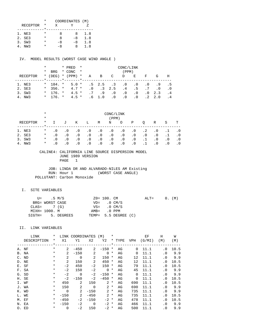|                 | * | COORDINATES (M) |    |     |
|-----------------|---|-----------------|----|-----|
| <b>RECEPTOR</b> | * | x               |    |     |
|                 |   |                 |    |     |
| 1. NE3          | * | я               | x  | 1.8 |
| 2. SE3          | * | я               | -8 | 1.8 |
| 3. SW3          | * | -8              | -8 | 1.8 |
| NW 3            |   | -8              | x  | 1.8 |

IV. MODEL RESULTS (WORST CASE WIND ANGLE )

|          | *        |                 | * PRED        | $\star$ | CONC/LINK |                |                |           |           |                 |     |           |
|----------|----------|-----------------|---------------|---------|-----------|----------------|----------------|-----------|-----------|-----------------|-----|-----------|
|          | $^\star$ | <b>BRG</b>      | * CONC        | $\star$ |           |                |                | (PPM)     |           |                 |     |           |
| RECEPTOR | $\star$  | (DEG)           | $*$ (PPM) $*$ |         | Α         | B              | C              | D         | Е         | F               | G   | H         |
|          |          | $\star$ $\star$ |               |         |           |                |                |           |           |                 |     |           |
| 1. NE3   |          | $*$ 184. $*$    | $5.0*$        |         |           | $.5 \t2.5 \t3$ |                | $\cdot$ 0 | $\cdot$ 0 | $\cdot$ 0       | .9  | . . 5     |
| 2. SE3   | $\star$  | $356.$ *        | $4.7*$        |         | $\cdot$ 0 |                | $.3 \quad 2.5$ | .4        | .5        | $.7\phantom{0}$ | . 0 | . 0       |
| 3. SW3   |          | $*$ 176. $*$    | $4.5 *$       |         | .7        | .9             | $\cdot$ 0      | $\cdot$ 0 | . 0       | $\cdot$ 0       | 2.3 | $\cdot$ 4 |
| 4. NW3   |          | $*$ 176. $*$    | $4.5 *$       |         | . 6       | 1.0            | $\cdot$ 0      | $\cdot$ 0 | $\cdot$ 0 |                 | 2.0 | . 4       |

|                 | $^\star$<br>$\star$ | CONC/LINK<br>(PPM) |           |           |           |           |           |           |           |           |           |           |     |
|-----------------|---------------------|--------------------|-----------|-----------|-----------|-----------|-----------|-----------|-----------|-----------|-----------|-----------|-----|
| RECEPTOR        | $\ast$              | $\mathbf{I}$       | J         | Κ         | Ŀ         | М         | N         | O         | Ρ         | O         | R         | S         | т   |
| NE 3<br>1.      | $^\star$            | $\cdot$ 0          | $\cdot$ 0 | $\cdot$ 0 | $\cdot$ 0 | $\cdot$ 0 | $\cdot$ 0 | $\cdot$ 0 | . 0       | $\cdot$ 2 | $\cdot$ 0 |           |     |
| 2. SE3          | $\ast$              | $\cdot$ 0          | $\cdot$ 0 | $\cdot$ 0 | $\cdot$ 0 | $\cdot$ 0 | $\cdot$ 0 | $\cdot$ 0 | $\cdot$ 0 | $\cdot$ 0 | $\cdot$ 0 |           | . 0 |
| SW3<br>3.       | $\ast$              | $\cdot$ 0          | $\cdot$ 0 | $\cdot$ 0 | $\cdot$ 0 | $\cdot$ 0 | $\cdot$ 0 | $\cdot$ 0 | $\cdot$ 0 |           | $\cdot$ 0 | $\cdot$ 0 | . 0 |
| NW <sub>3</sub> | $\ast$              | . 0                | $\cdot$ 0 | $\cdot$ 0 | $\cdot$ 0 | $\cdot$ 0 | $\cdot$ 0 | $\cdot$ 0 | . 0       |           | . 0       | $\cdot$ 0 |     |

#### CALINE4: CALIFORNIA LINE SOURCE DISPERSION MODEL JUNE 1989 VERSION PAGE 1

 JOB: LINDA DR AND ALVARADO-NILES AM Existing RUN: Hour 1 POLLUTANT: Carbon Monoxide

### I. SITE VARIABLES

|               | U= .5 M/S       |                   | ZO= 100. CM   |                         | $ALT = 0. (M)$ |  |  |
|---------------|-----------------|-------------------|---------------|-------------------------|----------------|--|--|
|               | BRG= WORST CASE |                   |               | $VD = 0 CM/S$           |                |  |  |
| $CLAS = 7(G)$ |                 |                   |               | $VS = 0 \, \text{CM/S}$ |                |  |  |
|               | MIXH= 1000. M   |                   | $AMB = 0 PPM$ |                         |                |  |  |
|               |                 | SIGTH= 5. DEGREES |               | TEMP= 5.5 DEGREE (C)    |                |  |  |

### II. LINK VARIABLES

| LINK        | $\ast$      | LINK           | COORDINATES    |                | (M)            | $\ast$   |             |            | ΕF     | Η         | W    |
|-------------|-------------|----------------|----------------|----------------|----------------|----------|-------------|------------|--------|-----------|------|
| DESCRIPTION | $\ast$      | X1             | Y1             | X <sub>2</sub> | Y2             |          | * TYPE      | <b>VPH</b> | (G/MI) | (M)       | (M)  |
|             | $\star$ $-$ |                |                |                |                |          | *---------- |            |        |           |      |
| A. NF       | $\ast$      | 2              | $-450$         | 2              | $-150$         | *        | AG          | $\Omega$   | 11.1   | $\cdot$ 0 | 10.5 |
| B. NA       | $\ast$      | 2              | $-150$         | 2              | $\Omega$       | $\ast$   | AG          | $\Omega$   | 11.1   | $\cdot$ 0 | 9.9  |
| C. ND       | $\ast$      | $\overline{2}$ | $\Omega$       | 2              | 150            | $^\star$ | AG          | 12         | 11.1   | $\cdot$ 0 | 9.9  |
| D. NE       | $\ast$      | $\overline{2}$ | 150            | 2              | 450            | *        | AG          | 12         | 11.1   | . 0       | 10.5 |
| E. SF       | $\ast$      | $-2$           | 450            | $-2$           | 150            | *        | AG          | 79         | 11.1   | . 0       | 10.5 |
| F. SA       | $^\star$    | $-2$           | 150            | $-2$           | $\mathbf 0$    | $^\ast$  | AG          | 45         | 11.1   | $\cdot$ 0 | 9.9  |
| G. SD       | $^\star$    | $-2$           | $\Omega$       | $-2$           | $-150$         | $^\star$ | AG          | $\Omega$   | 11.1   | $\cdot$ 0 | 9.9  |
| H. SE       | $\star$     | $-2$           | $-150$         | $-2$           | $-450$         | $^\star$ | AG          | $\Omega$   | 11.1   | $\cdot$ 0 | 10.5 |
| I. WF       | $^\star$    | 450            | 2              | 150            | 2              | $^\ast$  | AG          | 690        | 11.1   | $\cdot$ 0 | 10.5 |
| J. WA       | $^\star$    | 150            | $\overline{2}$ | $\Omega$       | 2              | $\ast$   | AG          | 690        | 11.1   | $\cdot$ 0 | 9.9  |
| K. WD       | $^\star$    | $\Omega$       | 2              | $-150$         | $\overline{2}$ | $^\star$ | AG          | 735        | 11.1   | $\cdot$ 0 | 9.9  |
| L. WE       | $\ast$      | $-150$         | 2              | $-450$         | 2              | $\ast$   | AG          | 735        | 11.1   | $\cdot$ 0 | 10.5 |
| M. EF       | $\ast$      | $-450$         | $-2$           | $-150$         | $-2$           | $\star$  | AG          | 478        | 11.1   | . 0       | 10.5 |
| N. EA       | $\ast$      | $-150$         | $-2$           | $\Omega$       | $-2$           | $\ast$   | AG          | 466        | 11.1   | $\cdot$ 0 | 9.9  |
| O. ED       | $^\star$    | $\Omega$       | $-2$           | 150            | $-2$           | *        | AG          | 500        | 11.1   | . 0       | 9.9  |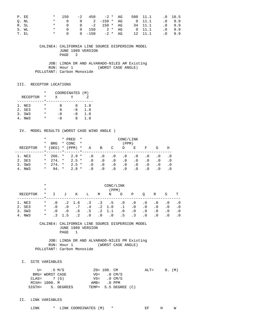| P. EE | $\star$ . | 150       |              | -2 450 -2 * AG      |         |                |          | 500 11.1 .0 10.5 |          |
|-------|-----------|-----------|--------------|---------------------|---------|----------------|----------|------------------|----------|
| O. NL |           |           |              | * 0 0 2 -150 $*$ AG |         | $0 \quad 11.1$ |          |                  | .09.9    |
| R. SL |           |           |              | * 0 0 -2 150 * AG   |         |                | 34 11.1  |                  | .09.9    |
| S. WL |           | $\star$ 0 |              | 0 150 2 * AG        |         |                | $0$ 11.1 |                  | $.0$ 9.9 |
| T. EL |           |           | * 0 0 $-150$ |                     | -2 * AG |                | 12 11.1  |                  | $.0$ 9.9 |

 JOB: LINDA DR AND ALVARADO-NILES AM Existing RUN: Hour 1 (WORST CASE ANGLE) POLLUTANT: Carbon Monoxide

#### III. RECEPTOR LOCATIONS

|                 | *        | COORDINATES (M) |      |     |
|-----------------|----------|-----------------|------|-----|
| <b>RECEPTOR</b> | *        | X               |      |     |
|                 |          |                 |      |     |
| 1. NE3          | *        | я               | Χ    | 1.8 |
| 2. SE3          | $^\star$ | я               | $-8$ | 1.8 |
| 3. SW3          | *        | -8              | -8   | 1.8 |
| NW 3            |          | -8              | x    | 1.8 |

### IV. MODEL RESULTS (WORST CASE WIND ANGLE )

|           | *       |            |         | * PRED  | CONC/LINK<br>$\star$ |           |           |           |           |            |           |           |     |
|-----------|---------|------------|---------|---------|----------------------|-----------|-----------|-----------|-----------|------------|-----------|-----------|-----|
|           | *       | <b>BRG</b> |         | * CONC  | $\star$              |           |           |           | (PPM)     |            |           |           |     |
| RECEPTOR  | $\ast$  | (DEG)      | $\ast$  | (PPM)   | $\star$              | Α         | В         | C         | D         | E          | F         | G         | Η   |
|           |         |            | $\star$ |         |                      |           |           |           |           |            |           |           |     |
| 1. NE3    | $\star$ | $266.$ *   |         | $2.9*$  |                      | $\cdot$ 0 | $\cdot$ 0 | $\cdot$ 0 | . 0       | . 0        | . 0       | . 0       | . 0 |
| 2. SE3    | $\star$ | $274.$ *   |         | $2.5 *$ |                      | $\cdot$ 0 | $\cdot$ 0 | . 0       | $\cdot$ 0 | $.0 \cdot$ | . 0       | $\cdot$ 0 | . 0 |
| 3. SW3    | $\star$ | $274.$ *   |         | $2.5 *$ |                      | $\cdot$ 0 | . 0       | . 0       | $\cdot$ 0 | . 0        | $\cdot$ 0 | . 0       | . 0 |
| NW3<br>4. | $\ast$  | 94. *      |         | $2.8*$  |                      | . 0       | . 0       | $\cdot$ 0 | $\cdot$ 0 | $\cdot$ 0  | . 0       | . 0       |     |

|          | $\ast$<br>$\ast$ | CONC/LINK |                |                |           |           |           |           |           |           |           |           |           |
|----------|------------------|-----------|----------------|----------------|-----------|-----------|-----------|-----------|-----------|-----------|-----------|-----------|-----------|
|          |                  |           | (PPM)          |                |           |           |           |           |           |           |           |           |           |
| RECEPTOR | $^\star$         | $\top$    | J              | Κ              | Ŀ         | M         | N         | $\circ$   | Ρ         | O         | R         | S         | т         |
|          |                  |           |                |                |           |           |           |           |           |           |           |           |           |
| 1. NE3   | $\ast$           | . 0       |                | $.2 \quad 1.6$ | $\cdot$ 3 | $\cdot$ 3 | $\cdot$ 5 | $\cdot$ 0 | $\cdot$ 0 | $\cdot$ 0 | $\cdot$ 0 | . 0       | $\cdot$ 0 |
| 2. SE3   | $^\star$         | . 0       | $\cdot$ 0      | .7             | .4        | $\cdot$ 2 | 1.0       | $\cdot$ 1 | $\cdot$ 0 | $\cdot$ 0 | $\cdot$ 0 | $\cdot$ 0 | $\cdot$ 0 |
| 3. SW3   | $\ast$           | . 0       | $\cdot$ 0      | . 6            | .5        | $\cdot$ 2 | 1.1       | $\cdot$ 0 | $\cdot$ 0 | . 0       | $\cdot$ 0 | $\cdot$ 0 | $\cdot$ 0 |
| NW3      | $\ast$           |           | $\overline{a}$ | . 2            | $\cdot$ 0 | . 0       | $\cdot$ 0 | . 5       | $\cdot$ 3 | $\cdot$ 0 | $\cdot$ 0 | $\cdot$ 0 |           |

 CALINE4: CALIFORNIA LINE SOURCE DISPERSION MODEL JUNE 1989 VERSION PAGE 1

 JOB: LINDA DR AND ALVARADO-NILES PM Existing RUN: Hour 1 (WORST CASE ANGLE) POLLUTANT: Carbon Monoxide

I. SITE VARIABLES

|               | U= .5 M/S       |                   | Z0= 100. CM             |                      | ALT= |  | 0. (M) |
|---------------|-----------------|-------------------|-------------------------|----------------------|------|--|--------|
|               | BRG= WORST CASE |                   | $VD = 0 CM/S$           |                      |      |  |        |
|               | $CLAS = 7(G)$   |                   | $VS = 0 \, \text{CM/S}$ |                      |      |  |        |
| MIXH= 1000. M |                 |                   | AMB= .0 PPM             |                      |      |  |        |
|               |                 | SIGTH= 5. DEGREES |                         | TEMP= 5.5 DEGREE (C) |      |  |        |

### II. LINK VARIABLES

| ____<br>ГNК<br>1 N K | $\bigcap$<br>M<br>.<br>COORDINATES | . <del>. .</del><br>١٨Ι<br>--<br>. . |
|----------------------|------------------------------------|--------------------------------------|
|----------------------|------------------------------------|--------------------------------------|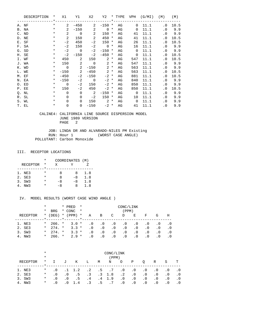| DESCRIPTION | $\star$    | X1             | Y1                       | X2                         |                   |    |                | Y2 * TYPE VPH (G/MI) | (M)       | (M)    |
|-------------|------------|----------------|--------------------------|----------------------------|-------------------|----|----------------|----------------------|-----------|--------|
|             |            |                |                          |                            |                   |    |                |                      |           |        |
| A. NF       | $\star$    | $\mathbf{2}$   | $-450$                   | $\mathbf{2}$               | $-150$ *          | AG |                | $0$ 11.1             | $\cdot$ 0 | 10.5   |
| B. NA       | $\star$    | $\overline{a}$ | $-150$                   | 2                          | $\overline{0}$ *  | AG | $\overline{0}$ | 11.1                 |           | .0 9.9 |
| C. ND       | $\star$    | 2              | $\overline{0}$           | $\overline{\phantom{0}}^2$ | 150 *             | AG | 41             | 11.1                 |           | .0 9.9 |
| D. NE       | $\star$    | 2              | 150                      | $\overline{\phantom{0}}^2$ | $450 *$           | AG | 41             | 11.1                 | . 0       | 10.5   |
| E. SF       | $\star$    | $-2$           | 450                      | $-2$                       | $150 *$           | AG | 26             | 11.1                 | . 0       | 10.5   |
| F. SA       | $\ast$     | $-2$           | 150                      | $-2$                       | $0 *$             | AG | 16             | 11.1                 | $\cdot$ 0 | 9.9    |
| G. SD       | $\ast$     | $-2$           | $\overline{\phantom{0}}$ | $-2$                       | $-150$ *          | AG | $\mathbf 0$    | 11.1                 |           | .0 9.9 |
| H. SE       | $^{\star}$ | $-2$           | $-150$                   | $-2$                       | $-450$ *          | AG | $\mathbf 0$    | 11.1                 | . 0       | 10.5   |
| I. WF       | $\star$    | 450            | 2                        | 150                        | $2*$              | AG | 547            | 11.1                 | $\cdot$ 0 | 10.5   |
| J. WA       | $\star$    |                | 150 2                    |                            | $0 \t 2 \t \star$ | AG | 547            | 11.1                 | $\cdot$ 0 | 9.9    |
| K. WD       | $\star$    | $\overline{0}$ | $\overline{2}$           | $-150$                     | $2 *$             | AG | 563            | 11.1                 | $\cdot$ 0 | 9.9    |
| L. WE       | $\star$    |                | $-150$ 2                 |                            | $-450$ 2 *        | AG | 563            | 11.1                 | . 0       | 10.5   |
| M. EF       | $\star$    | $-450$         | $-2$                     | $-150$                     | $-2$ *            | AG | 881            | 11.1                 | $\cdot$ 0 | 10.5   |
| N. EA       | $\star$    | $-150$         |                          | $-2$ 0                     | $-2$ *            | AG | 840            | 11.1                 | $\cdot$ 0 | 9.9    |
| O. ED       | $\star$    | $\overline{0}$ | $-2$                     | 150                        | $-2$ *            | AG | 850            | 11.1                 | $\cdot$ 0 | 9.9    |
| P. EE       | $\star$    | 150            | $-2$                     | 450                        | $-2$ *            | AG | 850            | 11.1                 | $\cdot$ 0 | 10.5   |
| Q. NL       | $\ast$     | $\Omega$       | $\Omega$                 | $\overline{\phantom{0}}^2$ | $-150$ *          | AG | $\overline{0}$ | 11.1                 | . 0       | 9.9    |
| R. SL       | $\ast$     | $\Omega$       | $\mathbf 0$              | $-2$                       | $150 *$           | AG | 10             | 11.1                 | . 0       | 9.9    |
| S. WL       | $\star$    | $\Omega$       | $\Omega$                 |                            | $150$ 2 *         | AG | $\overline{0}$ | 11.1                 | $\cdot$ 0 | 9.9    |
| T. EL       | $^\star$   | 0              | $\mathbf 0$              | $-150$                     | $-2$ *            | AG | 41             | 11.1                 | $\cdot$ 0 | 9.9    |

 JOB: LINDA DR AND ALVARADO-NILES PM Existing RUN: Hour 1 (WORST CASE ANGLE) POLLUTANT: Carbon Monoxide

#### III. RECEPTOR LOCATIONS

|                 | * | COORDINATES (M) |      |     |
|-----------------|---|-----------------|------|-----|
| <b>RECEPTOR</b> | * | X               |      |     |
|                 |   |                 |      |     |
| 1. NE3          | * | я               | 8    | 1.8 |
| 2. SE3          | * | я               | $-8$ | 1.8 |
| 3. SW3          | * | -8              | -8   | 1.8 |
| NW 3            |   | -8              |      | 1.8 |

### IV. MODEL RESULTS (WORST CASE WIND ANGLE )

|          | $^\star$ |            |         | * PRED                                         | $\star$<br>CONC/LINK |           |           |           |           |           |           |           |            |
|----------|----------|------------|---------|------------------------------------------------|----------------------|-----------|-----------|-----------|-----------|-----------|-----------|-----------|------------|
|          | $^\star$ | <b>BRG</b> |         | * CONC                                         | $\star$              |           |           |           | (PPM)     |           |           |           |            |
| RECEPTOR | $\star$  | (DEG)      |         | $*$ (PPM)                                      | $\star$              | Α         | B         | C         | D         | Е         | F         | G         | Н          |
|          |          |            | $\star$ | $\mathbf{r}$ and $\mathbf{r}$ and $\mathbf{r}$ |                      |           |           |           |           |           |           |           |            |
| 1. NE3   | $\star$  | 266. *     |         | $3.0*$                                         |                      | $\cdot$ 0 | $\cdot$ 0 | . 0       | $\cdot$ 0 | . 0       | . 0       | . 0       | . 0        |
| 2. SE3   | $\star$  | $274.$ *   |         | $3.3*$                                         |                      | $\cdot$ 0 | $\cdot$ 0 | $\cdot$ 0 | $\cdot$ 0 | $\cdot$ 0 | . 0       | $\cdot$ 0 | $\cdot$ .0 |
| 3. SW3   | $\star$  | $274.$ *   |         | $3.3*$                                         |                      | $\cdot$ 0 | $\cdot$ 0 | $\cdot$ 0 | $\cdot$ 0 | . 0       | . 0       | $\cdot$ 0 | . 0        |
| 4. NW3   | $\star$  | 266. *     |         | $2.9*$                                         |                      | $\cdot$ 0 | $\cdot$ 0 | .0        | . 0       | $\cdot$ 0 | $\cdot$ 0 | $\cdot$ 0 | . 0        |

|          | $\ast$  | CONC/LINK |              |                |           |                |                 |           |           |           |           |           |           |  |
|----------|---------|-----------|--------------|----------------|-----------|----------------|-----------------|-----------|-----------|-----------|-----------|-----------|-----------|--|
|          | $\ast$  |           | (PPM)        |                |           |                |                 |           |           |           |           |           |           |  |
| RECEPTOR | $\star$ |           | $\mathbf{J}$ | Κ              | L         | M              | N               | $\circ$   | Ρ         | O         | R         | S         | T         |  |
| 1. NE3   | $\ast$  | $\cdot$ 0 |              | $.1 \quad 1.2$ |           | $.2 \qquad .5$ | $.7\phantom{0}$ | $\cdot$ 0 | . 0       | $\cdot$ 0 | $\cdot$ 0 | $\cdot$ 0 | $\cdot$ 0 |  |
| 2. SE3   | $\ast$  | $\cdot$ 0 | $\cdot$ 0    | . 5            | $\cdot$ 3 |                | $.3 \t1.8$      | $\cdot$ 2 | $\cdot$ 0 | $\cdot$ 0 | $\cdot$ 0 | $\cdot$ 0 | $\cdot$ 0 |  |
| 3. SW3   | $\ast$  | $\cdot$ 0 | $\cdot$ 0    | . 5            | .4        |                | $.4 \quad 1.9$  | $\cdot$ 0 | $\cdot$ 0 | $\cdot$ 0 | $\cdot$ 0 | $\cdot$ 0 | $\cdot$ 0 |  |
| 4. NW3   | $\ast$  | . 0       |              | 1.4            | $\cdot$ 3 | $.5^{\circ}$   | .7              | . 0       | $\cdot$ 0 | $\cdot$ 0 | $\cdot$ 0 |           |           |  |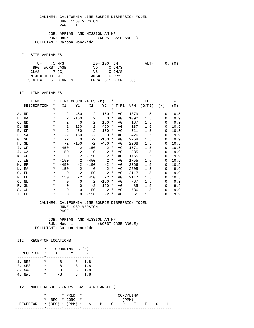JOB: APPIAN AND MISSION AM NP RUN: Hour 1 (WORST CASE ANGLE) POLLUTANT: Carbon Monoxide

I. SITE VARIABLES

|               | U= .5 M/S       |                   | ZO= 100. CM             |                      | $\text{ALT} =$ |  | 0. (M) |
|---------------|-----------------|-------------------|-------------------------|----------------------|----------------|--|--------|
|               | BRG= WORST CASE |                   | $VD = 0 CM/S$           |                      |                |  |        |
| $CLAS = 7(G)$ |                 |                   | $VS = 0 \, \text{CM/S}$ |                      |                |  |        |
| MIXH= 1000. M |                 |                   | AMB= .0 PPM             |                      |                |  |        |
|               |                 | SIGTH= 5. DEGREES |                         | TEMP= 5.5 DEGREE (C) |                |  |        |

#### II. LINK VARIABLES

| LINK        | $\star$  |                | LINK COORDINATES (M)                   |                            |                  | $\star$ |    |      | EF                            | H                          | W      |
|-------------|----------|----------------|----------------------------------------|----------------------------|------------------|---------|----|------|-------------------------------|----------------------------|--------|
| DESCRIPTION | $\star$  |                |                                        |                            |                  |         |    |      | X1 Y1 X2 Y2 * TYPE VPH (G/MI) | (M)                        | (M)    |
|             |          |                | _____*__________________________*_____ |                            |                  |         |    |      | -------------                 |                            |        |
| A. NF       | $\star$  | $\mathbf{2}$   | $-450$                                 |                            | $2 - 150$ *      |         | AG | 1879 | 1.5                           | $\overline{\phantom{0}}$ . | 10.5   |
| B. NA       | $\star$  | $\overline{2}$ |                                        | $-150$ 2                   | $0 *$            |         | AG | 1092 | 1.5                           | $\cdot$ 0                  | 9.9    |
| C. ND       | $\star$  | $\overline{2}$ | $\overline{0}$                         | $\overline{2}$             | $150 *$          |         | AG | 187  | 1.5                           |                            | .0 9.9 |
| D. NE       | $\star$  | 2              | 150                                    | $\overline{\phantom{0}}^2$ | 450              | $\ast$  | AG | 187  | 1.5                           | $\cdot$ 0                  | 10.5   |
| E. SF       | $\ast$   | $-2$           | 450                                    | $-2$                       | $150 *$          |         | AG | 511  | 1.5                           | . 0                        | 10.5   |
| F. SA       | $\star$  | $-2$           | 150                                    | $-2$                       | $\overline{0}$ * |         | AG | 426  | 1.5                           |                            | .0 9.9 |
| G. SD       | $\ast$   | $-2$           | $\overline{0}$                         | $-2$                       | $-150$ *         |         | AG | 2268 | 1.5                           |                            | .0 9.9 |
| H. SE       | $\ast$   | $-2$           | $-150$                                 | $-2$                       | $-450$ *         |         | AG | 2268 | 1.5                           | . 0                        | 10.5   |
| I. WF       | $\ast$   | 450            | 2                                      |                            | $150$ 2 $*$      |         | AG | 1571 | 1.5                           | $\cdot$ 0                  | 10.5   |
| J. WA       | $\ast$   |                | 150 2                                  | $\overline{\phantom{0}}$   | $2^*$            |         | AG | 835  | 1.5                           | $\cdot$ 0                  | 9.9    |
| K. WD       | $\star$  | $\overline{0}$ | $\overline{\phantom{a}}$ 2             | $-150$                     | $2 *$            |         | AG | 1755 | 1.5                           |                            | .0 9.9 |
| L. WE       | $\star$  |                | $-150$ 2                               | $-450$                     | $2 *$            |         | AG | 1755 | 1.5                           | $\cdot$ 0                  | 10.5   |
| M. EF       | $\star$  | $-450$         | $-2$                                   | $-150$                     | $-2$ *           |         | AG | 2366 | 1.5                           | . 0                        | 10.5   |
| N. EA       | $\star$  | $-150$         |                                        | $-2$ 0                     | $-2$ *           |         | AG | 2305 | 1.5                           |                            | .0 9.9 |
| O. ED       | $\ast$   | $\overline{0}$ | $-2$                                   | 150                        | $-2$ *           |         | AG | 2117 | 1.5                           | $\cdot$ 0                  | 9.9    |
| P. EE       | $\star$  | 150            | $-2$                                   | 450                        | $-2$ *           |         | AG | 2117 | 1.5                           | . 0                        | 10.5   |
| Q. NL       | $\star$  | $\Omega$       | $\Omega$                               | $\overline{\phantom{a}}$ 2 | $-150$ *         |         | AG | 787  | 1.5                           | . 0                        | 9.9    |
| R. SL       | $\ast$   | $\Omega$       | $\mathbf 0$                            | $-2$                       | $150 *$          |         | AG | 85   | 1.5                           | . 0                        | 9.9    |
| S. WL       | $\star$  | $\Omega$       | $\Omega$                               | 150                        | $2^*$            |         | AG | 736  | 1.5                           | $\cdot$ 0                  | 9.9    |
| T. EL       | $^\star$ | $\mathbf 0$    | $\overline{0}$                         | $-150$                     | $-2$ *           |         | AG | 61   | 1.5                           | $\cdot$ 0                  | 9.9    |

#### CALINE4: CALIFORNIA LINE SOURCE DISPERSION MODEL JUNE 1989 VERSION PAGE 2

JOB: APPIAN AND MISSION AM NP<br>RUN: Hour 1 (WORST CA (WORST CASE ANGLE) POLLUTANT: Carbon Monoxide

#### III. RECEPTOR LOCATIONS

|                 | * | COORDINATES (M) |      |     |
|-----------------|---|-----------------|------|-----|
| <b>RECEPTOR</b> | * | X               |      |     |
|                 |   |                 |      |     |
| 1. NE3          | * | я               | 8    | 1.8 |
| 2. SE3          | * | я               | $-8$ | 1.8 |
| 3. SW3          | * | -8              | $-8$ | 1.8 |
| NW 3            | * | $-8$            | x    | 1.8 |

IV. MODEL RESULTS (WORST CASE WIND ANGLE )

|                                        |  | $*$ PRED $*$   |  |  | CONC/LINK |  |   |
|----------------------------------------|--|----------------|--|--|-----------|--|---|
|                                        |  | * BRG * CONC * |  |  | (PPM)     |  |   |
| RECEPTOR * (DEG) * (PPM) * A B C D E F |  |                |  |  |           |  | н |
|                                        |  |                |  |  |           |  |   |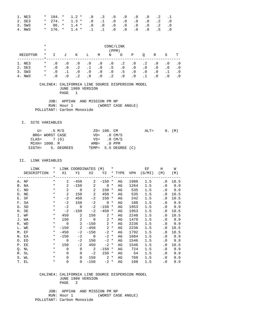| 1. NE3 |  | $*$ 184. $*$ 1.2 $*$ .0 .3 .0 .0 .0 .0 .2 .1 |  |  |  |  |
|--------|--|----------------------------------------------|--|--|--|--|
| 2. SE3 |  | $*$ 274. $*$ 1.3 $*$ .0 .1 .0 .0 .0 .0 .2 .0 |  |  |  |  |
| 3. SW3 |  | $*$ 86. $*$ 1.4 $*$ .0 .0 .0 .0 .0 .0 .2 .0  |  |  |  |  |
| 4. NW3 |  | * 176. * 1.4 * .1 .1 .0 .0 .0 .0 .5 .0       |  |  |  |  |

|          | $\ast$   | CONC/LINK |           |           |           |           |           |           |           |           |           |           |     |
|----------|----------|-----------|-----------|-----------|-----------|-----------|-----------|-----------|-----------|-----------|-----------|-----------|-----|
|          | $\ast$   |           |           |           |           |           | (PPM)     |           |           |           |           |           |     |
| RECEPTOR | $^\star$ |           | J         | K         | Ŀ         | М         | N         | $\circ$   | Ρ         | O         | R         | S         | т   |
|          |          |           |           |           |           |           |           |           |           |           |           |           |     |
| NE3      | $\ast$   | $\cdot$ 0 | $\cdot$ 0 | $\cdot$ 0 | $\cdot$ 0 | . 0       | $\cdot$ 0 | $\cdot$ 2 | $\cdot$ 0 | $\cdot$ 2 | $\cdot$ 0 | . 0       | . 0 |
| 2. SE3   | $^\star$ | $\cdot$ 0 | $\cdot$ 0 | $\cdot$ 2 |           | $\cdot$ 0 | .5        | $\cdot$ 0 | $\cdot$ 0 | $\cdot$ 0 | .0        | $\cdot$ 0 | . 0 |
| 3. SW3   | $\ast$   | $\cdot$ 0 |           | $\cdot$ 0 | $\cdot$ 0 | $\cdot$ 0 | $\cdot$ 0 | . 5       | $\cdot$ 0 | $\cdot$ 0 | $\cdot$ 0 |           | . 0 |
| NW3      | $\ast$   | . 0       |           | $\cdot$ 2 | $\cdot$ 0 | $\cdot$ 0 | $\cdot$ 2 | $\cdot$ 0 | . 0       |           | . 0       |           |     |

 JOB: APPIAN AND MISSION PM NP RUN: Hour 1 (WORST CASE ANGLE) POLLUTANT: Carbon Monoxide

#### I. SITE VARIABLES

|               | U= .5 M/S       |                   | ZO= 100. CM   |                         | $ALT=$ |  | 0. (M) |
|---------------|-----------------|-------------------|---------------|-------------------------|--------|--|--------|
|               | BRG= WORST CASE |                   | $VD = 0 CM/S$ |                         |        |  |        |
| $CLAS = 7(G)$ |                 |                   |               | $VS = 0 \, \text{CM/S}$ |        |  |        |
| MIXH= 1000. M |                 |                   | AMB= .0 PPM   |                         |        |  |        |
|               |                 | SIGTH= 5. DEGREES |               | TEMP= 5.5 DEGREE (C)    |        |  |        |

#### II. LINK VARIABLES

| LINK        | $\star$ |                | LINK COORDINATES (M) *     |                            |                   |        |    |      | EF                              | H                          | W      |
|-------------|---------|----------------|----------------------------|----------------------------|-------------------|--------|----|------|---------------------------------|----------------------------|--------|
| DESCRIPTION |         |                |                            |                            |                   |        |    |      | * X1 Y1 X2 Y2 * TYPE VPH (G/MI) | (M)                        | (M)    |
|             |         |                |                            |                            |                   |        |    |      |                                 |                            |        |
| A. NF       | $\star$ | $\mathbf{2}$   | $-450$                     |                            | $2 - 150$ *       |        | AG | 1988 | 1.5                             | $\cdot$ 0                  | 10.5   |
| B. NA       | $\star$ | $2^{\circ}$    |                            | $-150$ 2                   | $0 *$             |        | AG | 1264 | 1.5                             |                            | .0 9.9 |
| C. ND       | $\star$ | 2              | $\overline{0}$             | $\overline{\phantom{a}}$ 2 | $150 *$           |        | AG | 535  | 1.5                             |                            | .0 9.9 |
| D. NE       | $\star$ | $\overline{2}$ | 150                        | $\overline{\phantom{0}}^2$ | 450               | $\ast$ | AG | 535  | 1.5                             | . 0                        | 10.5   |
| E. SF       | $\ast$  | $-2$           | 450                        | $-2$                       | $150 *$           |        | AG | 242  | 1.5                             | . 0                        | 10.5   |
| F. SA       | $\star$ | $-2$           | 150                        | $-2$                       | $0 *$             |        | AG | 188  | 1.5                             |                            | .0 9.9 |
| G. SD       | $\star$ | $-2$           | $\overline{0}$             | $-2$                       | $-150$ *          |        | AG | 1953 | 1.5                             |                            | .0 9.9 |
| H. SE       | $\ast$  | $-2$           | $-150$                     | $-2$                       | $-450$ *          |        | AG | 1953 | 1.5                             | . 0                        | 10.5   |
| I. WF       | $\star$ |                | 450 2                      |                            | $150$ 2 $*$       |        | AG | 2248 | 1.5                             | $\cdot$ 0                  | 10.5   |
| J. WA       | $\star$ |                | 150 2                      |                            | $0 \t 2 \t \star$ |        | AG | 1479 | 1.5                             |                            | .0 9.9 |
| K. WD       | $\star$ | $\overline{0}$ | $\overline{\phantom{a}}$ 2 |                            | $-150$ 2 *        |        | AG | 2236 | 1.5                             |                            | .0 9.9 |
| L. WE       | $\star$ |                | $-150$ 2                   |                            | $-450$ 2 *        |        | AG | 2236 | 1.5                             | $\cdot$ 0                  | 10.5   |
| M. EF       | $\star$ | $-450$         | $-2$                       | $-150$                     | $-2$ *            |        | AG | 1792 | 1.5                             | . 0                        | 10.5   |
| N. EA       | $\star$ | $-150$         |                            | $-2$ 0                     | $-2$ *            |        | AG | 1684 | 1.5                             |                            | .0 9.9 |
| O. ED       | $\star$ | $\overline{0}$ | $-2$                       | 150                        | $-2$ *            |        | AG | 1546 | 1.5                             | $\cdot$ 0                  | 9.9    |
| P. EE       | $\star$ | 150            | $-2$                       | 450                        | $-2$ *            |        | AG | 1546 | 1.5                             | . 0                        | 10.5   |
| Q. NL       | $\star$ | $\Omega$       | $\Omega$                   | $\overline{\phantom{a}}$   | $-150$ *          |        | AG | 724  | 1.5                             | . 0                        | 9.9    |
| R. SL       | $\ast$  | $\Omega$       | $\Omega$                   | $-2$                       | $150 *$           |        | AG | 54   | 1.5                             | $\cdot$ 0                  | 9.9    |
| S. WL       | $\star$ | $\Omega$       | $\Omega$                   |                            | $150$ 2 $*$       |        | AG | 769  | 1.5                             | $\cdot$ 0                  | 9.9    |
| T. EL       | $\ast$  | $\mathbf 0$    | $\overline{0}$             | $-150$                     | $-2$ *            |        | AG | 108  | 1.5                             | $\overline{\phantom{0}}$ . | 9.9    |

#### CALINE4: CALIFORNIA LINE SOURCE DISPERSION MODEL JUNE 1989 VERSION PAGE 2

 JOB: APPIAN AND MISSION PM NP RUN: Hour 1 (WORST CASE ANGLE) POLLUTANT: Carbon Monoxide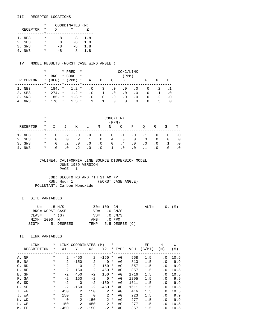#### III. RECEPTOR LOCATIONS

|                 | * | COORDINATES (M) |      |     |
|-----------------|---|-----------------|------|-----|
| <b>RECEPTOR</b> | * | x               |      |     |
|                 |   |                 |      |     |
| 1. NE3          | * | я               | x    | 1.8 |
| 2. SE3          | * | я               | $-8$ | 1.8 |
| 3. SW3          | * | $-8$            | -8   | 1.8 |
| NW 3            |   | - 8             | x    | 1.8 |

#### IV. MODEL RESULTS (WORST CASE WIND ANGLE )

|                        | $^\star$ |              | * PRED                  | $\star$  | CONC/LINK |           |           |           |           |           |           |     |
|------------------------|----------|--------------|-------------------------|----------|-----------|-----------|-----------|-----------|-----------|-----------|-----------|-----|
|                        | $\ast$   | <b>BRG</b>   | * CONC                  | $\star$  |           |           |           | (PPM)     |           |           |           |     |
| RECEPTOR               |          | $*$ (DEG)    | $*$ (PPM)               | $^\star$ | Α         | B         | C         | D         | Е         | F         | G         | Н   |
|                        |          |              | $\star$ $\star$ $\star$ |          |           |           |           |           |           |           |           |     |
| 1. NE3                 |          | $*$ 184. $*$ | $1.2*$                  |          | . 0       | $\cdot$ 3 | $\cdot$ 0 | $\cdot$ 0 | $\cdot$ 0 | . 0       | . 2       |     |
| 2. SE3                 | $\star$  | $274.$ *     | $1.2 *$                 |          | . 0       | $\cdot$ 1 | $\cdot$ 0 | $\cdot$ 0 | $\cdot$ 0 | $\cdot$ 0 | $\cdot$ 1 | . 0 |
| 3. SW3                 | $^\star$ | $85. *$      | $1.3 *$                 |          | . 0       | $\cdot$ 0 | $\cdot$ 0 | $\cdot$ 0 | $\cdot$ 0 | . 0       | $\cdot$ 2 | . 0 |
| NW 3<br>4 <sub>1</sub> | $\star$  | 176. *       | $1.3 *$                 |          |           |           | . 0       | $\cdot$ 0 | . 0       | . 0       | . 5       |     |

|                       | $^\star$<br>$\ast$ | CONC/LINK<br>(PPM) |           |           |           |           |           |           |           |           |           |           |           |
|-----------------------|--------------------|--------------------|-----------|-----------|-----------|-----------|-----------|-----------|-----------|-----------|-----------|-----------|-----------|
| RECEPTOR              | $\ast$             |                    | J         | Κ         | Ŀ         | М         | N         | O         | Ρ         | Q         | R         | S         | т         |
| 1. NE3                | $\ast$             | $\cdot$ 0          | $\cdot$ 2 | . 0       | $\cdot$ 0 | $\cdot$ 0 | $\cdot$ 0 | $\cdot$ 1 | $\cdot$ 0 | .1        | $\cdot$ 0 | . 0       | $\cdot$ 0 |
| 2. SE3                | $\ast$             | . 0                | $\cdot$ 0 | $\cdot$ 2 | $\cdot$ 1 | $\cdot$ 0 | $\cdot$ 4 | $\cdot$ 0 | $\cdot$ 0 | $\cdot$ 0 | $\cdot$ 0 | $\cdot$ 0 | . 0       |
| 3. SW3                | $^\star$           | $\cdot$ 0          | $\cdot$ 2 | $\cdot$ 0 | $\cdot$ 0 | $\cdot$ 0 | $\cdot$ 0 | . 4       | $\cdot$ 0 | $\cdot$ 0 | $\cdot$ 0 |           | $\cdot$ 0 |
| NW <sub>3</sub><br>4. | $\ast$             | . 0                | $\cdot$ 0 | $\cdot$ 2 | $\cdot$ 0 | $\cdot$ 0 |           | $\cdot$ 0 | $\cdot$ 0 |           | $\cdot$ 0 | $\cdot$ 0 | $\cdot$ 0 |

#### CALINE4: CALIFORNIA LINE SOURCE DISPERSION MODEL JUNE 1989 VERSION PAGE 1

 JOB: DECOTO RD AND 7TH ST AM NP RUN: Hour 1 (WORST CASE ANGLE) POLLUTANT: Carbon Monoxide

### I. SITE VARIABLES

|               | U= .5 M/S       |                   | Z0= 100. CM   |                          | $ALT =$ | 0. (M) |  |
|---------------|-----------------|-------------------|---------------|--------------------------|---------|--------|--|
|               | BRG= WORST CASE |                   |               | $VD = 0 CM/S$            |         |        |  |
| $CLAS = 7(G)$ |                 |                   | $VS = 0 CM/S$ |                          |         |        |  |
|               | MIXH= 1000. M   |                   | $AMB = 0$ PPM |                          |         |        |  |
|               |                 | SIGTH= 5. DEGREES |               | TEMP= $5.5$ DEGREE $(C)$ |         |        |  |

#### II. LINK VARIABLES

|    | LINK        | *        | LINK     | COORDINATES |          | (M)           | $\ast$   |        |            | EF     | H         | W    |
|----|-------------|----------|----------|-------------|----------|---------------|----------|--------|------------|--------|-----------|------|
|    | DESCRIPTION | $\ast$   | X1       | Y1          | X2       | Y2            |          | * TYPE | <b>VPH</b> | (G/MI) | (M)       | (M)  |
|    |             | $\star$  |          |             |          |               |          |        |            |        |           |      |
|    | A. NF       | $^\star$ | 2        | $-450$      | 2        | $-150$        | *        | AG     | 968        | 1.5    | $\cdot$ 0 | 10.5 |
|    | B. NA       | $^\star$ | 2        | $-150$      | 2        | $\Omega$      | *        | AG     | 813        | 1.5    | $\cdot$ 0 | 9.9  |
| C. | ND          | $^\star$ | 2        | 0           | 2        | 150           | $\ast$   | AG     | 857        | 1.5    | $\cdot$ 0 | 9.9  |
| D. | NE          | $^\star$ | 2        | 150         | 2        | 450           | $^\star$ | AG     | 857        | 1.5    | . 0       | 10.5 |
|    | E. SF       | $^\star$ | $-2$     | 450         | $-2$     | 150           | $^\star$ | AG     | 1716       | 1.5    | $\cdot$ 0 | 10.5 |
|    | F. SA       | $^\star$ | $-2$     | 150         | $-2$     | $\Omega$      | $\ast$   | AG     | 1295       | 1.5    | $\cdot$ 0 | 9.9  |
|    | G. SD       | $^\star$ | $-2$     | $\Omega$    | $-2$     | $-150$        | *        | AG     | 1611       | 1.5    | $\cdot$ 0 | 9.9  |
|    | H. SE       | $^\star$ | $-2$     | $-150$      | $-2$     | $-450$        | *        | AG     | 1611       | 1.5    | . 0       | 10.5 |
| Ι. | WF          | $^\star$ | 450      | 2           | 150      | 2             | $^\ast$  | AG     | 416        | 1.5    | $\cdot$ 0 | 10.5 |
| J. | WA          | $^\star$ | 150      | 2           | $\Omega$ | 2             | $^\star$ | AG     | 223        | 1.5    | $\cdot$ 0 | 9.9  |
| К. | WD          | $^\star$ | $\Omega$ | 2           | $-150$   | $\mathcal{L}$ | $^\star$ | AG     | 277        | 1.5    | $\cdot$ 0 | 9.9  |
| L. | WE          | $^\star$ | $-150$   | 2           | $-450$   | 2             | $^\ast$  | AG     | 277        | 1.5    | $\cdot$ 0 | 10.5 |
|    | M. EF       | $\ast$   | $-450$   | $-2$        | $-150$   | $-2$          | *        | AG     | 357        | 1.5    | . 0       | 10.5 |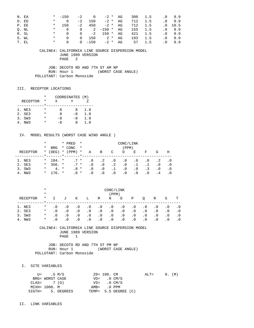| N. EA |       |         | $* = 150$                             |                  | $-2$ 0         |                | $-2$ * AG |                       | 300 1.5 |             | $.0$ 9.9   |
|-------|-------|---------|---------------------------------------|------------------|----------------|----------------|-----------|-----------------------|---------|-------------|------------|
|       | O. ED |         | $\star$ and $\star$<br>$\cap$         | $-2$             |                | $150 -2 * AG$  |           | 712                   | 1.5     |             | $.0$ 9.9   |
|       | P. EE | $\star$ | 150                                   | $-2$             | 450 —          |                | $-2 * R$  | 712                   |         | 1.5 .0 10.5 |            |
|       | O. NL |         |                                       | * 0 0 2 $-150$ * |                |                | AG        | 155                   | 1.5     |             | $.0$ 9.9   |
|       | R. SL |         | $\star$ 0                             |                  | 0 $-2$ 150 $*$ |                | AG        |                       | 421 1.5 |             | $.0 \t9.9$ |
|       | S. WL |         | $\star$ and $\cdot$<br>. വ            | $\Omega$         |                | $150$ 2 $*$ AG |           | 193                   | 1.5     |             | $.0$ 9.9   |
|       | T. EL |         | $\star$ and $\star$<br>$\overline{0}$ |                  |                |                |           | 0 -150 -2 * AG 57 1.5 |         |             | $.0$ 9.9   |

 JOB: DECOTO RD AND 7TH ST AM NP RUN: Hour 1 (WORST CASE ANGLE) POLLUTANT: Carbon Monoxide

#### III. RECEPTOR LOCATIONS

|                 | $\star$ | COORDINATES (M) |    |     |
|-----------------|---------|-----------------|----|-----|
| <b>RECEPTOR</b> | *       | X               |    |     |
|                 |         |                 |    |     |
| 1. NE3          | *       | я               | я  | 1.8 |
| 2. SE3          | *       | я               | -8 | 1.8 |
| 3. SW3          | *       | -8              | -8 | 1.8 |
| 4. NW3          | *       | -8              | x  | 1.8 |

### IV. MODEL RESULTS (WORST CASE WIND ANGLE )

|                  | *<br>*      | <b>BRG</b>         |         | * PRED<br>* CONC | $\star$<br>$\star$ |                        |                  |                 | CONC/LINK<br>(PPM)     |           |           |            |            |
|------------------|-------------|--------------------|---------|------------------|--------------------|------------------------|------------------|-----------------|------------------------|-----------|-----------|------------|------------|
| RECEPTOR         | $\star$     | (DEG)              | $\star$ | (PPM)            | $\star$            | Α                      | B                | C               | D                      | E         | F         | G          | Η          |
| 1. NE3           | $\star$     | 184. *             |         | $.7*$            |                    | $\cdot$ 0              | $\cdot$ 2        | $\cdot$ 0       | $\cdot$ 0              | . 0       | . 0       | . 2        | . 0        |
| 2. SE3<br>3. SW3 | $\ast$<br>* | $356. *$<br>$4. *$ |         | $.7*$<br>.8 *    |                    | $\cdot$ 0<br>$\cdot$ 0 | $\cdot$ 0<br>. 0 | $\cdot$ 2<br>.1 | $\cdot$ 0<br>$\cdot$ 0 | . 0       | . 3       | . 0<br>. 0 | . 0<br>. 0 |
| 4. NW3           | $\ast$      | $176 *$            |         | .8 *             |                    | . 0                    | $.0 \cdot$       | $\cdot$ 0       | . 0                    | $\cdot$ 0 | $\cdot$ 0 | . 4        | . 0        |

|          | $\ast$<br>$\ast$ | CONC/LINK<br>(PPM) |           |           |           |           |           |           |           |           |           |           |           |
|----------|------------------|--------------------|-----------|-----------|-----------|-----------|-----------|-----------|-----------|-----------|-----------|-----------|-----------|
| RECEPTOR | $^\star$         |                    | J         | Κ         | Ŀ         | M         | N         | O         | Ρ         | O         | R         | S         | т         |
| 1. NE3   | $^\star$         | $\cdot$ 0          | $\cdot$ 0 | . 0       | $\cdot$ 0 | $\cdot$ 0 | $\cdot$ 0 | $\cdot$ 0 | . 0       | $\cdot$ 0 | $\cdot$ 0 | $\cdot$ 0 | . 0       |
| 2. SE3   | $\ast$           | $\cdot$ 0          | $\cdot$ 0 | $\cdot$ 0 | $\cdot$ 0 | $\cdot$ 0 | $\cdot$ 0 | $\cdot$ 0 | $\cdot$ 0 | $\cdot$ 0 | $\cdot$ 0 | . 0       | $\cdot$ 0 |
| 3. SW3   | $\ast$           | . 0                | $\cdot$ 0 | $\cdot$ 0 | $\cdot$ 0 | $\cdot$ 0 | $\cdot$ 0 | $\cdot$ 0 | $\cdot$ 0 | $\cdot$ 0 | $\cdot$ 0 | . 0       | . 0       |
| NW3      | $\ast$           | . 0                |           | $\cdot$ 0 | $\cdot$ 0 | $\cdot$ 0 | $\cdot$ 0 | $\cdot$ 0 | $\cdot$ 0 | $\cdot$ 0 | $\cdot$ 0 | $\cdot$ 0 |           |

 CALINE4: CALIFORNIA LINE SOURCE DISPERSION MODEL JUNE 1989 VERSION PAGE 1

 JOB: DECOTO RD AND 7TH ST PM NP RUN: Hour 1 (WORST CASE ANGLE) POLLUTANT: Carbon Monoxide

#### I. SITE VARIABLES

| U= .5 M/S       |                   | $Z0 = 100$ . CM         |                      | $\text{ALT} =$ |  | $0.$ (M) |
|-----------------|-------------------|-------------------------|----------------------|----------------|--|----------|
| BRG= WORST CASE |                   |                         | $VD = 0 CM/S$        |                |  |          |
| $CLAS = 7(G)$   |                   | $VS = 0 \, \text{CM/S}$ |                      |                |  |          |
| MIXH= 1000. M   |                   | $AMB = 0$ PPM           |                      |                |  |          |
|                 | SIGTH= 5. DEGREES |                         | TEMP= 5.5 DEGREE (C) |                |  |          |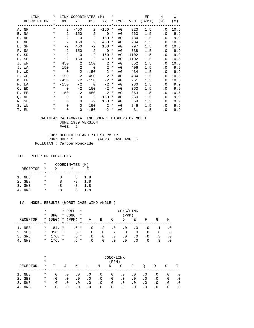| LINK        | $\star$  |                | LINK COORDINATES (M)       |                            |                   | $\star$ |    |      | EF                              | H                          | W      |
|-------------|----------|----------------|----------------------------|----------------------------|-------------------|---------|----|------|---------------------------------|----------------------------|--------|
| DESCRIPTION |          |                |                            |                            |                   |         |    |      | * X1 Y1 X2 Y2 * TYPE VPH (G/MI) | ( M )                      | (M)    |
|             |          |                |                            |                            |                   |         |    |      |                                 |                            |        |
| A. NF       | $\star$  | $\overline{2}$ | $-450$                     |                            | $2 - 150$ *       |         | AG | 923  | 1.5                             | $\cdot$ 0                  | 10.5   |
| B. NA       | $\star$  | $\overline{2}$ |                            | $-150$ 2                   | $\overline{0}$ *  |         | AG | 663  | 1.5                             |                            | .0 9.9 |
| C. ND       | $\star$  | 2              |                            | $0\qquad 2$                | $150 *$           |         | AG | 734  | 1.5                             |                            | .0 9.9 |
| D. NE       | $\star$  | 2              | 150                        | $\overline{\phantom{0}}^2$ | 450               | $\ast$  | AG | 734  | 1.5                             | $\cdot$ 0                  | 10.5   |
| E. SF       | $\ast$   | $-2$           | 450                        | $-2$                       | 150 *             |         | AG | 797  | 1.5                             | . 0                        | 10.5   |
| F. SA       | $\star$  | $-2$           | 150                        |                            | $-2$ 0 $*$        |         | AG | 738  | 1.5                             |                            | .0 9.9 |
| G. SD       | $\ast$   |                | $-2$ 0                     | $-2$                       | $-150$ *          |         | AG | 1102 | 1.5                             |                            | .0 9.9 |
| H. SE       | $\ast$   | $-2$           | $-150$                     | $-2$                       | $-450$ *          |         | AG | 1102 | 1.5                             | . 0                        | 10.5   |
| I. WF       | $\ast$   | 450            | $\overline{\phantom{a}}$ 2 |                            | $150$ 2 $*$       |         | AG | 652  | 1.5                             | $\cdot$ 0                  | 10.5   |
| J. WA       | $\ast$   |                | 150 2                      |                            | $0 \t 2 \t \star$ |         | AG | 406  | 1.5                             |                            | .0 9.9 |
| K. WD       | $\star$  | $\overline{0}$ | $\overline{\phantom{a}}$ 2 | $-150$                     | $2 *$             |         | AG | 434  | 1.5                             |                            | .0 9.9 |
| L. WE       | $\star$  |                | $-150$ 2                   |                            | $-450$ 2 *        |         | AG | 434  | 1.5                             | $\overline{\phantom{0}}$ . | 10.5   |
| M. EF       | $\star$  | $-450$         | $-2$                       | $-150$                     | $-2$ *            |         | AG | 261  | 1.5                             | . 0                        | 10.5   |
| N. EA       | $\star$  | $-150$         |                            | $-2$ 0                     | $-2$ *            |         | AG | 230  | 1.5                             |                            | .0 9.9 |
| O. ED       | $\star$  | $\overline{0}$ | $-2$                       | 150                        | $-2$ *            |         | AG | 363  | 1.5                             | $\cdot$ 0                  | 9.9    |
| P. EE       | $\star$  | 150            | $-2$                       | 450                        | $-2$ *            |         | AG | 363  | 1.5                             | . 0                        | 10.5   |
| Q. NL       | $\star$  | $\Omega$       | $\overline{0}$             | $\sim$ 2                   | $-150$ *          |         | AG | 260  | 1.5                             |                            | .0 9.9 |
| R. SL       | $\ast$   | $\Omega$       | $\Omega$                   | $-2$                       | $150 *$           |         | AG | 59   | 1.5                             | $\cdot$ 0                  | 9.9    |
| S. WL       | $\star$  | $\Omega$       | $\Omega$                   |                            | $150$ 2 $*$       |         | AG | 246  | 1.5                             | $\cdot$ 0                  | 9.9    |
| T. EL       | $^\star$ | $\mathbf 0$    | $\overline{0}$             | $-150$                     | $-2$ *            |         | AG | 31   | 1.5                             | $\overline{0}$             | 9.9    |

 JOB: DECOTO RD AND 7TH ST PM NP RUN: Hour 1 (WORST CASE ANGLE) POLLUTANT: Carbon Monoxide

#### III. RECEPTOR LOCATIONS

|                 | $\star$ | COORDINATES (M) |      |     |
|-----------------|---------|-----------------|------|-----|
| <b>RECEPTOR</b> | *       | X               |      |     |
|                 |         |                 |      |     |
| 1. NE3          | *       | я               | x    | 1.8 |
| 2. SE3          | $\star$ | R               | $-8$ | 1.8 |
| 3. SW3          | *       | -8              | $-8$ | 1.8 |
| 4. NW3          |         | – ឧ             | x    | 1 R |

|          | $^\star$ |              |         | * PRED    | $\star$  | CONC/LINK |           |           |           |           |           |     |     |
|----------|----------|--------------|---------|-----------|----------|-----------|-----------|-----------|-----------|-----------|-----------|-----|-----|
|          | *        | <b>BRG</b>   |         | * CONC    | $\star$  |           |           |           | (PPM)     |           |           |     |     |
| RECEPTOR |          | $*$ (DEG)    |         | $*$ (PPM) | $^\star$ | Α         | В         | C         | D         | E         | F         | G   | Η   |
|          |          |              | $\star$ | $-----*$  |          |           |           |           |           |           |           |     |     |
| 1. NE3   | $\star$  | 184. *       |         | .6 *      |          | . 0       | $\cdot$ 2 | $\cdot$ 0 | . 0       | $\cdot$ 0 | . 0       |     |     |
| 2. SE3   | $\star$  | $356.$ *     |         | $.5 *$    |          | . 0       | $\cdot$ 0 | $\cdot$ 2 | $\cdot$ 0 | . 0       | $\cdot$ 0 | . 0 | . 0 |
| 3. SW3   | $\star$  | $176.$ *     |         | $.6*$     |          | . 0       | $\cdot$ 0 | $\cdot$ 0 | $\cdot$ 0 | . 0       | $\cdot$ 0 | . 3 | . 0 |
| 4. NW3   |          | $*$ 176. $*$ |         | $.6*$     |          | $\cdot$ 0 | $\cdot$ 0 | $\cdot$ 0 | $\cdot$ 0 | . 0       | $\cdot$ 0 | . 3 | . 0 |

|          | $^\star$ | CONC/LINK |           |           |           |           |           |           |           |           |           |           |           |
|----------|----------|-----------|-----------|-----------|-----------|-----------|-----------|-----------|-----------|-----------|-----------|-----------|-----------|
|          | $^\star$ | (PPM)     |           |           |           |           |           |           |           |           |           |           |           |
| RECEPTOR | $\ast$   |           | J         | Κ         | L         | M         | N         | O         | Ρ         | O         | R         | S         | т         |
| 1. NE3   | $^\star$ | . 0       | $\cdot$ 0 | $\cdot$ 0 | $\cdot$ 0 | $\cdot$ 0 | $\cdot$ 0 | $\cdot$ 0 | $\cdot$ 0 | $\cdot$ 0 | $\cdot$ 0 | . 0       | . 0       |
| 2. SE3   | $\ast$   | . 0       | $\cdot$ 0 | $\cdot$ 0 | $\cdot$ 0 | $\cdot$ 0 | $\cdot$ 0 | $\cdot$ 0 | $\cdot$ 0 | $\cdot$ 0 | $\cdot$ 0 | $\cdot$ 0 | $\cdot$ 0 |
| 3. SW3   | $\ast$   | . 0       | $\cdot$ 0 | $\cdot$ 0 | $\cdot$ 0 | $\cdot$ 0 | $\cdot$ 0 | $\cdot$ 0 | $\cdot$ 0 | $\cdot$ 0 | $\cdot$ 0 | $\cdot$ 0 | $\cdot$ 0 |
| NW3      | $\ast$   | . 0       |           | . 0       | $\cdot$ 0 | $\cdot$ 0 | $\cdot$ 0 | $\cdot$ 0 | $\cdot$ 0 | $\cdot$ 0 | $\cdot$ 0 | . 0       |           |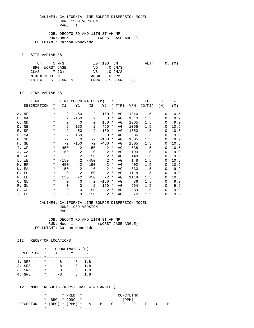JOB: DECOTO RD AND 11TH ST AM NP RUN: Hour 1 (WORST CASE ANGLE) POLLUTANT: Carbon Monoxide

I. SITE VARIABLES

|               | U= .5 M/S       |                   | ZO= 100. CM             |                      | $\text{ALT} =$ |  | 0. (M) |
|---------------|-----------------|-------------------|-------------------------|----------------------|----------------|--|--------|
|               | BRG= WORST CASE |                   | $VD = 0 CM/S$           |                      |                |  |        |
| $CLAS = 7(G)$ |                 |                   | $VS = 0 \, \text{CM/S}$ |                      |                |  |        |
| MIXH= 1000. M |                 |                   | AMB= .0 PPM             |                      |                |  |        |
|               |                 | SIGTH= 5. DEGREES |                         | TEMP= 5.5 DEGREE (C) |                |  |        |

#### II. LINK VARIABLES

| LINK        | $\star$  |                | LINK COORDINATES (M)                    |                            |             | $\star$ |    |      | EF                            | H                          | W      |
|-------------|----------|----------------|-----------------------------------------|----------------------------|-------------|---------|----|------|-------------------------------|----------------------------|--------|
| DESCRIPTION | $\star$  |                |                                         |                            |             |         |    |      | X1 Y1 X2 Y2 * TYPE VPH (G/MI) | (M)                        | (M)    |
|             |          |                | _____*___________________________*_____ |                            |             |         |    |      | -------------                 |                            |        |
| A. NF       | $\star$  | $\mathbf{2}$   | $-450$                                  |                            | $2 - 150$ * |         | AG | 1346 | 1.5                           | $\overline{\phantom{0}}$ . | 10.5   |
| B. NA       | $\star$  | $\overline{2}$ |                                         | $-150$ 2                   | $0 *$       |         | AG | 1310 | 1.5                           | $\cdot$ 0                  | 9.9    |
| C. ND       | $\star$  | $\overline{2}$ | $\overline{0}$                          | $\sim$ 2                   | $150 *$     |         | AG | 1065 | 1.5                           |                            | .0 9.9 |
| D. NE       | $\star$  | 2              | 150                                     | $\overline{\phantom{0}}^2$ | 450         | $\ast$  | AG | 1065 | 1.5                           | . 0                        | 10.5   |
| E. SF       | $\ast$   | $-2$           | 450                                     | $-2$                       | $150 *$     |         | AG | 1550 | 1.5                           | . 0                        | 10.5   |
| F. SA       | $\ast$   | $-2$           | 150                                     |                            | $-2$ 0 $*$  |         | AG | 986  | 1.5                           |                            | .0 9.9 |
| G. SD       | $\ast$   | $-2$           | $\overline{0}$                          | $-2$                       | $-150$ *    |         | AG | 1505 | 1.5                           |                            | .0 9.9 |
| H. SE       | $\ast$   | $-2$           | $-150$                                  | $-2$                       | $-450$ *    |         | AG | 1505 | 1.5                           | . 0                        | 10.5   |
| I. WF       | $\ast$   | 450            | 2                                       |                            | $150$ 2 $*$ |         | AG | 538  | 1.5                           | $\cdot$ 0                  | 10.5   |
| J. WA       | $\ast$   |                | 150 2                                   | $\overline{\phantom{0}}$   | $2^*$       |         | AG | 199  | 1.5                           | $\cdot$ 0                  | 9.9    |
| K. WD       | $\star$  | $\overline{0}$ | $\overline{\phantom{a}}$ 2              | $-150$                     | $2 *$       |         | AG | 148  | 1.5                           |                            | .0 9.9 |
| L. WE       | $\star$  |                | $-150$ 2                                | $-450$                     | $2 *$       |         | AG | 148  | 1.5                           | $\cdot$ 0                  | 10.5   |
| M. EF       | $\star$  | $-450$         | $-2$                                    | $-150$                     | $-2$ *      |         | AG | 402  | 1.5                           | . 0                        | 10.5   |
| N. EA       | $\star$  | $-150$         |                                         | $-2$ 0                     | $-2$ *      |         | AG | 330  | 1.5                           |                            | .0 9.9 |
| O. ED       | $\ast$   | $\overline{0}$ | $-2$                                    | 150                        | $-2$ *      |         | AG | 1118 | 1.5                           | $\cdot$ 0                  | 9.9    |
| P. EE       | $\star$  | 150            | $-2$                                    | 450                        | $-2$ *      |         | AG | 1118 | 1.5                           | . 0                        | 10.5   |
| Q. NL       | $\star$  | $\Omega$       | $\Omega$                                | $\overline{\phantom{a}}$ 2 | $-150$ *    |         | AG | 36   | 1.5                           | . 0                        | 9.9    |
| R. SL       | $\ast$   | $\Omega$       | $\mathbf 0$                             | $-2$                       | $150 *$     |         | AG | 564  | 1.5                           | $\cdot$ 0                  | 9.9    |
| S. WL       | $\star$  | $\Omega$       | $\Omega$                                | 150                        | $2^*$       |         | AG | 339  | 1.5                           | $\cdot$ 0                  | 9.9    |
| T. EL       | $^\star$ | $\mathbf 0$    | $\overline{0}$                          | $-150$                     | $-2$ *      |         | AG | 72   | 1.5                           | $\cdot$ 0                  | 9.9    |

#### CALINE4: CALIFORNIA LINE SOURCE DISPERSION MODEL JUNE 1989 VERSION PAGE 2

JOB: DECOTO RD AND 11TH ST AM NP<br>RUN: Hour 1 (WORST CASE ANGLE) RUN: Hour 1 POLLUTANT: Carbon Monoxide

#### III. RECEPTOR LOCATIONS

|                 | * | COORDINATES (M) |      |     |
|-----------------|---|-----------------|------|-----|
| <b>RECEPTOR</b> | * | X               |      |     |
|                 |   |                 |      |     |
| 1. NE3          | * | я               | 8    | 1.8 |
| 2. SE3          | * | я               | $-8$ | 1.8 |
| 3. SW3          | * | -8              | $-8$ | 1.8 |
| NW 3            | * | $-8$            | x    | 1.8 |

|                                        |  | $*$ PRED $*$   | CONC/LINK |  |  |       |  |  |  |   |  |
|----------------------------------------|--|----------------|-----------|--|--|-------|--|--|--|---|--|
|                                        |  | * BRG * CONC * |           |  |  | (PPM) |  |  |  |   |  |
| RECEPTOR * (DEG) * (PPM) * A B C D E F |  |                |           |  |  |       |  |  |  | Н |  |
|                                        |  |                |           |  |  |       |  |  |  |   |  |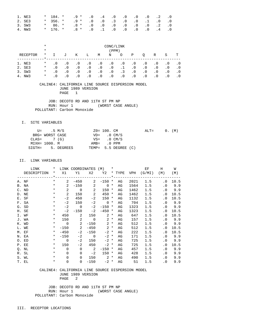| 1. NE3 |  | $*$ 184. $*$ .9 $*$ .0 .4 .0 .0 .0 .2 .0 .0 $*$         |  |  |  |  |
|--------|--|---------------------------------------------------------|--|--|--|--|
| 2. SE3 |  | $*$ 356. $*$ .9 $*$ .0 .0 .3 .0 .0 .1 .0 .0             |  |  |  |  |
| 3. SW3 |  | $*$ 86. $*$ .8 $*$ .0 .0 .0 .0 .0 .0 .2 .0              |  |  |  |  |
| 4. NW3 |  | $\star$ 176. $\star$ .8 $\star$ .0 .1 .0 .0 .0 .0 .4 .0 |  |  |  |  |

|                 | $\ast$<br>$\ast$ | CONC/LINK<br>(PPM) |           |           |           |           |           |           |           |           |           |           |           |
|-----------------|------------------|--------------------|-----------|-----------|-----------|-----------|-----------|-----------|-----------|-----------|-----------|-----------|-----------|
| RECEPTOR        | $\ast$           |                    | ιJ        | Κ         | Ŀ         | M         | N         | O         | Ρ         | O         | R         | S         | т         |
| NE3             | $\ast$           | $\cdot$ 0          | $\cdot$ 0 | $\cdot$ 0 | $\cdot$ 0 | . 0       | $\cdot$ 0 | $\cdot$ 0 | $\cdot$ 0 | $\cdot$ 0 | $\cdot$ 0 | $\cdot$ 0 | . 0       |
| 2. SE3          | $^\star$         | . 0                | $\cdot$ 0 | $\cdot$ 0 | $\cdot$ 0 | $\cdot$ 0 | $\cdot$ 0 | $\cdot$ 1 | $\cdot$ 0 | $\cdot$ 0 | $\cdot$ 0 | $\cdot$ 0 | $\cdot$ 0 |
| SW3<br>3.       | $\ast$           | $\cdot$ 0          | $\cdot$ 0 | $\cdot$ 0 | $\cdot$ 0 | $\cdot$ 0 | $\cdot$ 0 | . 3       | $\cdot$ 0 | $\cdot$ 0 | $\cdot$ 0 | $\cdot$ 0 | . 0       |
| NW <sub>3</sub> | $\star$          | . 0                |           | $\cdot$ 0 | . 0       | $\cdot$ 0 | $\cdot$ 0 | $\cdot$ 0 | . 0       | . 0       | $\cdot$ 0 | $\cdot$ 0 |           |

 JOB: DECOTO RD AND 11TH ST PM NP RUN: Hour 1 (WORST CASE ANGLE) POLLUTANT: Carbon Monoxide

I. SITE VARIABLES

|               | U= .5 M/S       |                   | ZO= 100. CM   |                      | $ALT=$ |  | 0. (M) |
|---------------|-----------------|-------------------|---------------|----------------------|--------|--|--------|
|               | BRG= WORST CASE |                   | $VD = 0 CM/S$ |                      |        |  |        |
| $CLAS = 7(G)$ |                 |                   |               | $VS = 0$ CM/S        |        |  |        |
| MIXH= 1000. M |                 |                   | AMB= .0 PPM   |                      |        |  |        |
|               |                 | SIGTH= 5. DEGREES |               | TEMP= 5.5 DEGREE (C) |        |  |        |

#### II. LINK VARIABLES

| LINK        | $\star$  |                | LINK COORDINATES (M) *     |                            |                   |        |    |      | EF                              | H                          | W      |
|-------------|----------|----------------|----------------------------|----------------------------|-------------------|--------|----|------|---------------------------------|----------------------------|--------|
| DESCRIPTION |          |                |                            |                            |                   |        |    |      | * X1 Y1 X2 Y2 * TYPE VPH (G/MI) | (M)                        | (M)    |
|             |          |                |                            |                            |                   |        |    |      |                                 |                            |        |
| A. NF       | $\star$  | $\mathbf{2}$   | $-450$                     |                            | $2 - 150$ *       |        | AG | 2021 | 1.5                             | $\cdot$ 0                  | 10.5   |
| B. NA       | $\star$  | $2^{\circ}$    |                            | $-150$ 2                   | $\overline{0}$ *  |        | AG | 1564 | 1.5                             |                            | .0 9.9 |
| C. ND       | $\star$  | $\overline{a}$ | $\overline{0}$             | $\sim$ 2                   | $150 *$           |        | AG | 1462 | 1.5                             |                            | .0 9.9 |
| D. NE       | $\star$  | $\overline{2}$ | 150                        | $\overline{\phantom{0}}^2$ | 450               | $\ast$ | AG | 1462 | 1.5                             | $\overline{\phantom{0}}$ . | 10.5   |
| E. SF       | $\ast$   | $-2$           | 450                        | $-2$                       | 150 *             |        | AG | 1132 | 1.5                             | . 0                        | 10.5   |
| F. SA       | $\star$  | $-2$           | 150                        | $-2$                       | $\sim$ 0 $*$      |        | AG | 704  | 1.5                             |                            | .0 9.9 |
| G. SD       | $\ast$   | $-2$           | $\overline{0}$             | $-2$                       | $-150$ *          |        | AG | 1323 | 1.5                             |                            | .0 9.9 |
| H. SE       | $\ast$   | $-2$           | $-150$                     | $-2$                       | $-450$ *          |        | AG | 1323 | 1.5                             | . 0                        | 10.5   |
| I. WF       | $\ast$   |                | 450 2                      |                            | $150$ 2 $*$       |        | AG | 647  | 1.5                             | . 0                        | 10.5   |
| J. WA       | $\star$  |                | 150 2                      |                            | $0 \t 2 \t \star$ |        | AG | 157  | 1.5                             |                            | .0 9.9 |
| K. WD       | $\star$  | $\overline{0}$ | $\overline{\phantom{a}}$ 2 |                            | $-150$ 2 *        |        | AG | 512  | 1.5                             |                            | .0 9.9 |
| L. WE       | $\star$  |                | $-150$ 2                   |                            | $-450$ 2 *        |        | AG | 512  | 1.5                             | $\cdot$ 0                  | 10.5   |
| M. EF       | $\star$  | $-450$         | $-2$                       | $-150$                     | $-2$ *            |        | AG | 222  | 1.5                             | . 0                        | 10.5   |
| N. EA       | $\star$  | $-150$         |                            | $-2$ 0                     | $-2$ *            |        | AG | 171  | 1.5                             |                            | .0 9.9 |
| O. ED       | $\star$  | $\overline{0}$ | $-2$                       | 150                        | $-2$ *            |        | AG | 725  | 1.5                             | $\cdot$ 0                  | 9.9    |
| P. EE       | $\star$  | 150            | $-2$                       | 450                        | $-2$ *            |        | AG | 725  | 1.5                             | . 0                        | 10.5   |
| Q. NL       | $\star$  | $\Omega$       | $\Omega$                   | $\overline{\phantom{a}}$   | $-150$ *          |        | AG | 457  | 1.5                             | $\cdot$ 0                  | 9.9    |
| R. SL       | $\ast$   | $\Omega$       | $\Omega$                   | $-2$                       | $150 *$           |        | AG | 428  | 1.5                             | $\cdot$ 0                  | 9.9    |
| S. WL       | $\star$  | $\Omega$       | $\Omega$                   |                            | $150$ 2 $*$       |        | AG | 490  | 1.5                             | $\cdot$ 0                  | 9.9    |
| T. EL       | $^\star$ | $\mathbf 0$    | $\overline{0}$             | $-150$                     | $-2$ *            |        | AG | 51   | 1.5                             | $\overline{0}$             | 9.9    |

 CALINE4: CALIFORNIA LINE SOURCE DISPERSION MODEL JUNE 1989 VERSION PAGE 2

 JOB: DECOTO RD AND 11TH ST PM NP RUN: Hour 1 (WORST CASE ANGLE) POLLUTANT: Carbon Monoxide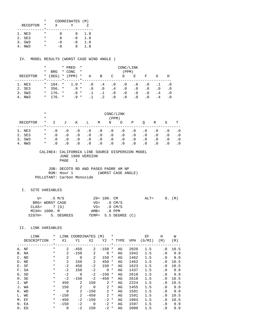|                 | * | COORDINATES (M) |    |     |
|-----------------|---|-----------------|----|-----|
| <b>RECEPTOR</b> | * | x               |    |     |
|                 |   |                 |    |     |
| 1. NE3          | * | я               | x  | 1.8 |
| 2. SE3          | * | я               | -8 | 1.8 |
| 3. SW3          | * | -8              | -8 | 1.8 |
| NW 3            |   | -8              | x  | 1.8 |

IV. MODEL RESULTS (WORST CASE WIND ANGLE )

|          | $^\star$ |              |         | * PRED    | $\star$<br>CONC/LINK |     |           |           |           |           |           |                |     |
|----------|----------|--------------|---------|-----------|----------------------|-----|-----------|-----------|-----------|-----------|-----------|----------------|-----|
|          | $^\star$ | <b>BRG</b>   |         | * CONC    | $\star$              |     |           |           | (PPM)     |           |           |                |     |
| RECEPTOR | $\ast$   | (DEG)        |         | $*$ (PPM) | $^\star$             | Α   | B         | C         | D         | Е         | F         | G              | Н   |
|          |          |              | $\star$ |           |                      |     |           |           |           |           |           |                |     |
| 1. NE3   |          | $*$ 184. $*$ |         | $1.0$ *   |                      | . 0 | . 4       | $\cdot$ 0 | $\cdot$ 0 | . 0       | . 0       |                |     |
| 2. SE3   | $\star$  | $356.$ *     |         | $.9*$     |                      | . 0 | $\cdot$ 0 | $\cdot$ 4 | $\cdot$ 0 | . 0       | $\cdot$ 0 | $\cdot$ 0      | . 0 |
| 3. SW3   | $\star$  | $176.$ *     |         | $.8*$     |                      |     |           | $\cdot$ 0 | $\cdot$ 0 | . 0       | . 0       | . 4            | .0  |
| NW3      | $\ast$   | $176.$ *     |         | $9 *$     |                      |     |           | . 0       | $\cdot$ 0 | $\cdot$ 0 | . 0       | $\overline{4}$ |     |

|                 | $^\star$<br>$\star$ | CONC/LINK<br>(PPM) |           |           |           |           |           |           |           |           |           |           |           |
|-----------------|---------------------|--------------------|-----------|-----------|-----------|-----------|-----------|-----------|-----------|-----------|-----------|-----------|-----------|
| RECEPTOR        | $\ast$              | $\mathbf{I}$       | J         | Κ         | Ŀ         | М         | N         | O         | Ρ         | O         | R         | S         | т         |
| NE3             | $^\star$            | $\cdot$ 0          | $\cdot$ 0 | $\cdot$ 0 | $\cdot$ 0 | $\cdot$ 0 | $\cdot$ 0 | $\cdot$ 0 | $\cdot$ 0 | $\cdot$ 0 | . 0       | $\cdot$ 0 | . 0       |
| 2. SE3          | $\ast$              | $\cdot$ 0          | $\cdot$ 0 | $\cdot$ 0 | $\cdot$ 0 | $\cdot$ 0 | $\cdot$ 0 | $\cdot$ 0 | $\cdot$ 0 | $\cdot$ 0 | $\cdot$ 0 | $\cdot$ 0 | $\cdot$ 0 |
| SW3<br>3.       | $\ast$              | $\cdot$ 0          | $\cdot$ 0 | $\cdot$ 0 | $\cdot$ 0 | $\cdot$ 0 | $\cdot$ 0 | $\cdot$ 0 | $\cdot$ 0 | $\cdot$ 0 | $\cdot$ 0 | $\cdot$ 0 | . 0       |
| NW <sub>3</sub> | $\ast$              | . 0                | $\cdot$ 0 | $\cdot$ 0 | $\cdot$ 0 | $\cdot$ 0 | $\cdot$ 0 | $\cdot$ 0 | $\cdot$ 0 | $\cdot$ 0 | $\cdot$ 0 | $\cdot$ 0 |           |

#### CALINE4: CALIFORNIA LINE SOURCE DISPERSION MODEL JUNE 1989 VERSION PAGE 1

JOB: DECOTO RD AND PASEO PADRE AM NP<br>RUN: Hour 1 (WORST CASE ANGLE) RUN: Hour 1 POLLUTANT: Carbon Monoxide

## I. SITE VARIABLES

|               | U= .5 M/S       |                   | ZO= 100. CM   |                         | $ALT = 0. (M)$ |  |  |
|---------------|-----------------|-------------------|---------------|-------------------------|----------------|--|--|
|               | BRG= WORST CASE |                   |               | $VD = 0 CM/S$           |                |  |  |
| $CLAS = 7(G)$ |                 |                   |               | $VS = 0 \, \text{CM/S}$ |                |  |  |
|               | MIXH= 1000. M   |                   | $AMB = 0 PPM$ |                         |                |  |  |
|               |                 | SIGTH= 5. DEGREES |               | TEMP= 5.5 DEGREE (C)    |                |  |  |

|                | LINK        | *        | LINK           | <b>COORDINATES</b> |             | (M)         | $^\star$ |        |            | ΕF     | H         | W    |
|----------------|-------------|----------|----------------|--------------------|-------------|-------------|----------|--------|------------|--------|-----------|------|
|                | DESCRIPTION | *        | X1             | Y1                 | X2          | Y2          |          | * TYPE | <b>VPH</b> | (G/MI) | (M)       | (M)  |
|                |             | $\star$  |                |                    |             |             | $*$      |        |            |        |           |      |
|                | A. NF       | $^\star$ | 2              | $-450$             | 2           | $-150$      | *        | AG     | 2020       | 1.5    | $\cdot$ 0 | 10.5 |
|                | B. NA       | $\ast$   | 2              | $-150$             | 2           | $\mathbf 0$ | $^\star$ | AG     | 1942       | 1.5    | $\cdot$ 0 | 9.9  |
| $\mathsf{C}$ . | ND          | $\ast$   | $\overline{2}$ | $\mathbf 0$        | 2           | 150         | *        | AG     | 1462       | 1.5    | $\cdot$ 0 | 9.9  |
| D.             | ΝE          | $\ast$   | 2              | 150                | 2           | 450         | *        | AG     | 1462       | 1.5    | . 0       | 10.5 |
|                | E. SF       | $\star$  | $-2$           | 450                | $-2$        | 150         | $^\star$ | AG     | 1623       | 1.5    | $\cdot$ 0 | 10.5 |
|                | F. SA       | $^\star$ | $-2$           | 150                | $-2$        | $\mathbf 0$ | $^\ast$  | AG     | 1437       | 1.5    | $\cdot$ 0 | 9.9  |
|                | G. SD       | $^\star$ | $-2$           | $\Omega$           | $-2$        | $-150$      | $^\ast$  | AG     | 2618       | 1.5    | $\cdot$ 0 | 9.9  |
|                | H. SE       | $^\star$ | $-2$           | $-150$             | $-2$        | $-450$      | $^\ast$  | AG     | 2618       | 1.5    | $\cdot$ 0 | 10.5 |
|                | I. WF       | $^\star$ | 450            | 2                  | 150         | 2           | $^\star$ | AG     | 2224       | 1.5    | $\cdot$ 0 | 10.5 |
|                | J. WA       | $^\star$ | 150            | 2                  | $\mathbf 0$ | 2           | $\ast$   | AG     | 1455       | 1.5    | $\cdot$ 0 | 9.9  |
|                | K. WD       | *        | $\Omega$       | 2                  | $-150$      | 2           | $\star$  | AG     | 1591       | 1.5    | $\cdot$ 0 | 9.9  |
|                | L. WE       | $\ast$   | $-150$         | 2                  | $-450$      | 2           | $^\star$ | AG     | 1591       | 1.5    | . 0       | 10.5 |
| М.             | EF          | $\ast$   | $-450$         | $-2$               | $-150$      | $-2$        | $^\star$ | AG     | 1804       | 1.5    | . 0       | 10.5 |
|                | N. EA       | $\ast$   | $-150$         | $-2$               | $\Omega$    | $-2$        | $^\star$ | AG     | 1597       | 1.5    | $\cdot$ 0 | 9.9  |
|                | O. ED       | $\ast$   | $\Omega$       | -2                 | 150         | $-2$        | *        | AG     | 2000       | 1.5    | $\cdot$ 0 | 9.9  |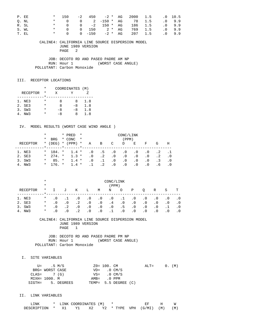| P. EE |       | $\star$ | 150                           |  |  | $-2$ 450 $-2$ * AG 2000 1.5 .0 10.5 |  |       |
|-------|-------|---------|-------------------------------|--|--|-------------------------------------|--|-------|
|       | O. NL |         |                               |  |  | * 0 0 2 –150 * AG 78 1.5            |  | .09.9 |
| R. SL |       |         |                               |  |  | * 0 0 -2 150 * AG 186 1.5 .0 9.9    |  |       |
|       | S. WL |         |                               |  |  | * 0 0 150 2 * AG 769 1.5            |  | .09.9 |
| T. EL |       |         | $\star$ and $\star$<br>$\cap$ |  |  | 0 -150 -2 * AG 207 1.5              |  | .09.9 |

 JOB: DECOTO RD AND PASEO PADRE AM NP RUN: Hour 1 (WORST CASE ANGLE) POLLUTANT: Carbon Monoxide

### III. RECEPTOR LOCATIONS

|                 | $\star$ | COORDINATES (M) |      |     |
|-----------------|---------|-----------------|------|-----|
| <b>RECEPTOR</b> | *       | X               |      |     |
|                 |         |                 |      |     |
| 1. NE3          | *       | я               | Χ    | 1.8 |
| 2. SE3          | *       | я               | $-8$ | 1.8 |
| 3. SW3          | *       | -8              | -8   | 1.8 |
| 4. NW3          | *       | -8              | я    | 1.8 |

#### IV. MODEL RESULTS (WORST CASE WIND ANGLE )

|          | $^\star$ |            |           | * PRED    | $\star$<br>CONC/LINK |           |           |           |           |           |           |           |            |
|----------|----------|------------|-----------|-----------|----------------------|-----------|-----------|-----------|-----------|-----------|-----------|-----------|------------|
|          | *        | <b>BRG</b> |           | * CONC    | $\star$              |           |           |           | (PPM)     |           |           |           |            |
| RECEPTOR | $\star$  | (DEG)      |           | $*$ (PPM) | $\star$              | Α         | B         | C         | D         | Ε         | F         | G         | H          |
|          |          |            | $\star$ . |           |                      |           |           |           |           |           |           |           |            |
| 1. NE3   | $\star$  | 184. *     |           | $1.4$ *   |                      | $\cdot$ 0 | $\cdot$ 5 | $\cdot$ 0 | . 0       | $\cdot$ 0 | $\cdot$ 0 | . 2       |            |
| 2. SE3   | $\star$  | $274.$ *   |           | $1.3 *$   |                      | $\cdot$ 0 | $\cdot$ 2 | $\cdot$ 0 | $\cdot$ 0 | . 0       | $\cdot$ 0 | $\cdot$ 2 | $\cdot$ .0 |
| 3. SW3   | $^\star$ | $85. *$    |           | $1.4 *$   |                      | $\cdot$ 0 | $\cdot$ 1 | $\cdot$ 0 | $\cdot$ 0 | $\cdot$ 0 | $\cdot$ 0 | . 3       | . 0        |
| 4. NW3   | $\star$  | $176 +$    |           | $1.4$ *   |                      |           | $\cdot$ 2 | $\cdot$ 0 | . 0       | $\cdot$ 0 | . 0       | . 6       |            |

|            | $^\star$<br>$\star$ | CONC/LINK<br>(PPM) |           |           |           |           |           |           |           |           |           |           |           |
|------------|---------------------|--------------------|-----------|-----------|-----------|-----------|-----------|-----------|-----------|-----------|-----------|-----------|-----------|
| RECEPTOR   | $\ast$              |                    | J         | Κ         | Ŀ         | М         | N         | O         | Ρ         | O         | R         | S         | т         |
| NE3<br>1.  | $\ast$              | $\cdot$ 0          |           | $\cdot$ 0 | $\cdot$ 0 | $\cdot$ 0 | $\cdot$ 0 | .1        | $\cdot$ 0 | $\cdot$ 0 | $\cdot$ 0 | . 0       | . 0       |
| 2. SE3     | $\ast$              | . 0                | $\cdot$ 0 | $\cdot$ 2 | $\cdot$ 0 | $\cdot$ 0 | .4        | $\cdot$ 0 | $\cdot$ 0 | $\cdot$ 0 | $\cdot$ 0 | $\cdot$ 0 | . 0       |
| 3. SW3     | $^\star$            | . 0                | $\cdot$ 2 | $\cdot$ 0 | $\cdot$ 0 | $\cdot$ 0 | $\cdot$ 0 | . 5       | $\cdot$ 0 | $\cdot$ 0 | $\cdot$ 0 |           | $\cdot$ 0 |
| NW 3<br>4. | $\ast$              | . 0                | $\cdot$ 0 | . 2       | $\cdot$ 0 | $\cdot$ 0 |           | $\cdot$ 0 | $\cdot$ 0 | $\cdot$ 0 | $\cdot$ 0 | $\cdot$ 0 |           |

#### CALINE4: CALIFORNIA LINE SOURCE DISPERSION MODEL JUNE 1989 VERSION PAGE 1

 JOB: DECOTO RD AND PASEO PADRE PM NP RUN: Hour 1 (WORST CASE ANGLE) POLLUTANT: Carbon Monoxide

I. SITE VARIABLES

|               | U= .5 M/S       |                   | ZO= 100. CM           |                      | $ALT = 0. (M)$ |  |  |
|---------------|-----------------|-------------------|-----------------------|----------------------|----------------|--|--|
|               | BRG= WORST CASE |                   | $VD = 0 CM/S$         |                      |                |  |  |
| $CLAS = 7(G)$ |                 |                   | $VS = 0 \text{ CM/S}$ |                      |                |  |  |
|               | MIXH= 1000. M   |                   | $AMB = 0 PPM$         |                      |                |  |  |
|               |                 | SIGTH= 5. DEGREES |                       | TEMP= 5.5 DEGREE (C) |                |  |  |

| 'NK         |      | LINK COORDINATES (M) |      |  |                   |     |     |
|-------------|------|----------------------|------|--|-------------------|-----|-----|
| DESCRIPTION | - X1 |                      | Y2 O |  | * TYPE VPH (G/MI) | (M) | (M) |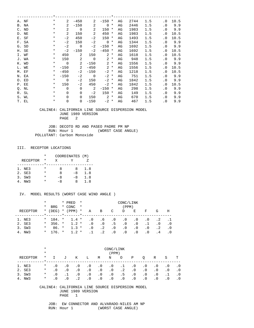| A. NF | $^\star$ | 2              | $-450$         | 2              | $-150$      | $^\ast$  | AG | 2744 | 1.5 | $\cdot$ 0 | 10.5 |
|-------|----------|----------------|----------------|----------------|-------------|----------|----|------|-----|-----------|------|
| B. NA | $^\star$ | 2              | $-150$         | 2              | $\Omega$    | $^\ast$  | AG | 2446 | 1.5 | $\cdot$ 0 | 9.9  |
| C. ND | $^\star$ | 2              | $\overline{0}$ | 2              | 150         | *        | AG | 1983 | 1.5 | $\cdot$ 0 | 9.9  |
| D. NE | $^\star$ | 2              | 150            | 2              | 450         | $\ast$   | AG | 1983 | 1.5 | $\cdot$ 0 | 10.5 |
| E. SF | $^\star$ | $-2$           | 450            | $-2$           | 150         | $^\ast$  | AG | 1493 | 1.5 | $\cdot$ 0 | 10.5 |
| F. SA | $^\star$ | $-2$           | 150            | $-2$           | $\mathbf 0$ | $^\star$ | AG | 1344 | 1.5 | $\cdot$ 0 | 9.9  |
| G. SD | $^\star$ | $-2$           | $\overline{0}$ | $-2$           | $-150$      | $^\ast$  | AG | 1692 | 1.5 | $\cdot$ 0 | 9.9  |
| H. SE | $^\star$ | $-2$           | $-150$         | $-2$           | $-450$      | $\ast$   | AG | 1692 | 1.5 | $\cdot$ 0 | 10.5 |
| I. WF | $^\star$ | 450            | 2              | 150            | 2           | $\ast$   | AG | 1618 | 1.5 | $\cdot$ 0 | 10.5 |
| J. WA | $^\star$ | 150            | 2              | $\overline{0}$ | 2           | $^\ast$  | AG | 948  | 1.5 | $\cdot$ 0 | 9.9  |
| K. WD | $^\star$ | $\Omega$       | 2              | $-150$         | 2           | $\ast$   | AG | 1556 | 1.5 | $\cdot$ 0 | 9.9  |
| L. WE | $^\star$ | $-150$         | 2              | $-450$         | 2           | $^\star$ | AG | 1556 | 1.5 | $\cdot$ 0 | 10.5 |
| M. EF | $^\star$ | $-450$         | $-2$           | $-150$         | $-2$        | $^\star$ | AG | 1218 | 1.5 | . 0       | 10.5 |
| N. EA | $^\star$ | $-150$         | $-2$           | $\overline{0}$ | $-2$        | $\ast$   | AG | 751  | 1.5 | $\cdot$ 0 | 9.9  |
| O. ED | $^\star$ | $\overline{0}$ | $-2$           | 150            | $-2$        | $^\star$ | AG | 1842 | 1.5 | $\cdot$ 0 | 9.9  |
| P. EE | $\ast$   | 150            | $-2$           | 450            | $-2$ *      |          | AG | 1842 | 1.5 | $\cdot$ 0 | 10.5 |
| Q. NL | $^\star$ | $\Omega$       | $\mathbf 0$    | $\overline{2}$ | $-150$      | $^\star$ | AG | 298  | 1.5 | $\cdot$ 0 | 9.9  |
| R. SL | $^\star$ | $\Omega$       | $\Omega$       | $-2$           | 150         | $^\star$ | AG | 149  | 1.5 | $\cdot$ 0 | 9.9  |
| S. WL | $^\star$ | $\Omega$       | $\mathbf 0$    | 150            | 2           | $^\ast$  | AG | 670  | 1.5 | $\cdot$ 0 | 9.9  |
| T. EL | *        | $\mathbf 0$    | $\overline{0}$ | $-150$         | $-2$        | $^\star$ | AG | 467  | 1.5 | $\cdot$ 0 | 9.9  |

 JOB: DECOTO RD AND PASEO PADRE PM NP RUN: Hour 1 (WORST CASE ANGLE) POLLUTANT: Carbon Monoxide

### III. RECEPTOR LOCATIONS

|                 | * | COORDINATES (M) |      |     |
|-----------------|---|-----------------|------|-----|
| <b>RECEPTOR</b> | * | X               |      |     |
|                 |   |                 |      |     |
| 1. NE3          | * | я               | x    | 1.8 |
| 2. SE3          | * | я               | -8   | 1.8 |
| 3. SW3          | * | -8              | $-8$ | 1.8 |
| NW 3            |   | - 8             | x    | 1.8 |

### IV. MODEL RESULTS (WORST CASE WIND ANGLE )

|          | $^\star$ |            |         | * PRED    | $\star$ | CONC/LINK |           |           |           |           |           |           |     |
|----------|----------|------------|---------|-----------|---------|-----------|-----------|-----------|-----------|-----------|-----------|-----------|-----|
|          | *        | <b>BRG</b> |         | * CONC    | $\star$ |           |           |           | (PPM)     |           |           |           |     |
| RECEPTOR | $\star$  | (DEG)      |         | $*$ (PPM) | $\star$ | Α         | B         | C         | D         | Е         | F         | G         | Н   |
|          |          |            | $\star$ |           |         |           |           |           |           |           |           |           |     |
| 1. NE3   | $\star$  | 184. *     |         | $1.4$ *   |         | . 0       | .6        | . 0       | $\cdot$ 0 | . 0       | $\cdot$ 0 | . 2       |     |
| 2. SE3   | $\star$  | $356.$ *   |         | $1.2 *$   |         | $\cdot$ 0 | $\cdot$ 0 | .5        | $\cdot$ 0 | $\cdot$ 0 |           | . 0       | . 0 |
| 3. SW3   | $\ast$   | $86. *$    |         | $1.3 *$   |         | $\cdot$ 0 | $\cdot$ 2 | $\cdot$ 0 | $\cdot$ 0 | $\cdot$ 0 | $\cdot$ 0 | $\cdot$ 2 | . 0 |
| 4. NW3   | $\ast$   | $176 +$    |         | $1.2 *$   |         |           | $\cdot$ 2 | $\cdot$ 0 | . 0       | $\cdot$ 0 | $\cdot$ 0 | . 4       | . 0 |

|          | $^\star$ | CONC/LINK |           |           |           |           |           |           |           |           |           |           |           |
|----------|----------|-----------|-----------|-----------|-----------|-----------|-----------|-----------|-----------|-----------|-----------|-----------|-----------|
|          | $\star$  |           | (PPM)     |           |           |           |           |           |           |           |           |           |           |
| RECEPTOR | $\ast$   |           | J         | Κ         | Ŀ         | М         | N         | O         | Ρ         | O         | R         | S         | т         |
| 1. NE3   | $\ast$   | $\cdot$ 0 | $\cdot$ 0 | $\cdot$ 0 | $\cdot$ 0 | . 0       | $\cdot$ 0 | $\cdot$ 1 | $\cdot$ 0 | $\cdot$ 0 | $\cdot$ 0 | . 0       | . 0       |
| 2. SE3   | $\ast$   | . 0       | $\cdot$ 0 | $\cdot$ 0 | $\cdot$ 0 | $\cdot$ 0 | $\cdot$ 0 | $\cdot$ 2 | $\cdot$ 0 | $\cdot$ 0 | $\cdot$ 0 | $\cdot$ 0 | . 0       |
| 3. SW3   | $\ast$   | $\cdot$ 0 |           | $\cdot$ 0 | $\cdot$ 0 | $\cdot$ 0 | $\cdot$ 0 | . 5       | $\cdot$ 0 | $\cdot$ 0 | $\cdot$ 0 |           | $\cdot$ 0 |
| NW3      | $\star$  | . 0       |           |           | $\cdot$ 0 | $\cdot$ 0 | $\cdot$ 0 | $\cdot$ 0 | . 0       | $\cdot$ 0 | $\cdot$ 0 |           |           |

#### CALINE4: CALIFORNIA LINE SOURCE DISPERSION MODEL JUNE 1989 VERSION PAGE 1

JOB: EW CONNECTOR AND ALVARADO-NILES AM NP<br>RUN: Hour 1 (WORST CASE ANGLE) (WORST CASE ANGLE)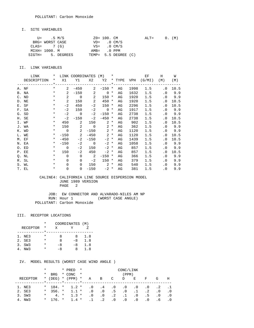#### I. SITE VARIABLES

| U= .5 M/S       |                   | $Z0 = 100$ . CM |                          | $\text{ALT} =$ |  | 0. (M) |
|-----------------|-------------------|-----------------|--------------------------|----------------|--|--------|
| BRG= WORST CASE |                   | $VD = 0 CM/S$   |                          |                |  |        |
| $CLAS = 7(G)$   |                   |                 | $VS = 0 CM/S$            |                |  |        |
| MIXH= 1000. M   |                   | $AMB = 0 PPM$   |                          |                |  |        |
|                 | SIGTH= 5. DEGREES |                 | TEMP= $5.5$ DEGREE $(C)$ |                |  |        |

### II. LINK VARIABLES

| LINK        | $\star$ |                | LINK COORDINATES (M) *     |                            |                   |        |    |      | EF                              | H         | W      |
|-------------|---------|----------------|----------------------------|----------------------------|-------------------|--------|----|------|---------------------------------|-----------|--------|
| DESCRIPTION |         |                |                            |                            |                   |        |    |      | * X1 Y1 X2 Y2 * TYPE VPH (G/MI) | (M)       | (M)    |
|             |         |                |                            |                            |                   |        |    |      |                                 |           |        |
| A. NF       | $\star$ | $\mathbf{2}$   | $-450$                     |                            | $2 - 150$ *       |        | AG | 1998 | 1.5                             | $\cdot$ 0 | 10.5   |
| B. NA       | $\star$ | $\overline{a}$ |                            | $-150$ 2                   | $0 *$             |        | AG | 1632 | 1.5                             |           | .0 9.9 |
| C. ND       | $\star$ | 2              | $\overline{0}$             | $\sim$ 2                   | $150 *$           |        | AG | 1920 | 1.5                             |           | .0 9.9 |
| D. NE       | $\star$ | 2              | 150                        | $\overline{\phantom{0}}^2$ | 450               | $\ast$ | AG | 1920 | 1.5                             | $\cdot$ 0 | 10.5   |
| E. SF       | $\ast$  | $-2$           | 450                        | $-2$                       | 150 *             |        | AG | 2296 | 1.5                             | . 0       | 10.5   |
| F. SA       | $\star$ | $-2$           | 150                        | $-2$                       | $0 *$             |        | AG | 1917 | 1.5                             |           | .0 9.9 |
| G. SD       | $\ast$  | $-2$           | $\overline{0}$             | $-2$                       | $-150$ *          |        | AG | 2738 | 1.5                             |           | .0 9.9 |
| H. SE       | $\ast$  | $-2$           | $-150$                     | $-2$                       | $-450$ *          |        | AG | 2738 | 1.5                             | $\cdot$ 0 | 10.5   |
| I. WF       | $\ast$  |                | 450 2                      |                            | $150$ 2 $*$       |        | AG | 902  | 1.5                             | $\cdot$ 0 | 10.5   |
| J. WA       | $\ast$  |                | 150 2                      |                            | $0 \t 2 \t \star$ |        | AG | 362  | 1.5                             |           | .0 9.9 |
| K. WD       | $\star$ | $\overline{0}$ | $\overline{\phantom{a}}$ 2 | $-150$                     | $2 *$             |        | AG | 1120 | 1.5                             |           | .0 9.9 |
| L. WE       | $\star$ |                | $-150$ 2                   |                            | $-450$ 2 *        |        | AG | 1120 | 1.5                             | $\cdot$ 0 | 10.5   |
| M. EF       | $\star$ | $-450$         | $-2$                       | $-150$                     | $-2$ *            |        | AG | 1439 | 1.5                             | . 0       | 10.5   |
| N. EA       | $\star$ | $-150$         |                            | $-2$ 0                     | $-2$ *            |        | AG | 1058 | 1.5                             |           | .0 9.9 |
| O. ED       | $\star$ | $\overline{0}$ | $-2$                       | 150                        | $-2$ *            |        | AG | 857  | 1.5                             | $\cdot$ 0 | 9.9    |
| P. EE       | $\star$ | 150            | $-2$                       | 450                        | $-2$ *            |        | AG | 857  | 1.5                             | . 0       | 10.5   |
| Q. NL       | $\star$ | $\Omega$       | $\overline{0}$             | $\overline{\phantom{a}}$ 2 | $-150$ *          |        | AG | 366  | 1.5                             | . 0       | 9.9    |
| R. SL       | $\star$ | $\Omega$       | $\Omega$                   | $-2$                       | $150 *$           |        | AG | 379  | 1.5                             | $\cdot$ 0 | 9.9    |
| S. WL       | $\star$ | $\Omega$       | $\Omega$                   |                            | $150 \t 2*$       |        | AG | 540  | 1.5                             | $\cdot$ 0 | 9.9    |
| T. EL       | $\ast$  | $\mathbf 0$    | $\overline{0}$             | $-150$                     | $-2$ *            |        | AG | 381  | 1.5                             | . 0       | 9.9    |

### CALINE4: CALIFORNIA LINE SOURCE DISPERSION MODEL JUNE 1989 VERSION PAGE 2

 JOB: EW CONNECTOR AND ALVARADO-NILES AM NP RUN: Hour 1 (WORST CASE ANGLE) POLLUTANT: Carbon Monoxide

#### III. RECEPTOR LOCATIONS

|                 | * |    | COORDINATES (M) |     |
|-----------------|---|----|-----------------|-----|
| <b>RECEPTOR</b> | * | X  | v               |     |
|                 |   |    |                 |     |
| 1. NE3          | * | я  | я               | 1.8 |
| 2. SE3          | * | я  | $-8$            | 1.8 |
| 3. SW3          | * | -8 | -8              | 1.8 |
| 4. NW3          | * | -8 | я               | 1.8 |

|          | $\ast$  |            | * PRED    | $\star$  |           |           |                 | CONC/LINK |           |                 |           |            |
|----------|---------|------------|-----------|----------|-----------|-----------|-----------------|-----------|-----------|-----------------|-----------|------------|
|          | *       | <b>BRG</b> | * CONC    | $\star$  |           |           |                 | (PPM)     |           |                 |           |            |
| RECEPTOR | $\star$ | (DEG)      | $*$ (PPM) | $^\star$ | Α         | B         | C               | D         | Е         | F               | G         | Н          |
|          |         |            |           |          |           |           |                 |           |           |                 |           |            |
| 1. NE3   | $\star$ | 184. *     | $1.2*$    |          | $\cdot$ 0 | $.4\,$    | $\cdot$ 0       | $\cdot$ 0 | . 0       | $\cdot$ 0       | . 2       |            |
| 2. SE3   | $\star$ | $356. *$   | $1.1 *$   |          | $\cdot$ 0 | $\cdot$ 0 | .5 <sub>1</sub> | $\cdot$ 0 | $\cdot$ 1 | $\cdot$ 2       | $\cdot$ 0 | $\cdot$ .0 |
| 3. SW3   | $\ast$  | $4. *$     | $1.3 *$   |          | $\cdot$ 0 | $\cdot$ 0 | $\cdot$ 2       | .1        | . 0       | .5 <sub>1</sub> | . 0       | .0         |
| 4. NW3   | $\star$ | $176.$ *   | $1.4 *$   |          | $\cdot$ 1 | $\cdot$ 2 | $\cdot$ 0       | $\cdot$ 0 | $\cdot$ 0 | $\cdot$ 0       | . 6       | . 0        |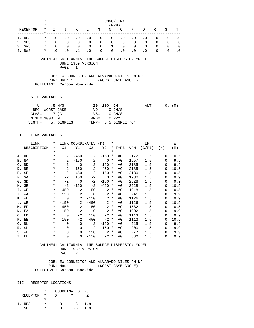|                 | $\ast$   |           |                                   | CONC/LINK    |           |           |                                    |           |           |           |           |           |           |
|-----------------|----------|-----------|-----------------------------------|--------------|-----------|-----------|------------------------------------|-----------|-----------|-----------|-----------|-----------|-----------|
|                 | $\star$  |           |                                   |              |           |           | (PPM)                              |           |           |           |           |           |           |
| <b>RECEPTOR</b> | *        | T.        | J                                 | K            | L         | M         | N                                  | O         | Ρ         | O         | R         | S         | т         |
|                 | *        |           |                                   |              |           |           |                                    |           |           |           |           |           |           |
| NE3<br>1.       | *        | $\cdot$ 0 | $\cdot$ 0                         | $\cdot$ 0    | $\cdot$ 0 | $\cdot$ 0 | $\cdot$ 0                          | $\cdot$ 0 | $\cdot$ 0 | $\cdot$ 0 | $\cdot$ 0 | $\cdot$ 0 | . 0       |
| 2. SE3          | $^\star$ | $\cdot$ 0 | $\cdot$ 0                         | $\cdot$ 0    | $\cdot$ 0 | $\cdot$ 0 | $\cdot$ 0                          | $\cdot$ 0 | $\cdot$ 0 | $\cdot$ 0 | $\cdot$ 0 | $\cdot$ 0 | . 0       |
| 3. SW3          | $^\ast$  | $\cdot$ 0 | $\cdot$ 0                         | $\cdot$ 0    | $\cdot$ 0 | $\cdot$ 0 | $\cdot$ 1                          | $\cdot$ 0 | $\cdot$ 0 | $\cdot$ 0 | $\cdot$ 0 | $\cdot$ 0 | $\cdot$ 0 |
| NW 3<br>4.      | $^\star$ | $\cdot$ 0 | $\cdot$ 0                         | $\cdot$ 1    | $\cdot$ 0 | $\cdot$ 0 | $\cdot$ 0                          | $\cdot$ 0 | $\cdot$ 0 | $\cdot$ 0 | $\cdot$ 0 | $\cdot$ 0 | $\cdot$ 0 |
|                 |          |           |                                   |              |           |           |                                    |           |           |           |           |           |           |
|                 | CALINE4: |           | CALIFORNIA LINE SOURCE DISPERSION |              |           |           |                                    |           |           | MODEL     |           |           |           |
|                 |          |           | JUNE 1989 VERSION                 |              |           |           |                                    |           |           |           |           |           |           |
|                 |          |           | PAGE                              | $\mathbf{1}$ |           |           |                                    |           |           |           |           |           |           |
|                 |          |           |                                   |              |           |           |                                    |           |           |           |           |           |           |
|                 |          | JOB:      | EW                                |              |           |           | CONNECTOR AND ALVARADO-NILES PM NP |           |           |           |           |           |           |
|                 |          |           |                                   |              |           |           |                                    |           |           |           |           |           |           |

RUN: Hour 1 (WORST CASE ANGLE) POLLUTANT: Carbon Monoxide

#### I. SITE VARIABLES

| $U =$ .5 M/S    |                   | Z0= 100. CM             |                      | $ALT = 0. (M)$ |  |  |
|-----------------|-------------------|-------------------------|----------------------|----------------|--|--|
| BRG= WORST CASE |                   | $VD = 0 CM/S$           |                      |                |  |  |
| $CLAS = 7(G)$   |                   | $VS = 0 \, \text{CM/S}$ |                      |                |  |  |
| MIXH= 1000. M   |                   | $AMB = 0 PPM$           |                      |                |  |  |
|                 | SIGTH= 5. DEGREES |                         | TEMP= 5.5 DEGREE (C) |                |  |  |

## II. LINK VARIABLES

| LINK        | $\ast$     |                | LINK COORDINATES (M)            |                          |                  | $\star$ |    |      | ЕF     | Н         | W      |
|-------------|------------|----------------|---------------------------------|--------------------------|------------------|---------|----|------|--------|-----------|--------|
| DESCRIPTION | $\star$    | X1             | Y1                              | X2                       | Y2 * TYPE VPH    |         |    |      | (G/MI) | (M)       | (M)    |
|             |            |                | ____*__________________________ |                          |                  | $* - -$ |    |      |        |           |        |
| A. NF       | $\star$    | $\overline{a}$ | $-450$                          | $\overline{a}$           | $-150$           | $\ast$  | AG | 2172 | 1.5    | . 0       | 10.5   |
| B. NA       | $\star$    | $\overline{a}$ | $-150$                          | 2                        | $0 *$            |         | AG | 1657 | 1.5    | . 0       | 9.9    |
| C. ND       | $\star$    | $\overline{2}$ | $\overline{0}$                  | 2                        | $150 *$          |         | AG | 2185 | 1.5    | $\cdot$ 0 | 9.9    |
| D. NE       | $\star$    | 2              | 150                             | 2                        | $450 *$          |         | AG | 2185 | 1.5    | $\cdot$ 0 | 10.5   |
| E. SF       | $\ast$     | $-2$           | 450                             | $-2$                     | 150              | $\ast$  | AG | 2180 | 1.5    | . 0       | 10.5   |
| F. SA       | $\ast$     | $-2$           | 150                             | $-2$                     | $\overline{0}$ * |         | AG | 1980 | 1.5    | $\cdot$ 0 | 9.9    |
| G. SD       | $\ast$     | $-2$           | $\overline{0}$                  | $-2$                     | $-150$ *         |         | AG | 2528 | 1.5    | $\cdot$ 0 | 9.9    |
| H. SE       | $\ast$     | $-2$           | $-150$                          | $-2$                     | $-450$ *         |         | AG | 2528 | 1.5    | . 0       | 10.5   |
| I. WF       | $\ast$     | 450            | 2                               | 150                      | $2 *$            |         | AG | 1018 | 1.5    | $\cdot$ 0 | 10.5   |
| J. WA       | $\ast$     | 150            | $\overline{\phantom{a}}^2$      | $\overline{0}$           | $2 *$            |         | AG | 741  | 1.5    | . 0       | 9.9    |
| K. WD       | $\star$    | $\overline{0}$ | $\overline{\phantom{a}}$ 2      | $-150$                   |                  | $2 *$   | AG | 1126 | 1.5    |           | .0 9.9 |
| L. WE       | $\star$    | $-150$         | $\overline{\phantom{a}}^2$      | $-450$                   |                  | $2 *$   | AG | 1126 | 1.5    | $\cdot$ 0 | 10.5   |
| M. EF       | $\star$    | $-450$         | $-2$                            | $-150$                   | $-2$ *           |         | AG | 1582 | 1.5    | $\cdot$ 0 | 10.5   |
| N. EA       | $\star$    | $-150$         |                                 | $-2$ 0                   | $-2$ *           |         | AG | 1002 | 1.5    | $\cdot$ 0 | 9.9    |
| O. ED       | $\star$    | $\overline{0}$ | $-2$                            | 150                      | $-2$ *           |         | AG | 1113 | 1.5    | $\cdot$ 0 | 9.9    |
| P. EE       | $\star$    | 150            | $-2$                            | 450                      | $-2$ *           |         | AG | 1113 | 1.5    | $\cdot$ 0 | 10.5   |
| Q. NL       | $^{\star}$ | $\Omega$       | $\mathbf 0$                     | $\overline{\phantom{a}}$ | $-150$ *         |         | AG | 515  | 1.5    | $\cdot$ 0 | 9.9    |
| R. SL       | $\ast$     | $\Omega$       | $\Omega$                        | $-2$                     | $150 *$          |         | AG | 200  | 1.5    | . 0       | 9.9    |
| S. WL       | $\ast$     | $\Omega$       | $\Omega$                        | 150                      | $2 *$            |         | AG | 277  | 1.5    | . 0       | 9.9    |
| T. EL       | $^\star$   | $\mathbf 0$    | $\Omega$                        | $-150$                   | $-2$ *           |         | AG | 580  | 1.5    | $\cdot$ 0 | 9.9    |

#### CALINE4: CALIFORNIA LINE SOURCE DISPERSION MODEL JUNE 1989 VERSION PAGE 2

 JOB: EW CONNECTOR AND ALVARADO-NILES PM NP RUN: Hour 1 (WORST CASE ANGLE) POLLUTANT: Carbon Monoxide

### III. RECEPTOR LOCATIONS

|          |         |   | COORDINATES (M) |     |
|----------|---------|---|-----------------|-----|
| RECEPTOR | $\star$ |   |                 |     |
|          |         |   |                 |     |
| 1. NE3   |         | Ω | x               | 1.8 |
| 2. SE3   |         |   | – ×             | 1 R |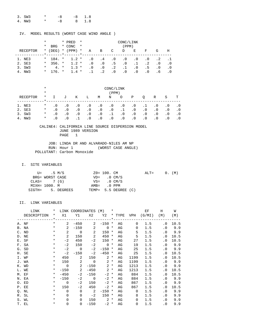| 3. SW3 | $\star$ $\sim$ | $-R$ | $-8$ 1.8 |
|--------|----------------|------|----------|
| 4. NW3 | $\star$        | $-R$ | 8 1.8    |

| MODEL RESULTS (WORST CASE WIND ANGLE ) |
|----------------------------------------|
|----------------------------------------|

|          | *       |                     | * PRED          | $\star$ | CONC/LINK |           |           |           |           |           |            |             |
|----------|---------|---------------------|-----------------|---------|-----------|-----------|-----------|-----------|-----------|-----------|------------|-------------|
|          | $\ast$  | <b>BRG</b>          | * CONC          | $\star$ |           |           |           | (PPM)     |           |           |            |             |
| RECEPTOR | $\star$ | (DEG)               | $*$ (PPM)       | $\star$ | Α         | B         | C         | D         | Е         | F         | G          | H           |
|          |         | $\star$ and $\star$ | $\star$ $\star$ |         |           |           |           |           |           |           |            |             |
| 1. NE3   |         | $*$ 184. $*$        | $1.2*$          |         | $\cdot$ 0 | $\cdot$ 4 | $\cdot$ 0 | $\cdot$ 0 | $\cdot$ 0 | $\cdot$ 0 | $\cdot$ 2  |             |
| 2. SE3   | $\star$ | $356.$ *            | $1.2 *$         |         | $\cdot$ 0 | $\cdot$ 0 | .5        | $\cdot$ 0 | $\cdot$ 1 | $\cdot$ 2 | $\cdot$ .0 | $\cdot$ . 0 |
| 3. SW3   | $\ast$  | $4. *$              | $1.3 *$         |         | $\cdot$ 0 | $\cdot$ 0 | $\cdot$ 2 | .1        | $\cdot$ 0 | .5        | $\cdot$ 0  | $\cdot$ 0   |
| 4. NW3   |         | $*$ 176, $*$        | $1.4 *$         |         | $\cdot$ 1 | $\cdot$ 2 | $\cdot$ 0 | $\cdot$ 0 | . 0       | $\cdot$ 0 | . 6        | $\cdot$ 0   |

|          | $^\star$ | CONC/LINK |           |           |           |           |           |           |           |           |           |           |           |
|----------|----------|-----------|-----------|-----------|-----------|-----------|-----------|-----------|-----------|-----------|-----------|-----------|-----------|
|          | $\ast$   | (PPM)     |           |           |           |           |           |           |           |           |           |           |           |
| RECEPTOR | $\ast$   |           | J         | Κ         | L         | M         | N         | $\circ$   | Ρ         | O         | R         | S         | т         |
| 1. NE3   | $\ast$   | $\cdot$ 0 | $\cdot$ 0 | $\cdot$ 0 | $\cdot$ 0 | $\cdot$ 0 | $\cdot$ 0 | $\cdot$ 0 | $\cdot$ 0 | .1        | $\cdot$ 0 | . 0       | $\cdot$ 0 |
| 2. SE3   | $^\star$ | . 0       | $\cdot$ 0 | $\cdot$ 0 | $\cdot$ 0 | $\cdot$ 0 | $\cdot$ 0 | $\cdot$ 1 | $\cdot$ 0 | $\cdot$ 0 | $\cdot$ 0 | $\cdot$ 0 | $\cdot$ 0 |
| 3. SW3   | $\ast$   | . 0       | $\cdot$ 0 | $\cdot$ 0 | $\cdot$ 0 | $\cdot$ 0 | $\cdot$ 1 | $\cdot$ 0 | $\cdot$ 0 | $\cdot$ 0 | $\cdot$ 0 | $\cdot$ 0 | $\cdot$ 0 |
| 4. NW3   | $\ast$   | . 0       | $\cdot$ 0 |           | $\cdot$ 0 | $\cdot$ 0 | $\cdot$ 0 | $\cdot$ 0 | $\cdot$ 0 | $\cdot$ 0 | $\cdot$ 0 | $\cdot$ 0 | $\cdot$ 0 |

 JOB: LINDA DR AND ALVARADO-NILES AM NP RUN: Hour 1 (WORST CASE ANGLE) POLLUTANT: Carbon Monoxide

### I. SITE VARIABLES

|               | U= .5 M/S       |                   | Z0= 100. CM   |                      | $ALT = 0. (M)$ |  |  |
|---------------|-----------------|-------------------|---------------|----------------------|----------------|--|--|
|               | BRG= WORST CASE |                   |               | $VD = 0 CM/S$        |                |  |  |
| $CLAS = 7(G)$ |                 |                   |               | $VS = 0$ CM/S        |                |  |  |
|               | MIXH= 1000. M   |                   | $AMB = 0$ PPM |                      |                |  |  |
|               |                 | SIGTH= 5. DEGREES |               | TEMP= 5.5 DEGREE (C) |                |  |  |

| LINK        | $\ast$     |                | LINK COORDINATES               |                            | ( M )          | $\ast$      |    |             | ЕF     | Н         | W    |
|-------------|------------|----------------|--------------------------------|----------------------------|----------------|-------------|----|-------------|--------|-----------|------|
| DESCRIPTION | $\star$    | X1             | Υ1                             | X2                         | Y2 * TYPE VPH  |             |    |             | (G/MI) | (M)       | (M)  |
|             |            |                | ----*------------------------- |                            |                | $\star$ $-$ |    |             |        |           |      |
| A. NF       | $^{\star}$ | 2              | $-450$                         | 2                          | $-150$         | $\ast$      | AG | $\Omega$    | 1.5    | . 0       | 10.5 |
| B. NA       | $\star$    | 2              | $-150$                         | 2                          | $\overline{0}$ | $\star$     | AG | 0           | 1.5    | $\cdot$ 0 | 9.9  |
| C. ND       | $\ast$     | 2              | $\overline{0}$                 | 2                          | $150 *$        |             | AG | 5           | 1.5    | $\cdot$ 0 | 9.9  |
| D. NE       | $\ast$     | 2              | 150                            | 2                          | 450            | $\ast$      | AG | 5           | 1.5    | . 0       | 10.5 |
| E. SF       | $\ast$     | $-2$           | 450                            | $-2$                       | 150            | $^\star$    | AG | 27          | 1.5    | . 0       | 10.5 |
| F. SA       | $\ast$     | $-2$           | 150                            | $-2$                       | $0 *$          |             | AG | 19          | 1.5    | $\cdot$ 0 | 9.9  |
| G. SD       | $^\star$   | $-2$           | $\overline{0}$                 | $-2$                       | $-150$ *       |             | AG | 25          | 1.5    | $\cdot$ 0 | 9.9  |
| H. SE       | $\ast$     | $-2$           | $-150$                         | $-2$                       | $-450$ *       |             | AG | 25          | 1.5    | . 0       | 10.5 |
| I. WF       | $\ast$     | 450            | 2                              | 150                        |                | $2 *$       | AG | 1199        | 1.5    | . 0       | 10.5 |
| J. WA       | $\ast$     | 150            | 2                              | $\overline{0}$             | $\overline{a}$ | $^\star$    | AG | 1199        | 1.5    | $\cdot$ 0 | 9.9  |
| K. WD       | $\ast$     | $\overline{0}$ | 2                              | $-150$                     | $\overline{a}$ | $\ast$      | AG | 1213        | 1.5    | $\cdot$ 0 | 9.9  |
| L. WE       | $\star$    | $-150$         | 2                              | $-450$                     |                | $2 *$       | AG | 1213        | 1.5    | $\cdot$ 0 | 10.5 |
| M. EF       | $\star$    | $-450$         | $-2$                           | $-150$                     | $-2$ *         |             | AG | 884         | 1.5    | . 0       | 10.5 |
| N. EA       | $\star$    | $-150$         | $-2$                           | $\overline{0}$             | $-2$ *         |             | AG | 884         | 1.5    | . 0       | 9.9  |
| O. ED       | $\ast$     | $\Omega$       | $-2$                           | 150                        | $-2$ *         |             | AG | 867         | 1.5    | $\cdot$ 0 | 9.9  |
| P. EE       | $\ast$     | 150            | $-2$                           | 450                        | $-2$ *         |             | AG | 867         | 1.5    | . 0       | 10.5 |
| Q. NL       | $^\star$   | $\Omega$       | $\Omega$                       | $\overline{\phantom{0}}^2$ | $-150$ *       |             | AG | 0           | 1.5    | . 0       | 9.9  |
| R. SL       | $^\star$   | $\Omega$       | 0                              | $-2$                       | $150 *$        |             | AG | 8           | 1.5    | . 0       | 9.9  |
| S. WL       | $\ast$     | $\Omega$       | $\Omega$                       | 150                        | $2 *$          |             | AG | $\mathbf 0$ | 1.5    | . 0       | 9.9  |
| T. EL       | *          | $\mathbf 0$    | $\mathbf 0$                    | $-150$                     | $-2$ *         |             | AG | $\mathbf 0$ | 1.5    | $\cdot$ 0 | 9.9  |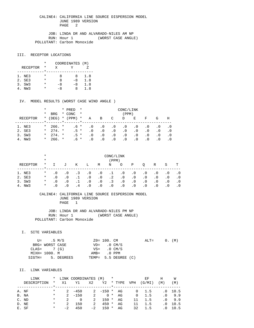JOB: LINDA DR AND ALVARADO-NILES AM NP RUN: Hour 1 (WORST CASE ANGLE) POLLUTANT: Carbon Monoxide

### III. RECEPTOR LOCATIONS

|                 | * | COORDINATES (M) |      |     |
|-----------------|---|-----------------|------|-----|
| <b>RECEPTOR</b> | * | X               | v    |     |
|                 |   |                 |      |     |
| 1. NE3          | * | я               | я    | 1.8 |
| 2. SE3          | * | я               | $-8$ | 1.8 |
| 3. SW3          | * | -8              | -8   | 1.8 |
| NW 3            |   | -8              | Χ    | 1.8 |

#### IV. MODEL RESULTS (WORST CASE WIND ANGLE )

|          | *        |            | * PRED    | $\star$ | CONC/LINK |           |           |           |           |           |     |           |
|----------|----------|------------|-----------|---------|-----------|-----------|-----------|-----------|-----------|-----------|-----|-----------|
|          | $^\star$ | <b>BRG</b> | * CONC    | $\star$ |           |           |           | (PPM)     |           |           |     |           |
| RECEPTOR | $\ast$   | (DEG)      | $*$ (PPM) | $\star$ | Α         | B         | C         | D         | E         | F         | G   | Η         |
|          |          |            |           |         |           |           |           |           |           |           |     |           |
| 1. NE3   | $\star$  | $266.$ *   | $.6*$     |         | . 0       | . 0       | . 0       | . 0       | . 0       | $\cdot$ 0 | . 0 | . 0       |
| 2. SE3   | $\star$  | $274.$ *   | $.5 *$    |         | $\cdot$ 0 | $\cdot$ 0 | $\cdot$ 0 | $\cdot$ 0 | . 0       | $\cdot$ 0 | . 0 | . 0       |
| 3. SW3   | $\star$  | $274.$ *   | $.5$ *    |         | $\cdot$ 0 | . 0       | . 0       | $\cdot$ 0 | . 0       | . 0       | . 0 | $\cdot$ 0 |
| 4. NW3   | $\star$  | $266.$ *   | .6 *      |         | . 0       | . 0       | . 0       | . 0       | $\cdot$ 0 | . 0       | . 0 |           |

|          | $\star$  | CONC/LINK |           |           |           |           |           |           |           |           |           |           |           |
|----------|----------|-----------|-----------|-----------|-----------|-----------|-----------|-----------|-----------|-----------|-----------|-----------|-----------|
|          | $\ast$   | (PPM)     |           |           |           |           |           |           |           |           |           |           |           |
| RECEPTOR | $^\star$ |           | J         | Κ         | L         | M         | N         | $\circ$   | Ρ         | O         | R         | S         | т         |
| 1. NE3   | $\ast$   | $\cdot$ 0 | $\cdot$ 0 | $\cdot$ 3 | $\cdot$ 0 | $\cdot$ 0 | $\cdot$ 1 | $\cdot$ 0 | $\cdot$ 0 | $\cdot$ 0 | $\cdot$ 0 | . 0       | . 0       |
| 2. SE3   | $\ast$   | . 0       | $\cdot$ 0 |           | $\cdot$ 0 | $\cdot$ 0 | $\cdot$ 2 | $\cdot$ 0 | $\cdot$ 0 | . 0       | $\cdot$ 0 | $\cdot$ 0 | $\cdot$ 0 |
| 3. SW3   | $\ast$   | . 0       | $\cdot$ 0 |           | $\cdot$ 0 | $\cdot$ 0 | $\cdot$ 3 | $\cdot$ 0 | $\cdot$ 0 | $\cdot$ 0 | $\cdot$ 0 | $\cdot$ 0 | $\cdot$ 0 |
| NW 3     | $\ast$   | . 0       | $\cdot$ 0 | 4         | $\cdot$ 0 | . 0       | $\cdot$ 0 | $\cdot$ 0 | $\cdot$ 0 | $\cdot$ 0 | $\cdot$ 0 | $\cdot$ 0 |           |

 CALINE4: CALIFORNIA LINE SOURCE DISPERSION MODEL JUNE 1989 VERSION PAGE 1

 JOB: LINDA DR AND ALVARADO-NILES PM NP RUN: Hour 1 (WORST CASE ANGLE) POLLUTANT: Carbon Monoxide

### I. SITE VARIABLES

|               | U= .5 M/S       |                   | $Z0 = 100$ . CM         |                      | $ALT =$ |  | 0. (M) |
|---------------|-----------------|-------------------|-------------------------|----------------------|---------|--|--------|
|               | BRG= WORST CASE |                   |                         | $VD = 0 CM/S$        |         |  |        |
| $CLAS = 7(G)$ |                 |                   | $VS = 0 \, \text{CM/S}$ |                      |         |  |        |
|               | MIXH= 1000. M   |                   | AMB= .0 PPM             |                      |         |  |        |
|               |                 | SIGTH= 5. DEGREES |                         | TEMP= 5.5 DEGREE (C) |         |  |        |

| LINK        |         |      | * LINK COORDINATES (M) |      |               | $\ast$ |        |            | ЕF            | Н         | W                 |
|-------------|---------|------|------------------------|------|---------------|--------|--------|------------|---------------|-----------|-------------------|
| DESCRIPTION | $\ast$  | X1   | Y1                     | X2   | Y2            |        | * TYPE | <b>VPH</b> | (G/MI)        | (M)       | $^{\prime}$ M $)$ |
|             |         |      |                        |      |               |        |        |            |               |           |                   |
| A. NF       | $\ast$  |      | $2 - 450$              |      | $2 -150 * AG$ |        |        |            | $0 \quad 1.5$ |           | $.0 \quad 10.5$   |
| B. NA       | $\ast$  |      | $2 - 150$              | 2    | $0 *$         |        | AG     | $\Omega$   | 1.5           |           | $.0 \t9.9$        |
| C. ND       | $\ast$  | 2    | $\Omega$               | 2    | $150 *$       |        | AG     | 11         | 1.5           |           | $.0 \t9.9$        |
| D. NE       | $\ast$  | 2    | 150                    | 2    | $450 *$       |        | AG     | 11         | 1.5           | $\cdot$ 0 | 10.5              |
| E. SF       | $\star$ | $-2$ | 450                    | $-2$ | $150 *$       |        | AG     | 32         | 1.5           | . 0       | 10.5              |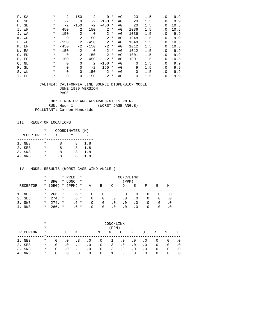| F. SA | $\ast$   | $-2$     | 150      | -2     | 0      | $^\star$ | AG | 23   | 1.5 | $\cdot$ 0 | 9.9  |
|-------|----------|----------|----------|--------|--------|----------|----|------|-----|-----------|------|
| G. SD | $^\star$ | $-2$     | 0        | $-2$   | $-150$ | $^\star$ | AG | 20   | 1.5 | $\cdot$ 0 | 9.9  |
| H. SE | $^\star$ | $-2$     | $-150$   | $-2$   | $-450$ | $^\ast$  | AG | 20   | 1.5 | $\cdot$ 0 | 10.5 |
| I. WF | $^\star$ | 450      | 2        | 150    | 2      | $\ast$   | AG | 1036 | 1.5 | $\cdot$ 0 | 10.5 |
| J. WA | $^\star$ | 150      | 2        | 0      | 2      | $\ast$   | AG | 1036 | 1.5 | $\cdot$ 0 | 9.9  |
| K. WD | $^\star$ | $\Omega$ | 2        | $-150$ | 2      | $\star$  | AG | 1048 | 1.5 | $\cdot$ 0 | 9.9  |
| L. WE | $^\star$ | $-150$   | 2        | $-450$ | 2      | $\ast$   | AG | 1048 | 1.5 | $\cdot$ 0 | 10.5 |
| M. EF | $\ast$   | $-450$   | $-2$     | $-150$ | $-2$   | $^\star$ | AG | 1012 | 1.5 | $\cdot$ 0 | 10.5 |
| N. EA | $^\star$ | $-150$   | $-2$     | 0      | $-2$ * |          | AG | 1012 | 1.5 | . 0       | 9.9  |
| O. ED | $^\star$ | $\Omega$ | $-2$     | 150    | $-2$ * |          | AG | 1001 | 1.5 | $\cdot$ 0 | 9.9  |
| P. EE | $^\star$ | 150      | $-2$     | 450    | $-2$ * |          | AG | 1001 | 1.5 | . 0       | 10.5 |
| Q. NL | $^\star$ | $\Omega$ | $\Omega$ | 2      | $-150$ | $\ast$   | AG | 0    | 1.5 | $\cdot$ 0 | 9.9  |
| R. SL | $^\star$ | $\Omega$ | $\Omega$ | $-2$   | 150    | $\ast$   | AG | 9    | 1.5 | $\cdot$ 0 | 9.9  |
| S. WL | $^\star$ | $\Omega$ | $\Omega$ | 150    | 2      | $^\ast$  | AG | 0    | 1.5 | $\cdot$ 0 | 9.9  |
| T. EL | *        | 0        | 0        | $-150$ | $-2$   | $^\star$ | AG | 0    | 1.5 | $\cdot$ 0 | 9.9  |

 JOB: LINDA DR AND ALVARADO-NILES PM NP RUN: Hour 1 (WORST CASE ANGLE) POLLUTANT: Carbon Monoxide

### III. RECEPTOR LOCATIONS

|                 | $\star$ | COORDINATES (M) |      |     |
|-----------------|---------|-----------------|------|-----|
| <b>RECEPTOR</b> | *       | X               |      |     |
|                 |         |                 |      |     |
| 1. NE3          | *       | я               | Χ    | 1.8 |
| 2. SE3          | *       | я               | $-8$ | 1.8 |
| 3. SW3          | *       | -8              | -8   | 1.8 |
| 4. NW3          | *       | -8              | Χ    | 1.8 |

|          | $^\star$ |              | * PRED                                                               | $\star$ | CONC/LINK |           |           |           |           |           |     |           |
|----------|----------|--------------|----------------------------------------------------------------------|---------|-----------|-----------|-----------|-----------|-----------|-----------|-----|-----------|
|          | *        | <b>BRG</b>   | * CONC                                                               | $\star$ |           |           |           | (PPM)     |           |           |     |           |
| RECEPTOR | $\star$  | (DEG)        | $*$ (PPM)                                                            | $\star$ | A         | B         | C         | D         | E         | F         | G   | Η         |
|          |          |              | $\frac{1}{2}$ . The set of $\frac{1}{2}$ is the set of $\frac{1}{2}$ |         |           |           |           |           |           |           |     |           |
| 1. NE3   | $\star$  | $266.$ *     | .6 *                                                                 |         | . 0       | . 0       | . 0       | $\cdot$ 0 | . 0       | $\cdot$ 0 | . 0 | . 0       |
| 2. SE3   |          | $*$ 274. $*$ | $.6*$                                                                |         | $\cdot$ 0 | . 0       | $\cdot$ 0 | $\cdot$ 0 | . 0       | . 0       | . 0 | $\cdot$ 0 |
| 3. SW3   | $\star$  | $274.$ *     | $.6*$                                                                |         | $\cdot$ 0 | . 0       | $\cdot$ 0 | $\cdot$ 0 | . 0       | $\cdot$ 0 | . 0 | . 0       |
| 4. NW3   | $\star$  | $266.$ *     | .6 *                                                                 |         | . 0       | $\cdot$ 0 | . 0       | . 0       | $\cdot$ 0 | . 0       | . 0 |           |

|            | $\star$  | CONC/LINK |           |                         |           |           |           |           |           |           |           |           |           |
|------------|----------|-----------|-----------|-------------------------|-----------|-----------|-----------|-----------|-----------|-----------|-----------|-----------|-----------|
|            | $\ast$   |           |           |                         |           |           | (PPM)     |           |           |           |           |           |           |
| RECEPTOR   | $^\star$ |           | J         | Κ                       | Ŀ         | M         | Ν         | $\circ$   | Ρ         | O         | R         | S         | т         |
|            |          |           |           |                         |           |           |           |           |           |           |           |           |           |
| NE3        | $\ast$   | . 0       | $\cdot$ 0 | . 3                     | $\cdot$ 0 | . 0       | .1        | . 0       | $\cdot$ 0 | $\cdot$ 0 | . 0       | $\cdot$ 0 | . 0       |
| 2. SE3     | $\ast$   | . 0       | $\cdot$ 0 |                         | $\cdot$ 0 | $\cdot$ 0 | $\cdot$ 3 | $\cdot$ 0 | $\cdot$ 0 | $\cdot$ 0 | $\cdot$ 0 | $\cdot$ 0 | . 0       |
| 3. SW3     | $\ast$   | . 0       | $\cdot$ 0 |                         | $\cdot$ 0 | $\cdot$ 0 | $\cdot$ 3 | $\cdot$ 0 | $\cdot$ 0 | $\cdot$ 0 | $\cdot$ 0 | . 0       | $\cdot$ 0 |
| NW 3<br>4. | $\ast$   | . 0       | $\cdot$ 0 | $\overline{\mathbf{z}}$ | $\cdot$ 0 | $\cdot$ 0 |           | $\cdot$ 0 | $\cdot$ 0 | $\cdot$ 0 | $\cdot$ 0 | . 0       |           |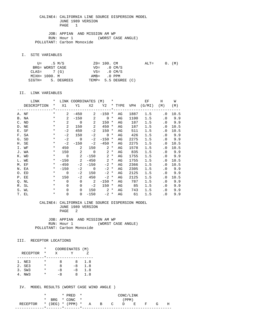JOB: APPIAN AND MISSION AM WP RUN: Hour 1 (WORST CASE ANGLE) POLLUTANT: Carbon Monoxide

I. SITE VARIABLES

|               | U= .5 M/S       |                   | ZO= 100. CM             |                      | $\text{ALT} =$ |  | 0. (M) |
|---------------|-----------------|-------------------|-------------------------|----------------------|----------------|--|--------|
|               | BRG= WORST CASE |                   | $VD = 0 CM/S$           |                      |                |  |        |
| $CLAS = 7(G)$ |                 |                   | $VS = 0 \, \text{CM/S}$ |                      |                |  |        |
| MIXH= 1000. M |                 |                   | AMB= .0 PPM             |                      |                |  |        |
|               |                 | SIGTH= 5. DEGREES |                         | TEMP= 5.5 DEGREE (C) |                |  |        |

#### II. LINK VARIABLES

| LINK        | $\star$ |                | LINK COORDINATES (M) *  |                            |                   |        |    |      | EF                              | H              | W      |
|-------------|---------|----------------|-------------------------|----------------------------|-------------------|--------|----|------|---------------------------------|----------------|--------|
| DESCRIPTION |         |                |                         |                            |                   |        |    |      | * X1 Y1 X2 Y2 * TYPE VPH (G/MI) | (M)            | (M)    |
|             |         |                |                         |                            |                   |        |    |      |                                 |                |        |
| A. NF       | $\star$ | $\mathbf{2}$   | $-450$                  |                            | $2 - 150$ *       |        | AG | 1887 | 1.5                             | $\cdot$ 0      | 10.5   |
| B. NA       | $\star$ | $\overline{a}$ |                         | $-150$ 2                   | $0 *$             |        | AG | 1100 | 1.5                             |                | .0 9.9 |
| C. ND       | $\star$ | 2              | $\overline{0}$          | $\sim$ 2                   | $150 *$           |        | AG | 187  | 1.5                             |                | .0 9.9 |
| D. NE       | $\star$ | 2              | 150                     | $\overline{\phantom{0}}^2$ | 450               | $\ast$ | AG | 187  | 1.5                             | $\cdot$ 0      | 10.5   |
| E. SF       | $\star$ | $-2$           | 450                     | $-2$                       | 150 *             |        | AG | 511  | 1.5                             | . 0            | 10.5   |
| F. SA       | $\star$ | $-2$           | 150                     |                            | $-2$ 0 $*$        |        | AG | 426  | 1.5                             |                | .0 9.9 |
| G. SD       | $\star$ |                | $-2$ 0                  | $-2$                       | $-150$ *          |        | AG | 2275 | 1.5                             |                | .0 9.9 |
| H. SE       | $\ast$  | $-2$           | $-150$                  | $-2$                       | $-450$ *          |        | AG | 2275 | 1.5                             | $\cdot$ 0      | 10.5   |
| I. WF       | $\star$ |                | 450 2                   |                            | $150$ 2 $*$       |        | AG | 1578 | 1.5                             | $\cdot$ 0      | 10.5   |
| J. WA       | $\star$ |                | 150 2                   |                            | $0 \t 2 \t \star$ |        | AG | 835  | 1.5                             |                | .0 9.9 |
| K. WD       | $\star$ | $\overline{0}$ | $\overline{\mathbf{c}}$ | $-150$                     | $2 *$             |        | AG | 1755 | 1.5                             |                | .0 9.9 |
| L. WE       | $\star$ |                | $-150$ 2                |                            | $-450$ 2 *        |        | AG | 1755 | 1.5                             | $\cdot$ 0      | 10.5   |
| M. EF       | $\star$ | $-450$         | $-2$                    | $-150$                     | $-2$ *            |        | AG | 2366 | 1.5                             | . 0            | 10.5   |
| N. EA       | $\star$ | $-150$         |                         | $-2$ 0                     | $-2$ *            |        | AG | 2305 | 1.5                             |                | .0 9.9 |
| O. ED       | $\star$ | $\overline{0}$ | $-2$                    | 150                        | $-2$ *            |        | AG | 2125 | 1.5                             |                | .0 9.9 |
| P. EE       | $\star$ | 150            | $-2$                    | 450                        | $-2$ *            |        | AG | 2125 | 1.5                             | . 0            | 10.5   |
| Q. NL       | $\star$ | $\Omega$       | $\overline{0}$          | $\overline{\phantom{a}}$ 2 | $-150$ *          |        | AG | 787  | 1.5                             |                | .0 9.9 |
| R. SL       | $\star$ | $\Omega$       | $\Omega$                | $-2$                       | $150*$            |        | AG | 85   | 1.5                             | $\cdot$ 0      | 9.9    |
| S. WL       | $\star$ | $\Omega$       | $\Omega$                |                            | $150 \t 2*$       |        | AG | 743  | 1.5                             | $\cdot$ 0      | 9.9    |
| T. EL       | $\ast$  | $\mathbf 0$    | $\overline{0}$          | $-150$                     | $-2$ *            |        | AG | 61   | 1.5                             | $\overline{0}$ | 9.9    |

#### CALINE4: CALIFORNIA LINE SOURCE DISPERSION MODEL JUNE 1989 VERSION PAGE 2

JOB: APPIAN AND MISSION AM WP<br>RUN: Hour 1 (WORST CA (WORST CASE ANGLE) POLLUTANT: Carbon Monoxide

#### III. RECEPTOR LOCATIONS

|                 | * | COORDINATES (M) |      |     |
|-----------------|---|-----------------|------|-----|
| <b>RECEPTOR</b> | * | X               |      |     |
|                 |   |                 |      |     |
| 1. NE3          | * | я               | 8    | 1.8 |
| 2. SE3          | * | я               | $-8$ | 1.8 |
| 3. SW3          | * | -8              | $-8$ | 1.8 |
| NW 3            | * | $-8$            | x    | 1.8 |

|                                        |  | $*$ PRED $*$   |  |  | CONC/LINK |  |   |
|----------------------------------------|--|----------------|--|--|-----------|--|---|
|                                        |  | * BRG * CONC * |  |  | (PPM)     |  |   |
| RECEPTOR * (DEG) * (PPM) * A B C D E F |  |                |  |  |           |  | н |
|                                        |  |                |  |  |           |  |   |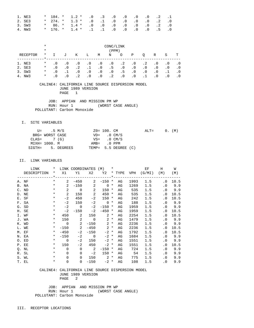| 1. NE3 |  | $*$ 184. $*$ 1.2 $*$ .0 .3 .0 .0 .0 .0 .2 .1 |  |  |  |  |
|--------|--|----------------------------------------------|--|--|--|--|
| 2. SE3 |  | $*$ 274. $*$ 1.3 $*$ .0 .1 .0 .0 .0 .0 .2 .0 |  |  |  |  |
| 3. SW3 |  | $*$ 86. $*$ 1.4 $*$ .0 .0 .0 .0 .0 .0 .2 .0  |  |  |  |  |
| 4. NW3 |  | * 176. * 1.4 * .1 .1 .0 .0 .0 .0 .5 .0       |  |  |  |  |

|          | $\ast$   | CONC/LINK |           |           |           |           |           |           |           |           |           |           |     |
|----------|----------|-----------|-----------|-----------|-----------|-----------|-----------|-----------|-----------|-----------|-----------|-----------|-----|
|          | $\ast$   |           |           |           |           |           | (PPM)     |           |           |           |           |           |     |
| RECEPTOR | $^\star$ |           | J         | K         | Ŀ         | М         | N         | $\circ$   | Ρ         | O         | R         | S         | т   |
|          |          |           |           |           |           |           |           |           |           |           |           |           |     |
| NE3      | $\ast$   | $\cdot$ 0 | $\cdot$ 0 | $\cdot$ 0 | $\cdot$ 0 | . 0       | $\cdot$ 0 | $\cdot$ 2 | $\cdot$ 0 | $\cdot$ 2 | $\cdot$ 0 | . 0       | . 0 |
| 2. SE3   | $^\star$ | $\cdot$ 0 | $\cdot$ 0 | $\cdot$ 2 |           | $\cdot$ 0 | .5        | $\cdot$ 0 | $\cdot$ 0 | $\cdot$ 0 | .0        | $\cdot$ 0 | . 0 |
| 3. SW3   | $\ast$   | $\cdot$ 0 |           | $\cdot$ 0 | $\cdot$ 0 | $\cdot$ 0 | $\cdot$ 0 | . 5       | $\cdot$ 0 | $\cdot$ 0 | $\cdot$ 0 |           | . 0 |
| NW3      | $\ast$   | . 0       |           | $\cdot$ 2 | $\cdot$ 0 | $\cdot$ 0 | $\cdot$ 2 | $\cdot$ 0 | . 0       |           | . 0       |           |     |

 JOB: APPIAN AND MISSION PM WP RUN: Hour 1 (WORST CASE ANGLE) POLLUTANT: Carbon Monoxide

#### I. SITE VARIABLES

|               | U= .5 M/S       |                   | ZO= 100. CM   |                      | $ALT=$ |  | 0. (M) |
|---------------|-----------------|-------------------|---------------|----------------------|--------|--|--------|
|               | BRG= WORST CASE |                   | $VD = 0 CM/S$ |                      |        |  |        |
| $CLAS = 7(G)$ |                 |                   |               | $VS = 0$ CM/S        |        |  |        |
| MIXH= 1000. M |                 |                   | AMB= .0 PPM   |                      |        |  |        |
|               |                 | SIGTH= 5. DEGREES |               | TEMP= 5.5 DEGREE (C) |        |  |        |

#### II. LINK VARIABLES

| LINK        | $\star$ |                | LINK COORDINATES (M) *     |                            |                   |        |    |      | EF                              | H                          | W      |
|-------------|---------|----------------|----------------------------|----------------------------|-------------------|--------|----|------|---------------------------------|----------------------------|--------|
| DESCRIPTION |         |                |                            |                            |                   |        |    |      | * X1 Y1 X2 Y2 * TYPE VPH (G/MI) | (M)                        | (M)    |
|             |         |                |                            |                            |                   |        |    |      |                                 |                            |        |
| A. NF       | $\star$ | $\mathbf{2}$   | $-450$                     |                            | $2 - 150$ *       |        | AG | 1993 | 1.5                             | $\cdot$ 0                  | 10.5   |
| B. NA       | $\star$ | $2^{\circ}$    |                            | $-150$ 2                   | $0 *$             |        | AG | 1269 | 1.5                             |                            | .0 9.9 |
| C. ND       | $\star$ | 2              | $\overline{0}$             | $\sim$ 2                   | $150 *$           |        | AG | 535  | 1.5                             |                            | .0 9.9 |
| D. NE       | $\star$ | $\overline{2}$ | 150                        | $\overline{\phantom{0}}^2$ | 450               | $\ast$ | AG | 535  | 1.5                             | . 0                        | 10.5   |
| E. SF       | $\ast$  | $-2$           | 450                        | $-2$                       | $150 *$           |        | AG | 242  | 1.5                             | . 0                        | 10.5   |
| F. SA       | $\star$ | $-2$           | 150                        | $-2$                       | $0 *$             |        | AG | 188  | 1.5                             |                            | .0 9.9 |
| G. SD       | $\star$ | $-2$           | $\overline{0}$             | $-2$                       | $-150$ *          |        | AG | 1959 | 1.5                             |                            | .0 9.9 |
| H. SE       | $\ast$  | $-2$           | $-150$                     | $-2$                       | $-450$ *          |        | AG | 1959 | 1.5                             | . 0                        | 10.5   |
| I. WF       | $\star$ |                | 450 2                      |                            | $150$ 2 $*$       |        | AG | 2254 | 1.5                             | $\cdot$ 0                  | 10.5   |
| J. WA       | $\star$ |                | 150 2                      |                            | $0 \t 2 \t \star$ |        | AG | 1479 | 1.5                             |                            | .0 9.9 |
| K. WD       | $\star$ | $\overline{0}$ | $\overline{\phantom{a}}$ 2 |                            | $-150$ 2 *        |        | AG | 2236 | 1.5                             |                            | .0 9.9 |
| L. WE       | $\star$ | $-150$         | $\overline{\phantom{a}}$   |                            | $-450$ 2 *        |        | AG | 2236 | 1.5                             | $\cdot$ 0                  | 10.5   |
| M. EF       | $\star$ | $-450$         | $-2$                       | $-150$                     | $-2$ *            |        | AG | 1792 | 1.5                             | . 0                        | 10.5   |
| N. EA       | $\star$ | $-150$         |                            | $-2$ 0                     | $-2$ *            |        | AG | 1684 | 1.5                             |                            | .0 9.9 |
| O. ED       | $\star$ | $\overline{0}$ | $-2$                       | 150                        | $-2$ *            |        | AG | 1551 | 1.5                             | $\cdot$ 0                  | 9.9    |
| P. EE       | $\star$ | 150            | $-2$                       | 450                        | $-2$ *            |        | AG | 1551 | 1.5                             | . 0                        | 10.5   |
| Q. NL       | $\star$ | $\Omega$       | $\Omega$                   | $\overline{\phantom{a}}$   | $-150$ *          |        | AG | 724  | 1.5                             | . 0                        | 9.9    |
| R. SL       | $\ast$  | $\Omega$       | $\Omega$                   | $-2$                       | $150 *$           |        | AG | 54   | 1.5                             | $\cdot$ 0                  | 9.9    |
| S. WL       | $\star$ | $\Omega$       | $\Omega$                   |                            | $150$ 2 $*$       |        | AG | 775  | 1.5                             | $\cdot$ 0                  | 9.9    |
| T. EL       | $\ast$  | $\mathbf 0$    | $\overline{0}$             | $-150$                     | $-2$ *            |        | AG | 108  | 1.5                             | $\overline{\phantom{0}}$ . | 9.9    |

#### CALINE4: CALIFORNIA LINE SOURCE DISPERSION MODEL JUNE 1989 VERSION PAGE 2

 JOB: APPIAN AND MISSION PM WP RUN: Hour 1 (WORST CASE ANGLE) POLLUTANT: Carbon Monoxide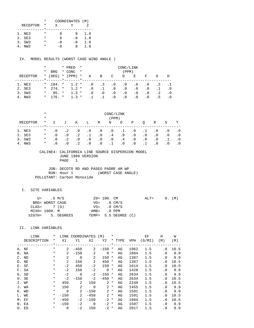|                 | * | COORDINATES (M) |    |     |
|-----------------|---|-----------------|----|-----|
| <b>RECEPTOR</b> | * | x               |    |     |
|                 |   |                 |    |     |
| 1. NE3          | * | я               | x  | 1.8 |
| 2. SE3          | * | я               | -8 | 1.8 |
| 3. SW3          | * | -8              | -8 | 1.8 |
| NW 3            |   | -8              | x  | 1.8 |

IV. MODEL RESULTS (WORST CASE WIND ANGLE )

|          | *        |              |         | * PRED    | $\star$  | CONC/LINK |           |           |           |           |           |           |     |
|----------|----------|--------------|---------|-----------|----------|-----------|-----------|-----------|-----------|-----------|-----------|-----------|-----|
|          | $^\star$ | <b>BRG</b>   |         | * CONC    | $\star$  |           |           |           | (PPM)     |           |           |           |     |
| RECEPTOR | $\ast$   | (DEG)        |         | $*$ (PPM) | $^\star$ | Α         | B         | C         | D         | Е         | F         | G         | H   |
|          |          |              | $\star$ |           |          |           |           |           |           |           |           |           |     |
| 1. NE3   |          | $*$ 184. $*$ |         | $1.2*$    |          | . 0       | $\cdot$ 3 | . 0       | . 0       | . 0       | $\cdot$ 0 | $\cdot$ 2 |     |
| 2. SE3   | $\star$  | $274.$ *     |         | $1.2 *$   |          | $\cdot$ 0 | $\cdot$ 1 | $\cdot$ 0 | $\cdot$ 0 | $\cdot$ 0 | $\cdot$ 0 |           | . 0 |
| 3. SW3   | $^\star$ | $85. *$      |         | $1.3 *$   |          | . 0       | $\cdot$ 0 | . 0       | $\cdot$ 0 | . 0       | $\cdot$ 0 | $\cdot$ 2 | .0  |
| NW3      | $\ast$   | 176. *       |         | $1.3 *$   |          |           |           | $\cdot$ 0 | $\cdot$ 0 | $\cdot$ 0 | . 0       | . 5       |     |

|            | $^\star$<br>$\star$ | CONC/LINK<br>(PPM) |           |           |           |           |           |           |           |           |           |           |           |
|------------|---------------------|--------------------|-----------|-----------|-----------|-----------|-----------|-----------|-----------|-----------|-----------|-----------|-----------|
| RECEPTOR   | $\ast$              | $\mathbf{I}$       | J         | Κ         | Ŀ         | M         | N         | O         | Ρ         | O         | R         | S         | т         |
| NE 3<br>1. | $^\star$            | . 0                | $\cdot$ 2 | $\cdot$ 0 | $\cdot$ 0 | $\cdot$ 0 | $\cdot$ 0 | $\cdot$ 1 | $\cdot$ 0 | .1        | . 0       | $\cdot$ 0 | $\cdot$ 0 |
| 2. SE3     | $\ast$              | . 0                | . 0       | $\cdot$ 2 |           | $\cdot$ 0 | . 4       | $\cdot$ 0 | $\cdot$ 0 | $\cdot$ 0 | $\cdot$ 0 | $\cdot$ 0 | $\cdot$ 0 |
| SW3<br>3.  | $\ast$              | . 0                | $\cdot$ 2 | $\cdot$ 0 | $\cdot$ 0 | $\cdot$ 0 | $\cdot$ 0 | . 4       | $\cdot$ 0 | $\cdot$ 0 | $\cdot$ 0 |           | $\cdot$ 0 |
| NW3        | $\ast$              | . 0                | . 0       | $\cdot$ 2 | $\cdot$ 0 | $\cdot$ 0 |           | $\cdot$ 0 | $\cdot$ 0 |           | . 0       | $\cdot$ 0 |           |

#### CALINE4: CALIFORNIA LINE SOURCE DISPERSION MODEL JUNE 1989 VERSION PAGE 1

JOB: DECOTO RD AND PASEO PADRE AM WP<br>RUN: Hour 1 (WORST CASE ANGLE) RUN: Hour 1 POLLUTANT: Carbon Monoxide

## I. SITE VARIABLES

| U= .5 M/S       |                   | $Z0 = 100$ . CM       |                      | $ALT = 0. (M)$ |  |  |
|-----------------|-------------------|-----------------------|----------------------|----------------|--|--|
| BRG= WORST CASE |                   | $VD = 0 CM/S$         |                      |                |  |  |
| $CLAS = 7(G)$   |                   | $VS = 0 \text{ CM/S}$ |                      |                |  |  |
| MIXH= 1000. M   |                   | $AMB = 0 PPM$         |                      |                |  |  |
|                 | SIGTH= 5. DEGREES |                       | TEMP= 5.5 DEGREE (C) |                |  |  |

|                | LINK        | *        | LINK           | <b>COORDINATES</b> |             | (M)         | $^\star$    |        |            | ЕF     | H         | W    |
|----------------|-------------|----------|----------------|--------------------|-------------|-------------|-------------|--------|------------|--------|-----------|------|
|                | DESCRIPTION | *        | X1             | Y1                 | X2          | Y2          |             | * TYPE | <b>VPH</b> | (G/MI) | (M)       | (M)  |
|                |             | $\star$  |                |                    |             |             | $\star$ $-$ |        |            |        |           |      |
|                | A. NF       | $^\star$ | 2              | $-450$             | 2           | $-150$      | *           | AG     | 1962       | 1.5    | $\cdot$ 0 | 10.5 |
|                | B. NA       | $\ast$   | $\overline{a}$ | $-150$             | 2           | $\mathbf 0$ | $^\star$    | AG     | 1884       | 1.5    | $\cdot$ 0 | 9.9  |
| $\mathsf{C}$ . | ND          | $\ast$   | $\overline{2}$ | $\mathbf 0$        | 2           | 150         | *           | AG     | 1387       | 1.5    | $\cdot$ 0 | 9.9  |
| D.             | ΝE          | $\ast$   | 2              | 150                | 2           | 450         | *           | AG     | 1387       | 1.5    | $\cdot$ 0 | 10.5 |
|                | E. SF       | $^\star$ | $-2$           | 450                | $-2$        | 150         | *           | AG     | 1614       | 1.5    | $\cdot$ 0 | 10.5 |
|                | F. SA       | $^\star$ | $-2$           | 150                | $-2$        | $\mathbf 0$ | $^\ast$     | AG     | 1428       | 1.5    | $\cdot$ 0 | 9.9  |
|                | G. SD       | $^\star$ | $-2$           | $\Omega$           | $-2$        | $-150$      | $^\ast$     | AG     | 2634       | 1.5    | $\cdot$ 0 | 9.9  |
|                | H. SE       | $^\star$ | $-2$           | $-150$             | $-2$        | $-450$      | $^\star$    | AG     | 2634       | 1.5    | $\cdot$ 0 | 10.5 |
|                | I. WF       | $^\star$ | 450            | 2                  | 150         | 2           | $^\star$    | AG     | 2249       | 1.5    | $\cdot$ 0 | 10.5 |
|                | J. WA       | $^\star$ | 150            | 2                  | $\mathbf 0$ | 2           | $\ast$      | AG     | 1455       | 1.5    | $\cdot$ 0 | 9.9  |
|                | K. WD       | *        | $\Omega$       | 2                  | $-150$      | 2           | $\star$     | AG     | 1591       | 1.5    | $\cdot$ 0 | 9.9  |
|                | L. WE       | $\ast$   | $-150$         | 2                  | $-450$      | 2           | $^\star$    | AG     | 1591       | 1.5    | . 0       | 10.5 |
| М.             | EF          | $\ast$   | $-450$         | $-2$               | $-150$      | $-2$        | $^\star$    | AG     | 1804       | 1.5    | . 0       | 10.5 |
|                | N. EA       | $\ast$   | $-150$         | $-2$               | $\Omega$    | $-2$        | *           | AG     | 1597       | 1.5    | $\cdot$ 0 | 9.9  |
|                | O. ED       | $\ast$   | $\Omega$       | -2                 | 150         | $-2$        | *           | AG     | 2017       | 1.5    | $\cdot$ 0 | 9.9  |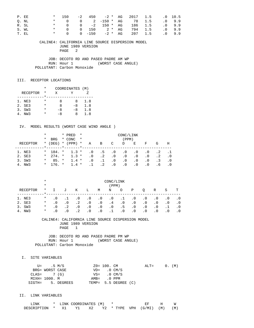| P. EE |       | $* = 150$                     |  |  | $-2$ 450 $-2$ * AG 2017 1.5 .0 10.5 |  |       |
|-------|-------|-------------------------------|--|--|-------------------------------------|--|-------|
|       | O. NL |                               |  |  | * 0 0 2 –150 * AG 78 1.5            |  | .09.9 |
| R. SL |       |                               |  |  | * 0 0 -2 150 * AG 186 1.5 .0 9.9    |  |       |
|       | S. WL |                               |  |  | * 0 0 150 $2 * AG$ 794 1.5          |  | .09.9 |
| T. EL |       | $\star$ and $\star$<br>$\cap$ |  |  | 0 -150 -2 * AG 207 1.5              |  | .09.9 |

 JOB: DECOTO RD AND PASEO PADRE AM WP RUN: Hour 1 (WORST CASE ANGLE) POLLUTANT: Carbon Monoxide

### III. RECEPTOR LOCATIONS

|                 | *        | COORDINATES (M) |      |     |
|-----------------|----------|-----------------|------|-----|
| <b>RECEPTOR</b> | *        | x               |      |     |
|                 |          |                 |      |     |
| 1. NE3          | *        | я               | 8    | 1.8 |
| 2. SE3          | *        | я               | $-8$ | 1.8 |
| 3. SW3          | $^\star$ | -8              | $-8$ | 1.8 |
| NW 3            | *        | -8              | x    | 1.8 |

#### IV. MODEL RESULTS (WORST CASE WIND ANGLE )

|          | $^\star$ |            | * PRED              | $\star$<br>CONC/LINK |           |           |           |           |           |           |           |     |
|----------|----------|------------|---------------------|----------------------|-----------|-----------|-----------|-----------|-----------|-----------|-----------|-----|
|          | *        | <b>BRG</b> | * CONC              | $\star$              |           |           |           | (PPM)     |           |           |           |     |
| RECEPTOR | $\star$  | (DEG)      | $*$ (PPM)           | $\ast$               | Α         | B         | C         | D         | Е         | F         | G         | Н   |
|          |          |            | $\star$ and $\star$ |                      |           |           |           |           |           |           |           |     |
| 1. NE3   | $\star$  | 184. *     | $1.3*$              |                      | . 0       | .5        | . 0       | $\cdot$ 0 | . 0       | $\cdot$ 0 | . 2       |     |
| 2. SE3   | $\star$  | $274.$ *   | $1.3 *$             |                      | $\cdot$ 0 | $\cdot$ 2 | $\cdot$ 0 | $\cdot$ 0 | $\cdot$ 0 | $\cdot$ 0 | $\cdot$ 2 | . 0 |
| 3. SW3   | $^\star$ | $85. *$    | $1.4 *$             |                      | $\cdot$ 0 | $\cdot$ 1 | $\cdot$ 0 | $\cdot$ 0 | . 0       | $\cdot$ 0 | . 3       | . 0 |
| 4. NW3   | $\star$  | 176. *     | $1.4$ *             |                      |           | . 2       | . 0       | $\cdot$ 0 | $\cdot$ 0 | . 0       | . 6       | . 0 |

|                                      | $\ast$<br>$\ast$                       | CONC/LINK<br>(PPM)             |                                     |                                                  |                                                  |                                                  |                               |                                    |                                                  |                                                  |                                                  |                               |                                |
|--------------------------------------|----------------------------------------|--------------------------------|-------------------------------------|--------------------------------------------------|--------------------------------------------------|--------------------------------------------------|-------------------------------|------------------------------------|--------------------------------------------------|--------------------------------------------------|--------------------------------------------------|-------------------------------|--------------------------------|
| RECEPTOR                             | $^\star$                               |                                | J                                   | Κ                                                | Ŀ                                                | M                                                | Ν                             | $\circ$                            | Ρ                                                | O                                                | R                                                | S                             | т                              |
| 1. NE3<br>2. SE3<br>3. SW3<br>4. NW3 | $\ast$<br>$\ast$<br>$\ast$<br>$^\star$ | . 0<br>. 0<br>. 0<br>$\cdot$ 0 | $\cdot$ 0<br>$\cdot$ 2<br>$\cdot$ 0 | $\cdot$ 0<br>$\cdot$ 2<br>$\cdot$ 0<br>$\cdot$ 2 | $\cdot$ 0<br>$\cdot$ 0<br>$\cdot$ 0<br>$\cdot$ 0 | $\cdot$ 0<br>$\cdot$ 0<br>$\cdot$ 0<br>$\cdot$ 0 | $\cdot$ 0<br>. 4<br>$\cdot$ 0 | .1<br>$\cdot$ 0<br>.5<br>$\cdot$ 0 | $\cdot$ 0<br>$\cdot$ 0<br>$\cdot$ 0<br>$\cdot$ 0 | $\cdot$ 0<br>$\cdot$ 0<br>$\cdot$ 0<br>$\cdot$ 0 | $\cdot$ 0<br>$\cdot$ 0<br>$\cdot$ 0<br>$\cdot$ 0 | . 0<br>$\cdot$ 0<br>$\cdot$ 0 | . 0<br>$\cdot$ 0<br>. 0<br>. 0 |

#### CALINE4: CALIFORNIA LINE SOURCE DISPERSION MODEL JUNE 1989 VERSION PAGE 1

 JOB: DECOTO RD AND PASEO PADRE PM WP RUN: Hour 1 (WORST CASE ANGLE) POLLUTANT: Carbon Monoxide

I. SITE VARIABLES

|               | U= .5 M/S       |                   | $Z0 = 100$ . CM         |                      | $ALT = 0. (M)$ |  |  |
|---------------|-----------------|-------------------|-------------------------|----------------------|----------------|--|--|
|               | BRG= WORST CASE |                   | $VD = 0 CM/S$           |                      |                |  |  |
| $CLAS = 7(G)$ |                 |                   | $VS = 0 \, \text{CM/S}$ |                      |                |  |  |
|               | MIXH= 1000. M   |                   | $AMB = 0 PPM$           |                      |                |  |  |
|               |                 | SIGTH= 5. DEGREES |                         | TEMP= 5.5 DEGREE (C) |                |  |  |

| 'NK         |      | LINK COORDINATES (M) |      |  |                   |     |     |
|-------------|------|----------------------|------|--|-------------------|-----|-----|
| DESCRIPTION | - X1 |                      | Y2 O |  | * TYPE VPH (G/MI) | (M) | (M) |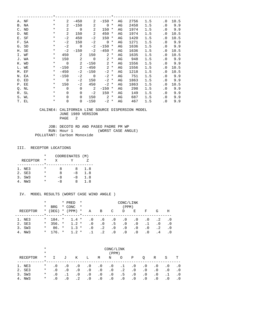| A. NF | $^\star$ | 2              | $-450$         | 2                          | $-150$      | $^\ast$  | AG | 2756 | 1.5 | $\cdot$ 0 | 10.5 |
|-------|----------|----------------|----------------|----------------------------|-------------|----------|----|------|-----|-----------|------|
| B. NA | $^\star$ | 2              | $-150$         | 2                          | $\Omega$    | $^\ast$  | AG | 2458 | 1.5 | $\cdot$ 0 | 9.9  |
| C. ND | $^\star$ | 2              | $\overline{0}$ | 2                          | 150         | *        | AG | 1974 | 1.5 | $\cdot$ 0 | 9.9  |
| D. NE | $^\star$ | 2              | 150            | 2                          | 450         | $\ast$   | AG | 1974 | 1.5 | $\cdot$ 0 | 10.5 |
| E. SF | $^\star$ | $-2$           | 450            | $-2$                       | 150         | *        | AG | 1420 | 1.5 | $\cdot$ 0 | 10.5 |
| F. SA | $^\star$ | $-2$           | 150            | $-2$                       | $\mathbf 0$ | $^\ast$  | AG | 1271 | 1.5 | $\cdot$ 0 | 9.9  |
| G. SD | $^\star$ | $-2$           | $\overline{0}$ | $-2$                       | $-150$      | $^\star$ | AG | 1636 | 1.5 | $\cdot$ 0 | 9.9  |
| H. SE | $^\star$ | $-2$           | $-150$         | $-2$                       | $-450$      | $\ast$   | AG | 1636 | 1.5 | . 0       | 10.5 |
| I. WF | $^\star$ | 450            | 2              | 150                        | 2           | $\ast$   | AG | 1635 | 1.5 | $\cdot$ 0 | 10.5 |
| J. WA | $^\star$ | 150            | 2              | $\overline{0}$             | 2           | $^\ast$  | AG | 948  | 1.5 | $\cdot$ 0 | 9.9  |
| K. WD | $^\star$ | $\Omega$       | 2              | $-150$                     | 2           | $\ast$   | AG | 1556 | 1.5 | $\cdot$ 0 | 9.9  |
| L. WE | $^\star$ | $-150$         | 2              | $-450$                     | 2           | $^\star$ | AG | 1556 | 1.5 | $\cdot$ 0 | 10.5 |
| M. EF | $^\star$ | $-450$         | $-2$           | $-150$                     | $-2$        | $^\star$ | AG | 1218 | 1.5 | . 0       | 10.5 |
| N. EA | $^\star$ | $-150$         | $-2$           | $\overline{0}$             | $-2$        | $\ast$   | AG | 751  | 1.5 | $\cdot$ 0 | 9.9  |
| O. ED | $^\star$ | $\overline{0}$ | $-2$           | 150                        | $-2$        | *        | AG | 1863 | 1.5 | $\cdot$ 0 | 9.9  |
| P. EE | $\ast$   | 150            | $-2$           | 450                        | $-2$ *      |          | AG | 1863 | 1.5 | $\cdot$ 0 | 10.5 |
| Q. NL | $^\star$ | $\Omega$       | $\mathbf 0$    | $\overline{\phantom{0}}^2$ | $-150$      | $^\star$ | AG | 298  | 1.5 | $\cdot$ 0 | 9.9  |
| R. SL | $^\star$ | $\Omega$       | $\Omega$       | $-2$                       | 150         | $^\star$ | AG | 149  | 1.5 | $\cdot$ 0 | 9.9  |
| S. WL | $^\star$ | $\Omega$       | $\mathbf 0$    | 150                        | 2           | $^\ast$  | AG | 687  | 1.5 | $\cdot$ 0 | 9.9  |
| T. EL | *        | $\mathbf 0$    | $\overline{0}$ | $-150$                     | $-2$        | $^\star$ | AG | 467  | 1.5 | $\cdot$ 0 | 9.9  |

 JOB: DECOTO RD AND PASEO PADRE PM WP RUN: Hour 1 (WORST CASE ANGLE) POLLUTANT: Carbon Monoxide

### III. RECEPTOR LOCATIONS

|                 | * | COORDINATES (M) |      |     |
|-----------------|---|-----------------|------|-----|
| <b>RECEPTOR</b> | * | X               |      |     |
|                 |   |                 |      |     |
| 1. NE3          | * | я               | x    | 1.8 |
| 2. SE3          | * | я               | -8   | 1.8 |
| 3. SW3          | * | -8              | $-8$ | 1.8 |
| NW 3            |   | - 8             | x    | 1.8 |

|          | $^\star$ |            |         | * PRED    | $\star$<br>CONC/LINK |           |           |           |           |           |           |           |     |
|----------|----------|------------|---------|-----------|----------------------|-----------|-----------|-----------|-----------|-----------|-----------|-----------|-----|
|          | *        | <b>BRG</b> |         | * CONC    | $\star$              |           |           |           | (PPM)     |           |           |           |     |
| RECEPTOR | $\star$  | (DEG)      |         | $*$ (PPM) | $\star$              | Α         | B         | C         | D         | Е         | F         | G         | Н   |
|          |          |            | $\star$ |           |                      |           |           |           |           |           |           |           |     |
| 1. NE3   | $\star$  | 184. *     |         | $1.4$ *   |                      | . 0       | .6        | . 0       | $\cdot$ 0 | . 0       | $\cdot$ 0 | . 2       |     |
| 2. SE3   | $\star$  | $356.$ *   |         | $1.2 *$   |                      | $\cdot$ 0 | $\cdot$ 0 | .5        | $\cdot$ 0 | $\cdot$ 0 |           | . 0       | . 0 |
| 3. SW3   | $\ast$   | $86. *$    |         | $1.3 *$   |                      | $\cdot$ 0 | $\cdot$ 2 | $\cdot$ 0 | $\cdot$ 0 | $\cdot$ 0 | $\cdot$ 0 | $\cdot$ 2 | .0  |
| 4. NW3   | $\ast$   | $176 +$    |         | $1.2 *$   |                      |           | $\cdot$ 2 | $\cdot$ 0 | . 0       | $\cdot$ 0 | $\cdot$ 0 | . 4       | . 0 |

|           | $^\star$ | CONC/LINK |           |           |           |           |           |           |           |           |           |           |           |
|-----------|----------|-----------|-----------|-----------|-----------|-----------|-----------|-----------|-----------|-----------|-----------|-----------|-----------|
|           | $\ast$   | (PPM)     |           |           |           |           |           |           |           |           |           |           |           |
| RECEPTOR  | $\star$  |           | J         | Κ         | Ш.        | M         | N         | O         | Ρ         | O         | R         | S         | т         |
| 1. NE3    | $\ast$   | $\cdot$ 0 | $\cdot$ 0 | $\cdot$ 0 | $\cdot$ 0 | . 0       | $\cdot$ 0 | .1        | $\cdot$ 0 | $\cdot$ 0 | $\cdot$ 0 | . 0       | $\cdot$ 0 |
| 2. SE3    | $\ast$   | . 0       | $\cdot$ 0 | $\cdot$ 0 | $\cdot$ 0 | $\cdot$ 0 | $\cdot$ 0 | $\cdot$ 2 | $\cdot$ 0 | . 0       | $\cdot$ 0 | $\cdot$ 0 | $\cdot$ 0 |
| 3. SW3    | $\ast$   | . 0       |           | $\cdot$ 0 | $\cdot$ 0 | $\cdot$ 0 | $\cdot$ 0 | . 5       | $\cdot$ 0 | . 0       | $\cdot$ 0 | .1        | $\cdot$ 0 |
| NW3<br>4. | $\ast$   | $\cdot$ 0 | $\cdot$ 0 | $\cdot$ 2 | $\cdot$ 0 | $\cdot$ 0 | $\cdot$ 0 | $\cdot$ 0 | $\cdot$ 0 | $\cdot$ 0 | $\cdot$ 0 |           |           |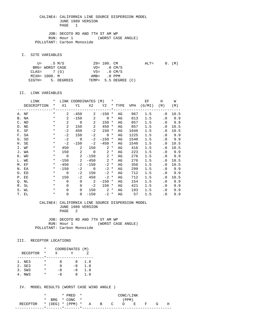JOB: DECOTO RD AND 7TH ST AM WP RUN: Hour 1 (WORST CASE ANGLE) POLLUTANT: Carbon Monoxide

I. SITE VARIABLES

|               | U= .5 M/S       |                   | $Z0 = 100$ . CM         |                          | $\text{ALT} =$ | $0.$ (M) |  |
|---------------|-----------------|-------------------|-------------------------|--------------------------|----------------|----------|--|
|               | BRG= WORST CASE |                   |                         | $VD = 0 CM/S$            |                |          |  |
| $CLAS = 7(G)$ |                 |                   | $VS = 0 \, \text{CM/S}$ |                          |                |          |  |
| MIXH= 1000. M |                 |                   | AMB= .0 PPM             |                          |                |          |  |
|               |                 | SIGTH= 5. DEGREES |                         | TEMP= $5.5$ DEGREE $(C)$ |                |          |  |

#### II. LINK VARIABLES

| LINK        | LINK COORDINATES (M)<br>$\ast$ |                |                            |                            | $\star$          |        |    | EF   | Н                             | W         |        |
|-------------|--------------------------------|----------------|----------------------------|----------------------------|------------------|--------|----|------|-------------------------------|-----------|--------|
| DESCRIPTION | $\star$                        |                |                            |                            |                  |        |    |      | X1 Y1 X2 Y2 * TYPE VPH (G/MI) | (M)       | (M)    |
|             |                                |                |                            |                            |                  |        |    |      |                               |           |        |
| A. NF       | $\star$                        | $\mathbf{2}$   | $-450$                     | $\mathbf{2}$               | $-150$ *         |        | AG | 967  | 1.5                           | $\cdot$ 0 | 10.5   |
| B. NA       | $\star$                        | 2              | $-150$                     | 2                          | $0 *$            |        | AG | 813  | 1.5                           | . 0       | 9.9    |
| C. ND       | $\star$                        | 2              | $\overline{0}$             | $\sim$ 2                   | $150 *$          |        | AG | 857  | 1.5                           |           | .0 9.9 |
| D. NE       | $\star$                        | 2              | 150                        | 2                          | 450              | $\ast$ | AG | 857  | 1.5                           | $\cdot$ 0 | 10.5   |
| E. SF       | $\ast$                         | $-2$           | 450                        | $-2$                       | 150              | $\ast$ | AG | 1646 | 1.5                           | $\cdot$ 0 | 10.5   |
| F. SA       | $\star$                        | $-2$           | 150                        | $-2$                       | $\overline{0}$ * |        | AG | 1225 | 1.5                           |           | .0 9.9 |
| G. SD       | $\ast$                         | $-2$           | $\overline{0}$             | $-2$                       | $-150$ *         |        | AG | 1540 | 1.5                           | $\cdot$ 0 | 9.9    |
| H. SE       | $\ast$                         | $-2$           | $-150$                     | $-2$                       | $-450$ *         |        | AG | 1540 | 1.5                           | . 0       | 10.5   |
| I. WF       | $\ast$                         | 450            | 2                          | 150                        | $2 *$            |        | AG | 416  | 1.5                           | $\cdot$ 0 | 10.5   |
| J. WA       | $\ast$                         |                | 150 2                      | $\overline{0}$             | $2^*$            |        | AG | 223  | 1.5                           | $\cdot$ 0 | 9.9    |
| K. WD       | $\star$                        | $\overline{0}$ | $\overline{\phantom{a}}$ 2 | $-150$                     | $2 *$            |        | AG | 276  | 1.5                           |           | .0 9.9 |
| L. WE       | $\star$                        | $-150$         | $\overline{\phantom{a}}^2$ | $-450$                     | $2 *$            |        | AG | 276  | 1.5                           | $\cdot$ 0 | 10.5   |
| M. EF       | $\star$                        | $-450$         | $-2$                       | $-150$                     | $-2$ *           |        | AG | 356  | 1.5                           | . 0       | 10.5   |
| N. EA       | $\star$                        | $-150$         |                            | $-2$ 0                     | $-2$ *           |        | AG | 299  | 1.5                           |           | .0 9.9 |
| O. ED       | $\ast$                         | $\overline{0}$ | $-2$                       | 150                        | $-2$ *           |        | AG | 712  | 1.5                           | $\cdot$ 0 | 9.9    |
| P. EE       | $\ast$                         | 150            | $-2$                       | 450                        | $-2$ *           |        | AG | 712  | 1.5                           | . 0       | 10.5   |
| Q. NL       | $\ast$                         | $\Omega$       | $\mathbf 0$                | $\overline{\phantom{a}}^2$ | $-150$ *         |        | AG | 154  | 1.5                           | $\cdot$ 0 | 9.9    |
| R. SL       | $\ast$                         | $\Omega$       | 0                          | $-2$                       | $150 *$          |        | AG | 421  | 1.5                           | . 0       | 9.9    |
| S. WL       | $\star$                        | $\Omega$       | $\Omega$                   | 150                        | $2^*$            |        | AG | 193  | 1.5                           | $\cdot$ 0 | 9.9    |
| T. EL       | $^\star$                       | $\mathbf 0$    | $\Omega$                   | $-150$                     | $-2$ *           |        | AG | 57   | 1.5                           | $\cdot$ 0 | 9.9    |

#### CALINE4: CALIFORNIA LINE SOURCE DISPERSION MODEL JUNE 1989 VERSION PAGE 2

JOB: DECOTO RD AND 7TH ST AM WP<br>RUN: Hour 1 (WORST CASE ANGLE) RUN: Hour 1 POLLUTANT: Carbon Monoxide

#### III. RECEPTOR LOCATIONS

|                 | * | COORDINATES (M) |      |     |
|-----------------|---|-----------------|------|-----|
| <b>RECEPTOR</b> | * | X               |      |     |
|                 |   |                 |      |     |
| 1. NE3          | * | я               | 8    | 1.8 |
| 2. SE3          | * | я               | $-8$ | 1.8 |
| 3. SW3          | * | -8              | $-8$ | 1.8 |
| NW 3            | * | $-8$            | x    | 1.8 |

|                                        |  | $*$ PRED $*$   | CONC/LINK |  |  |       |  |  |  |   |
|----------------------------------------|--|----------------|-----------|--|--|-------|--|--|--|---|
|                                        |  | * BRG * CONC * |           |  |  | (PPM) |  |  |  |   |
| RECEPTOR * (DEG) * (PPM) * A B C D E F |  |                |           |  |  |       |  |  |  | н |
|                                        |  |                |           |  |  |       |  |  |  |   |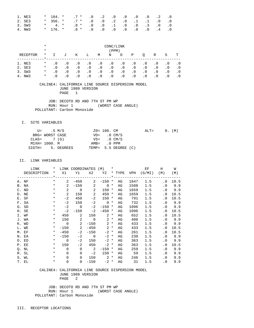| 1. NE3 |  | $*$ 184. $*$ . 7 $*$ . 0 . 2 . 0 . 0 . 0 . 0 . 2 . 0  |  |  |  |  |
|--------|--|-------------------------------------------------------|--|--|--|--|
| 2. SE3 |  | $*$ 356. $*$ .7 $*$ .0 .0 .2 .0 .1 .1 .0 .0           |  |  |  |  |
| 3. SW3 |  | $\star$ 4. $\star$ .8 $\star$ .0 .0 .1 .0 .0 .3 .0 .0 |  |  |  |  |
| 4. NW3 |  | * 176. * .8 * .0 .0 .0 .0 .0 .0 .4 .0                 |  |  |  |  |

|                 | $\ast$<br>$\ast$ | CONC/LINK<br>(PPM) |           |           |           |           |           |           |           |           |           |           |     |
|-----------------|------------------|--------------------|-----------|-----------|-----------|-----------|-----------|-----------|-----------|-----------|-----------|-----------|-----|
|                 |                  |                    |           |           |           |           |           |           |           |           |           |           |     |
| RECEPTOR        | $^\star$         |                    | J         | Κ         | Ŀ         | M         | N         | O         | Ρ         | O         | R         | S         | т   |
|                 |                  |                    |           |           |           |           |           |           |           |           |           |           |     |
| NE3             | $\ast$           | $\cdot$ 0          | $\cdot$ 0 | $\cdot$ 0 | $\cdot$ 0 | . 0       | $\cdot$ 0 | $\cdot$ 0 | $\cdot$ 0 | $\cdot$ 0 | $\cdot$ 0 | . 0       | . 0 |
| 2. SE3          | $\ast$           | $\cdot$ 0          | $\cdot$ 0 | $\cdot$ 0 | $\cdot$ 0 | $\cdot$ 0 | $\cdot$ 0 | $\cdot$ 0 | $\cdot$ 0 | $\cdot$ 0 | $\cdot$ 0 | $\cdot$ 0 | . 0 |
| SW3<br>3.       | $\ast$           | $\cdot$ 0          | $\cdot$ 0 | $\cdot$ 0 | $\cdot$ 0 | $\cdot$ 0 | $\cdot$ 0 | $\cdot$ 0 | $\cdot$ 0 | $\cdot$ 0 | $\cdot$ 0 | $\cdot$ 0 | . 0 |
| NW <sub>3</sub> | $\ast$           | . 0                |           | $\cdot$ 0 | $\cdot$ 0 | $\cdot$ 0 | $\cdot$ 0 | $\cdot$ 0 | . 0       | . 0       | . 0       | $\cdot$ 0 |     |

 JOB: DECOTO RD AND 7TH ST PM WP RUN: Hour 1 (WORST CASE ANGLE) POLLUTANT: Carbon Monoxide

I. SITE VARIABLES

|               | U= .5 M/S       |                   | $Z0 = 100$ . CM |                      | $ALT =$ |  | $0.$ (M) |
|---------------|-----------------|-------------------|-----------------|----------------------|---------|--|----------|
|               | BRG= WORST CASE |                   | $VD = 0 CM/S$   |                      |         |  |          |
| $CLAS = 7(G)$ |                 |                   | $VS = 0$ CM/S   |                      |         |  |          |
| MIXH= 1000. M |                 |                   | AMB= .0 PPM     |                      |         |  |          |
|               |                 | SIGTH= 5. DEGREES |                 | TEMP= 5.5 DEGREE (C) |         |  |          |

#### II. LINK VARIABLES

| LINK        | $\star$  |                | LINK COORDINATES (M) *     |                            |                   |        |    |      | EF                              | H                          | W      |
|-------------|----------|----------------|----------------------------|----------------------------|-------------------|--------|----|------|---------------------------------|----------------------------|--------|
| DESCRIPTION |          |                |                            |                            |                   |        |    |      | * X1 Y1 X2 Y2 * TYPE VPH (G/MI) | (M)                        | (M)    |
|             |          |                |                            |                            |                   |        |    |      |                                 |                            |        |
| A. NF       | $\star$  | $\mathbf{2}$   | $-450$                     |                            | $2 - 150$ *       |        | AG | 1847 | 1.5                             | $\cdot$ 0                  | 10.5   |
| B. NA       | $\star$  | $2^{\circ}$    |                            | $-150$ 2                   | $0 *$             |        | AG | 1588 | 1.5                             |                            | .0 9.9 |
| C. ND       | $\star$  | $\overline{a}$ | $\overline{0}$             | $\sim$ 2                   | $150 *$           |        | AG | 1659 | 1.5                             |                            | .0 9.9 |
| D. NE       | $\star$  | $\overline{2}$ | 150                        | $\overline{\phantom{0}}^2$ | 450               | $\ast$ | AG | 1659 | 1.5                             | $\overline{0}$             | 10.5   |
| E. SF       | $\ast$   | $-2$           | 450                        | $-2$                       | 150 *             |        | AG | 791  | 1.5                             | . 0                        | 10.5   |
| F. SA       | $\star$  | $-2$           | 150                        | $-2$                       | $0 *$             |        | AG | 732  | 1.5                             |                            | .0 9.9 |
| G. SD       | $\ast$   | $-2$           | $\overline{0}$             | $-2$                       | $-150$ *          |        | AG | 1096 | 1.5                             |                            | .0 9.9 |
| H. SE       | $\ast$   | $-2$           | $-150$                     | $-2$                       | $-450$ *          |        | AG | 1096 | 1.5                             | . 0                        | 10.5   |
| I. WF       | $\ast$   |                | 450 — 150<br>2             |                            | $150$ 2 $*$       |        | AG | 652  | 1.5                             | $\cdot$ 0                  | 10.5   |
| J. WA       | $\star$  |                | 150 2                      |                            | $0 \t 2 \t \star$ |        | AG | 406  | 1.5                             |                            | .0 9.9 |
| K. WD       | $\star$  | $\overline{0}$ | $\overline{\phantom{a}}$ 2 |                            | $-150$ 2 *        |        | AG | 433  | 1.5                             |                            | .0 9.9 |
| L. WE       | $\star$  |                | $-150$ 2                   |                            | $-450$ 2 *        |        | AG | 433  | 1.5                             | $\cdot$ 0                  | 10.5   |
| M. EF       | $\star$  | $-450$         | $-2$                       | $-150$                     | $-2$ *            |        | AG | 261  | 1.5                             | . 0                        | 10.5   |
| N. EA       | $\star$  | $-150$         |                            | $-2$ 0                     | $-2$ *            |        | AG | 230  | 1.5                             |                            | .0 9.9 |
| O. ED       | $\star$  | $\overline{0}$ | $-2$                       | 150                        | $-2$ *            |        | AG | 363  | 1.5                             | $\cdot$ 0                  | 9.9    |
| P. EE       | $\star$  | 150            | $-2$                       | 450                        | $-2$ *            |        | AG | 363  | 1.5                             | . 0                        | 10.5   |
| Q. NL       | $\star$  | $\Omega$       | $\Omega$                   | $\overline{\phantom{a}}$   | $-150$ *          |        | AG | 259  | 1.5                             | . 0                        | 9.9    |
| R. SL       | $\ast$   | $\Omega$       | $\Omega$                   | $-2$                       | $150 *$           |        | AG | 59   | 1.5                             | $\cdot$ 0                  | 9.9    |
| S. WL       | $\star$  | $\Omega$       | $\Omega$                   |                            | $150$ 2 $*$       |        | AG | 246  | 1.5                             | $\cdot$ 0                  | 9.9    |
| T. EL       | $^\star$ | $\mathbf 0$    | $\overline{0}$             | $-150$                     | $-2$ *            |        | AG | 31   | 1.5                             | $\overline{\phantom{0}}$ . | 9.9    |

 CALINE4: CALIFORNIA LINE SOURCE DISPERSION MODEL JUNE 1989 VERSION PAGE 2

 JOB: DECOTO RD AND 7TH ST PM WP RUN: Hour 1 (WORST CASE ANGLE) POLLUTANT: Carbon Monoxide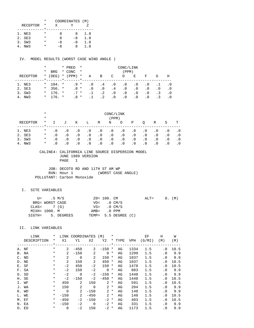|                 | * | COORDINATES (M) |    |     |
|-----------------|---|-----------------|----|-----|
| <b>RECEPTOR</b> | * | x               |    |     |
|                 |   |                 |    |     |
| 1. NE3          | * | я               | x  | 1.8 |
| 2. SE3          | * | я               | -8 | 1.8 |
| 3. SW3          | * | -8              | -8 | 1.8 |
| NW 3            |   | -8              | x  | 1.8 |

IV. MODEL RESULTS (WORST CASE WIND ANGLE )

|        |          | *        |            |         | * PRED | $\star$  | CONC/LINK |           |           |           |           |           |     |           |
|--------|----------|----------|------------|---------|--------|----------|-----------|-----------|-----------|-----------|-----------|-----------|-----|-----------|
|        |          | $^\star$ | <b>BRG</b> |         | * CONC | $\star$  |           |           |           | (PPM)     |           |           |     |           |
|        | RECEPTOR | $^\star$ | (DEG)      | $\star$ | (PPM)  | $^\star$ | Α         | B         | C         | D         | Е         | F         | G   | Н         |
|        |          |          |            | $\star$ |        |          |           |           |           |           |           |           |     |           |
| 1. NE3 |          | $\star$  | 184. *     |         | $.9 *$ |          | . 0       | . 4       | . 0       | $\cdot$ 0 | . 0       | . 0       |     |           |
| 2. SE3 |          | $\star$  | $356.$ *   |         | $.8*$  |          | . 0       | $\cdot$ 0 | $\cdot$ 4 | $\cdot$ 0 | . 0       | $\cdot$ 0 | . 0 | $\cdot$ 0 |
| 3. SW3 |          | $\ast$   | $176.$ *   |         | $.7 *$ |          |           | $\cdot$ 2 | $\cdot$ 0 | $\cdot$ 0 | . 0       | $\cdot$ 0 | . 3 | . 0       |
|        | NW3      | $\ast$   | $176.$ *   |         | .8 *   |          |           | . 2       | $\cdot$ 0 | $\cdot$ 0 | $\cdot$ 0 | . 0       | . 3 |           |

|                 | $^\star$<br>$\star$ | CONC/LINK<br>(PPM) |           |           |           |           |           |           |           |           |           |           |           |
|-----------------|---------------------|--------------------|-----------|-----------|-----------|-----------|-----------|-----------|-----------|-----------|-----------|-----------|-----------|
| RECEPTOR        | $\ast$              | $\mathbf{I}$       | J         | Κ         | Ŀ         | М         | N         | O         | Ρ         | O         | R         | S         | т         |
| NE3             | $^\star$            | $\cdot$ 0          | $\cdot$ 0 | $\cdot$ 0 | $\cdot$ 0 | $\cdot$ 0 | $\cdot$ 0 | $\cdot$ 0 | $\cdot$ 0 | $\cdot$ 0 | . 0       | $\cdot$ 0 | . 0       |
| 2. SE3          | $\ast$              | $\cdot$ 0          | $\cdot$ 0 | $\cdot$ 0 | $\cdot$ 0 | $\cdot$ 0 | $\cdot$ 0 | $\cdot$ 0 | $\cdot$ 0 | $\cdot$ 0 | $\cdot$ 0 | $\cdot$ 0 | $\cdot$ 0 |
| SW3<br>3.       | $\ast$              | $\cdot$ 0          | $\cdot$ 0 | $\cdot$ 0 | $\cdot$ 0 | $\cdot$ 0 | $\cdot$ 0 | $\cdot$ 0 | $\cdot$ 0 | $\cdot$ 0 | $\cdot$ 0 | $\cdot$ 0 | . 0       |
| NW <sub>3</sub> | $\ast$              | . 0                | $\cdot$ 0 | $\cdot$ 0 | $\cdot$ 0 | $\cdot$ 0 | $\cdot$ 0 | $\cdot$ 0 | $\cdot$ 0 | $\cdot$ 0 | $\cdot$ 0 | $\cdot$ 0 |           |

#### CALINE4: CALIFORNIA LINE SOURCE DISPERSION MODEL JUNE 1989 VERSION PAGE 1

 JOB: DECOTO RD AND 11TH ST AM WP (WORST CASE ANGLE) POLLUTANT: Carbon Monoxide

## I. SITE VARIABLES

|               | U= .5 M/S       |                   | ZO= 100. CM   |                         | $ALT = 0. (M)$ |  |  |
|---------------|-----------------|-------------------|---------------|-------------------------|----------------|--|--|
|               | BRG= WORST CASE |                   |               | $VD = 0 CM/S$           |                |  |  |
| $CLAS = 7(G)$ |                 |                   |               | $VS = 0 \, \text{CM/S}$ |                |  |  |
|               | MIXH= 1000. M   |                   | $AMB = 0 PPM$ |                         |                |  |  |
|               |                 | SIGTH= 5. DEGREES |               | TEMP= 5.5 DEGREE (C)    |                |  |  |

|               | LINK        | $\ast$   | LINK           | <b>COORDINATES</b> |             | (M)         | $^\star$ |                                 |            | ЕF     | H         | W    |
|---------------|-------------|----------|----------------|--------------------|-------------|-------------|----------|---------------------------------|------------|--------|-----------|------|
|               | DESCRIPTION | *        | X1             | Y1                 | X2          | Y2          |          | * TYPE                          | <b>VPH</b> | (G/MI) | (M)       | (M)  |
|               |             | $\star$  |                |                    |             |             |          | $\star$ _ _ _ _ _ _ _ _ _ _ _ _ |            |        |           |      |
|               | A. NF       | $^\star$ | 2              | $-450$             | 2           | $-150$      | *        | AG                              | 1334       | 1.5    | $\cdot$ 0 | 10.5 |
|               | B. NA       | $\ast$   | $\overline{a}$ | $-150$             | 2           | $\mathbf 0$ | $^\star$ | AG                              | 1299       | 1.5    | $\cdot$ 0 | 9.9  |
| $C_{\bullet}$ | ND          | $\ast$   | $\overline{2}$ | $\mathbf 0$        | 2           | 150         | *        | AG                              | 1037       | 1.5    | $\cdot$ 0 | 9.9  |
| D.            | NE          | $\ast$   | 2              | 150                | 2           | 450         | *        | AG                              | 1037       | 1.5    | $\cdot$ 0 | 10.5 |
|               | E. SF       | $^\star$ | $-2$           | 450                | $-2$        | 150         | $^\star$ | AG                              | 1478       | 1.5    | $\cdot$ 0 | 10.5 |
|               | F. SA       | $^\star$ | $-2$           | 150                | $-2$        | $\mathbf 0$ | $^\ast$  | AG                              | 883        | 1.5    | $\cdot$ 0 | 9.9  |
|               | G. SD       | $^\star$ | $-2$           | $\Omega$           | $-2$        | $-150$      | $^\ast$  | AG                              | 1448       | 1.5    | $\cdot$ 0 | 9.9  |
|               | H. SE       | $^\star$ | $-2$           | $-150$             | $-2$        | $-450$      | $^\ast$  | AG                              | 1448       | 1.5    | $\cdot$ 0 | 10.5 |
|               | I. WF       | $^\star$ | 450            | 2                  | 150         | 2           | $^\star$ | AG                              | 591        | 1.5    | $\cdot$ 0 | 10.5 |
|               | J. WA       | $^\star$ | 150            | 2                  | $\mathbf 0$ | 2           | $\ast$   | AG                              | 204        | 1.5    | $\cdot$ 0 | 9.9  |
|               | K. WD       | *        | $\Omega$       | 2                  | $-150$      | 2           | $\star$  | AG                              | 148        | 1.5    | $\cdot$ 0 | 9.9  |
|               | L. WE       | $\ast$   | $-150$         | 2                  | $-450$      | 2           | $^\star$ | AG                              | 148        | 1.5    | . 0       | 10.5 |
| М.            | EF          | $\ast$   | $-450$         | $-2$               | $-150$      | $-2$        | $^\star$ | AG                              | 403        | 1.5    | $\cdot$ 0 | 10.5 |
|               | N. EA       | $\ast$   | $-150$         | $-2$               | $\Omega$    | $-2$        | $^\ast$  | AG                              | 331        | 1.5    | $\cdot$ 0 | 9.9  |
|               | O. ED       | $\ast$   | $\Omega$       | -2                 | 150         | $-2$        | *        | AG                              | 1173       | 1.5    | $\cdot$ 0 | 9.9  |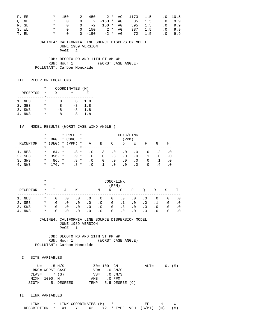| P. EE |       | $* = 150$ |  |  | -2 450 -2 * AG 1173 1.5 .0 10.5   |  |          |
|-------|-------|-----------|--|--|-----------------------------------|--|----------|
| O. NL |       |           |  |  | * 0 0 2 -150 * AG 35 1.5 .0 9.9   |  |          |
| R. SL |       |           |  |  | * 0 0 -2 150 * AG 595 1.5 .0 9.9  |  |          |
|       | S. WL |           |  |  | * 0 0 150 $2 * AG$ 387 1.5 .0 9.9 |  |          |
| T. EL |       | $\star$ 0 |  |  | 0 -150 -2 * AG 72 1.5             |  | $.0$ 9.9 |

 JOB: DECOTO RD AND 11TH ST AM WP RUN: Hour 1 (WORST CASE ANGLE) POLLUTANT: Carbon Monoxide

### III. RECEPTOR LOCATIONS

|                 | *        | COORDINATES (M) |      |     |
|-----------------|----------|-----------------|------|-----|
| <b>RECEPTOR</b> | *        | x               |      |     |
|                 |          |                 |      |     |
| 1. NE3          | *        | я               | 8    | 1.8 |
| 2. SE3          | *        | я               | $-8$ | 1.8 |
| 3. SW3          | $^\star$ | -8              | $-8$ | 1.8 |
| NW 3            | *        | -8              | x    | 1.8 |

### IV. MODEL RESULTS (WORST CASE WIND ANGLE )

|          | $^\star$ |            | * PRED    | $\star$<br>CONC/LINK |           |           |           |           |           |           |     |     |
|----------|----------|------------|-----------|----------------------|-----------|-----------|-----------|-----------|-----------|-----------|-----|-----|
|          | *        | <b>BRG</b> | * CONC    | $\star$              |           |           |           | (PPM)     |           |           |     |     |
| RECEPTOR | $\star$  | (DEG)      | $*$ (PPM) | $\star$              | Α         | В         | C         | D         | Е         | F         | G   | Η   |
|          |          |            |           |                      |           |           |           |           |           |           |     |     |
| 1. NE3   | $\star$  | 184. *     | .8 *      |                      | . 0       | $\cdot$ 3 | . 0       | $\cdot$ 0 | . 0       | $\cdot$ 0 | . 2 | .0  |
| 2. SE3   | $\star$  | $356. *$   | $.9 *$    |                      | $\cdot$ 0 | $\cdot$ 0 | $\cdot$ 3 | $\cdot$ 0 | . 0       |           | . 0 | . 0 |
| 3. SW3   | *        | $86. *$    | $.8*$     |                      | $\cdot$ 0 | . 0       | $\cdot$ 0 | $\cdot$ 0 | . 0       | $\cdot$ 0 |     | . 0 |
| 4. NW3   | $\star$  | $176 +$    | .8 *      |                      | . 0       |           | $\cdot$ 0 | . 0       | $\cdot$ 0 | . 0       | . 4 |     |

|                                      | $\ast$<br>$\ast$                       | CONC/LINK<br>(PPM)                         |                                                  |                                                  |                                                  |                                                  |                                                  |                                           |                                                  |                                                  |                                     |                                            |                                |
|--------------------------------------|----------------------------------------|--------------------------------------------|--------------------------------------------------|--------------------------------------------------|--------------------------------------------------|--------------------------------------------------|--------------------------------------------------|-------------------------------------------|--------------------------------------------------|--------------------------------------------------|-------------------------------------|--------------------------------------------|--------------------------------|
| RECEPTOR                             | $\ast$                                 |                                            | J                                                | K                                                | Ŀ                                                | М                                                | Ν                                                | $\circ$                                   | Ρ                                                | O                                                | R                                   | S                                          | т                              |
| 1. NE3<br>2. SE3<br>3. SW3<br>4. NW3 | $\ast$<br>$\ast$<br>$\ast$<br>$^\star$ | $\cdot$ 0<br>. 0<br>$\cdot$ 0<br>$\cdot$ 0 | $\cdot$ 0<br>$\cdot$ 0<br>$\cdot$ 0<br>$\cdot$ 0 | $\cdot$ 0<br>$\cdot$ 0<br>$\cdot$ 0<br>$\cdot$ 0 | $\cdot$ 0<br>$\cdot$ 0<br>$\cdot$ 0<br>$\cdot$ 0 | $\cdot$ 0<br>$\cdot$ 0<br>$\cdot$ 0<br>$\cdot$ 0 | $\cdot$ 0<br>$\cdot$ 0<br>$\cdot$ 0<br>$\cdot$ 0 | $\cdot$ 0<br>.1<br>$\cdot$ 3<br>$\cdot$ 0 | $\cdot$ 0<br>$\cdot$ 0<br>$\cdot$ 0<br>$\cdot$ 0 | $\cdot$ 0<br>$\cdot$ 0<br>$\cdot$ 0<br>$\cdot$ 0 | $\cdot$ 0<br>$\cdot$ 0<br>$\cdot$ 0 | . 0<br>$\cdot$ 0<br>$\cdot$ 0<br>$\cdot$ 0 | . 0<br>$\cdot$ 0<br>. 0<br>. 0 |

 CALINE4: CALIFORNIA LINE SOURCE DISPERSION MODEL JUNE 1989 VERSION PAGE 1

 JOB: DECOTO RD AND 11TH ST PM WP RUN: Hour 1 (WORST CASE ANGLE) POLLUTANT: Carbon Monoxide

I. SITE VARIABLES

|               | U= .5 M/S       |                   | ZO= 100. CM           |                      | $ALT = 0. (M)$ |  |  |
|---------------|-----------------|-------------------|-----------------------|----------------------|----------------|--|--|
|               | BRG= WORST CASE |                   | $VD = 0 CM/S$         |                      |                |  |  |
| $CLAS = 7(G)$ |                 |                   | $VS = 0 \text{ CM/S}$ |                      |                |  |  |
|               | MIXH= 1000. M   |                   | $AMB = 0 PPM$         |                      |                |  |  |
|               |                 | SIGTH= 5. DEGREES |                       | TEMP= 5.5 DEGREE (C) |                |  |  |

| 'NK         |      | LINK COORDINATES (M) |      |  |                   |     |     |
|-------------|------|----------------------|------|--|-------------------|-----|-----|
| DESCRIPTION | - X1 |                      | Y2 O |  | * TYPE VPH (G/MI) | (M) | (M) |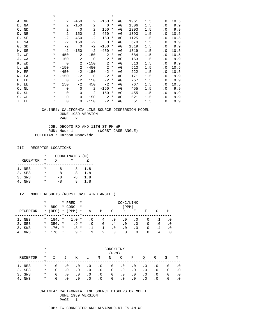| A. NF | $^\star$ | 2              | $-450$         | $\overline{2}$             | $-150$      | $\ast$   | AG | 1961 | 1.5 | $\cdot$ 0 | 10.5 |
|-------|----------|----------------|----------------|----------------------------|-------------|----------|----|------|-----|-----------|------|
| B. NA | $^\star$ | 2              | $-150$         | 2                          | $\Omega$    | $^\star$ | AG | 1506 | 1.5 | $\cdot$ 0 | 9.9  |
| C. ND | $^\star$ | $\overline{a}$ | $\overline{0}$ | $\overline{2}$             | 150         | $^\star$ | AG | 1393 | 1.5 | $\cdot$ 0 | 9.9  |
| D. NE | $^\star$ | $\overline{2}$ | 150            | $\overline{a}$             | 450         | $^\ast$  | AG | 1393 | 1.5 | $\cdot$ 0 | 10.5 |
| E. SF | $^\star$ | $-2$           | 450            | $-2$                       | 150         | $\ast$   | AG | 1125 | 1.5 | . 0       | 10.5 |
| F. SA | $^\star$ | $-2$           | 150            | $-2$                       | $\mathbf 0$ | $^\star$ | AG | 670  | 1.5 | $\cdot$ 0 | 9.9  |
| G. SD | $^\star$ | $-2$           | $\overline{0}$ | $-2$                       | $-150$      | $\ast$   | AG | 1319 | 1.5 | $\cdot$ 0 | 9.9  |
| H. SE | $^\star$ | $-2$           | $-150$         | $-2$                       | $-450$      | $^\star$ | AG | 1319 | 1.5 | $\cdot$ 0 | 10.5 |
| I. WF | $^\star$ | 450            | 2              | 150                        |             | $2 *$    | AG | 684  | 1.5 | $\cdot$ 0 | 10.5 |
| J. WA | $^\star$ | 150            | 2              | $\overline{\phantom{0}}$   | 2           | $\ast$   | AG | 163  | 1.5 | $\cdot$ 0 | 9.9  |
| K. WD | $^\star$ | $\overline{0}$ | 2              | $-150$                     | 2           | $^\star$ | AG | 513  | 1.5 | $\cdot$ 0 | 9.9  |
| L. WE | $\ast$   | $-150$         | 2              | $-450$                     | $2 *$       |          | AG | 513  | 1.5 | $\cdot$ 0 | 10.5 |
| M. EF | $\ast$   | $-450$         | $-2$           | $-150$                     | $-2$        | $^\star$ | AG | 222  | 1.5 | $\cdot$ 0 | 10.5 |
| N. EA | $\ast$   | $-150$         | $-2$           | $\overline{\phantom{0}}$   | $-2$        | $\ast$   | AG | 171  | 1.5 | $\cdot$ 0 | 9.9  |
| O. ED | $^\star$ | $\overline{0}$ | $-2$           | 150                        | $-2$        | *        | AG | 767  | 1.5 | $\cdot$ 0 | 9.9  |
| P. EE | $^\star$ | 150            | $-2$           | 450                        | $-2$        | $\ast$   | AG | 767  | 1.5 | $\cdot$ 0 | 10.5 |
| Q. NL | $^\star$ | $\Omega$       | $\Omega$       | $\overline{\phantom{0}}^2$ | $-150$      | $\ast$   | AG | 455  | 1.5 | $\cdot$ 0 | 9.9  |
| R. SL | $^\star$ | $\Omega$       | $\Omega$       | $-2$                       | 150         | $\ast$   | AG | 455  | 1.5 | $\cdot$ 0 | 9.9  |
| S. WL | $\ast$   | $\Omega$       | $\Omega$       | 150                        | 2           | $^\star$ | AG | 521  | 1.5 | $\cdot$ 0 | 9.9  |
| T. EL | $^\star$ | $\mathbf 0$    | 0              | $-150$                     | $-2$        | *        | AG | 51   | 1.5 | . 0       | 9.9  |
|       |          |                |                |                            |             |          |    |      |     |           |      |

 JOB: DECOTO RD AND 11TH ST PM WP RUN: Hour 1 (WORST CASE ANGLE) POLLUTANT: Carbon Monoxide

### III. RECEPTOR LOCATIONS

|                 | * | COORDINATES (M) |      |     |
|-----------------|---|-----------------|------|-----|
| <b>RECEPTOR</b> | * | X               |      |     |
|                 |   |                 |      |     |
| 1. NE3          | * | я               | x    | 1.8 |
| 2. SE3          | * | я               | -8   | 1.8 |
| 3. SW3          | * | -8              | $-8$ | 1.8 |
| NW 3            |   | - 8             | x    | 1.8 |

### IV. MODEL RESULTS (WORST CASE WIND ANGLE )

|          | $^\star$ |            |         | * PRED    | $\star$<br>CONC/LINK |           |           |            |           |           |           |     |     |
|----------|----------|------------|---------|-----------|----------------------|-----------|-----------|------------|-----------|-----------|-----------|-----|-----|
|          | *        | <b>BRG</b> |         | * CONC    | $\star$              |           |           |            | (PPM)     |           |           |     |     |
| RECEPTOR | $\star$  | (DEG)      |         | $*$ (PPM) | $\star$              | Α         | B         | C          | D         | E         | F         | G   | Н   |
|          |          |            | $\star$ |           |                      |           |           |            |           |           |           |     |     |
| 1. NE3   | $\star$  | 184. *     |         | $1.0$ *   |                      | . 0       | . 4       | . 0        | $\cdot$ 0 | . 0       | $\cdot$ 0 |     |     |
| 2. SE3   | $\star$  | $356. *$   |         | $.9*$     |                      | $\cdot$ 0 | $\cdot$ 0 | $\cdot$ 4  | $\cdot$ 0 | $\cdot$ 0 | $\cdot$ 0 | . 0 | .0  |
| 3. SW3   | $\star$  | $176.$ *   |         | $.8*$     |                      |           | $\cdot$ 1 | $\cdot$ 0  | $\cdot$ 0 | $\cdot$ 0 | $\cdot$ 0 | . 4 | . 0 |
| 4. NW3   | $\star$  | $176.$ *   |         | $.9 *$    |                      |           | $\cdot$ 2 | $.0 \cdot$ | . 0       | $\cdot$ 0 | $\cdot$ 0 | . 4 | . 0 |

|          | $^\star$ | CONC/LINK |           |           |           |           |           |           |           |           |           |           |           |  |
|----------|----------|-----------|-----------|-----------|-----------|-----------|-----------|-----------|-----------|-----------|-----------|-----------|-----------|--|
|          | $\star$  |           | (PPM)     |           |           |           |           |           |           |           |           |           |           |  |
| RECEPTOR | $\ast$   |           | J         | Κ         | Ŀ         | М         | N         | O         | Ρ         |           | R         | S         | т         |  |
| 1. NE3   | $\ast$   | $\cdot$ 0 | $\cdot$ 0 | $\cdot$ 0 | $\cdot$ 0 | . 0       | . 0       | $\cdot$ 0 | $\cdot$ 0 | $\cdot$ 0 | $\cdot$ 0 | . 0       | . 0       |  |
| 2. SE3   | $\ast$   | . 0       | $\cdot$ 0 | $\cdot$ 0 | $\cdot$ 0 | $\cdot$ 0 | $\cdot$ 0 | $\cdot$ 0 | $\cdot$ 0 | $\cdot$ 0 | $\cdot$ 0 | $\cdot$ 0 | $\cdot$ 0 |  |
| 3. SW3   | $\ast$   | $\cdot$ 0 | $\cdot$ 0 | $\cdot$ 0 | $\cdot$ 0 | $\cdot$ 0 | $\cdot$ 0 | $\cdot$ 0 | $\cdot$ 0 | $\cdot$ 0 | $\cdot$ 0 | $\cdot$ 0 | $\cdot$ 0 |  |
| NW3      | $\star$  | . 0       |           | . 0       | . 0       | $\cdot$ 0 | $\cdot$ 0 | $\cdot$ 0 | $\cdot$ 0 | $\cdot$ 0 | $\cdot$ 0 | $\cdot$ 0 |           |  |

#### CALINE4: CALIFORNIA LINE SOURCE DISPERSION MODEL JUNE 1989 VERSION PAGE 1

#### JOB: EW CONNECTOR AND ALVARADO-NILES AM WP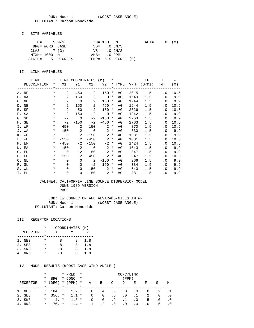RUN: Hour 1 (WORST CASE ANGLE) POLLUTANT: Carbon Monoxide

### I. SITE VARIABLES

| $U =$ .5 M/S    |                   | Z0= 100. CM |                      | $ALT = 0. (M)$ |  |  |
|-----------------|-------------------|-------------|----------------------|----------------|--|--|
| BRG= WORST CASE |                   |             | $VD = 0 CM/S$        |                |  |  |
| $CLAS = 7(G)$   |                   |             | $VS = 0$ CM/S        |                |  |  |
| MIXH= 1000. M   |                   | AMB= .0 PPM |                      |                |  |  |
|                 | SIGTH= 5. DEGREES |             | TEMP= 5.5 DEGREE (C) |                |  |  |

### II. LINK VARIABLES

| LINK        | $\star$  |                | LINK COORDINATES (M)                |                            |                  | $\star$ |    |      | EF                            | Н         | W      |
|-------------|----------|----------------|-------------------------------------|----------------------------|------------------|---------|----|------|-------------------------------|-----------|--------|
| DESCRIPTION | $\star$  |                |                                     |                            |                  |         |    |      | X1 Y1 X2 Y2 * TYPE VPH (G/MI) | (M)       | (M)    |
|             |          |                | _____*_____________________________ |                            |                  |         |    |      | --------------                |           |        |
| A. NF       | $\star$  | $\mathbf{2}$   | $-450$                              |                            | $2 - 150$ *      |         | AG | 2015 | 1.5                           | $\cdot$ 0 | 10.5   |
| B. NA       | $\star$  | $\overline{a}$ | $-150$                              | - 2                        | $0 *$            |         | AG | 1649 | 1.5                           | . 0       | 9.9    |
| C. ND       | $\star$  | 2              |                                     | $0\qquad 2$                | $150 *$          |         | AG | 1944 | 1.5                           |           | .0 9.9 |
| D. NE       | $\star$  | 2              | 150                                 | 2                          | 450              | $\ast$  | AG | 1944 | 1.5                           | $\cdot$ 0 | 10.5   |
| E. SF       | $\ast$   | $-2$           | 450                                 | $-2$                       | 150              | $\ast$  | AG | 2326 | 1.5                           | $\cdot$ 0 | 10.5   |
| F. SA       | $\ast$   | $-2$           | 150                                 | $-2$                       | $\overline{0}$ * |         | AG | 1942 | 1.5                           |           | .0 9.9 |
| G. SD       | $\ast$   | $-2$           | $\overline{0}$                      | $-2$                       | $-150$ *         |         | AG | 2763 | 1.5                           | $\cdot$ 0 | 9.9    |
| H. SE       | $\ast$   | $-2$           | $-150$                              | $-2$                       | $-450$ *         |         | AG | 2763 | 1.5                           | . 0       | 10.5   |
| I. WF       | $\ast$   | 450            | 2                                   | 150                        | $2^*$            |         | AG | 870  | 1.5                           | $\cdot$ 0 | 10.5   |
| J. WA       | $\star$  |                | 150 2                               | $\overline{0}$             | $2^*$            |         | AG | 330  | 1.5                           | $\cdot$ 0 | 9.9    |
| K. WD       | $\star$  | $\overline{0}$ | $\overline{\phantom{a}}$ 2          | $-150$                     | $2 *$            |         | AG | 1081 | 1.5                           |           | .0 9.9 |
| L. WE       | $\star$  | $-150$         | $\overline{\phantom{a}}^2$          |                            | $-450$ 2 *       |         | AG | 1081 | 1.5                           | $\cdot$ 0 | 10.5   |
| M. EF       | $\star$  | $-450$         | $-2$                                | $-150$                     | $-2$ *           |         | AG | 1424 | 1.5                           | . 0       | 10.5   |
| N. EA       | $\star$  | $-150$         |                                     | $-2$ 0                     | $-2$ *           |         | AG | 1043 | 1.5                           |           | .0 9.9 |
| O. ED       | $\star$  | $\overline{0}$ | $-2$                                | 150                        | $-2$ *           |         | AG | 847  | 1.5                           | $\cdot$ 0 | 9.9    |
| P. EE       | $\star$  | 150            | $-2$                                | 450                        | $-2$ *           |         | AG | 847  | 1.5                           | . 0       | 10.5   |
| Q. NL       | $\star$  | $\Omega$       | $\mathbf 0$                         | $\overline{\phantom{a}}$ 2 | $-150$ *         |         | AG | 366  | 1.5                           | $\cdot$ 0 | 9.9    |
| R. SL       | $\ast$   | $\Omega$       | 0                                   | $-2$                       | $150 *$          |         | AG | 384  | 1.5                           | . 0       | 9.9    |
| S. WL       | $\star$  | $\Omega$       | $\Omega$                            | 150                        | $2^*$            |         | AG | 540  | 1.5                           | $\cdot$ 0 | 9.9    |
| T. EL       | $^\star$ | $\mathbf 0$    | $\Omega$                            | $-150$                     | $-2$ *           |         | AG | 381  | 1.5                           | $\cdot$ 0 | 9.9    |

### CALINE4: CALIFORNIA LINE SOURCE DISPERSION MODEL JUNE 1989 VERSION PAGE 2

 JOB: EW CONNECTOR AND ALVARADO-NILES AM WP RUN: Hour 1 (WORST CASE ANGLE) POLLUTANT: Carbon Monoxide

#### III. RECEPTOR LOCATIONS

|                 | *        | COORDINATES (M) |      |     |
|-----------------|----------|-----------------|------|-----|
| <b>RECEPTOR</b> | *        | X               |      |     |
|                 |          |                 |      |     |
| 1. NE3          | *        | я               | я    | 1.8 |
| 2. SE3          | $^\star$ | я               | $-8$ | 1.8 |
| 3. SW3          | *        | -8              | -8   | 1.8 |
| NW 3            | *        | -8              | x    | 1.8 |

|          | $^\star$ |            | * PRED    | $\star$<br>CONC/LINK |           |           |           |           |           |           |     |     |
|----------|----------|------------|-----------|----------------------|-----------|-----------|-----------|-----------|-----------|-----------|-----|-----|
|          | *        | <b>BRG</b> | * CONC    | $\star$              |           |           |           | (PPM)     |           |           |     |     |
| RECEPTOR | $\star$  | (DEG)      | $*$ (PPM) | $\star$              | Α         | B         | C         | D         | E         | F         | G   | Н   |
|          |          |            |           |                      |           |           |           |           |           |           |     |     |
| 1. NE3   | $\star$  | 184. *     | $1.2 *$   |                      | $\cdot$ 0 | $.4\,$    | $\cdot$ 0 | $\cdot$ 0 | $\cdot$ 0 | $\cdot$ 0 | . 2 |     |
| 2. SE3   | $\star$  | $356.$ *   | $1.1 *$   |                      | $\cdot$ 0 | $\cdot$ 0 | . 5       | $\cdot$ 0 | $\cdot$ 1 | $\cdot$ 2 | . 0 | . 0 |
| 3. SW3   | *        | $4. *$     | $1.3 *$   |                      | $\cdot$ 0 | $\cdot$ 0 | $\cdot$ 2 | $\cdot$ 1 | . 0       | . 5       | . 0 | .0  |
| 4. NW3   | $\star$  | $176.$ *   | $1.4$ *   |                      |           | $\cdot$ 2 | $\cdot$ 0 | . 0       | $\cdot$ 0 | . 0       | . 6 |     |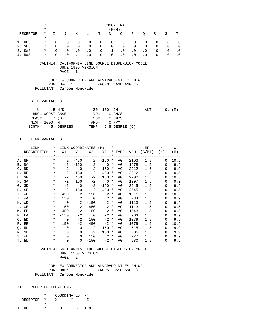|          | $\ast$              |           | CONC/LINK                                  |           |                |            |           |                |           |                |           |           |           |
|----------|---------------------|-----------|--------------------------------------------|-----------|----------------|------------|-----------|----------------|-----------|----------------|-----------|-----------|-----------|
|          | $\star$             |           |                                            |           |                |            | (PPM)     |                |           |                |           |           |           |
| RECEPTOR | $\ast$<br>$\star$ . | I.        | J                                          | K         | L              | M          | N         | $\overline{O}$ | Ρ         | $\circ$        | R         | S         | T         |
|          |                     |           |                                            |           |                |            |           |                |           |                |           |           |           |
| 1. NE3   | $\ast$              | $\cdot$ 0 | $\cdot$ 0                                  | $\cdot$ 0 | $\cdot$ 0      | $\cdot$ 0  | $\cdot$ 0 | $\cdot$ 0      | $\cdot$ 0 | $\cdot$ 0      | $\cdot$ 0 | $\cdot$ 0 | $\cdot$ 0 |
| 2. SE3   | $\star$             | $\cdot$ 0 | $\cdot$ 0                                  | $\cdot$ 0 | $\cdot$ 0      | $\cdot$ 0  | $\cdot$ 0 | $\cdot$ 0      | $\cdot$ 0 | $\cdot$ 0      | $\cdot$ 0 | $\cdot$ 0 | $\cdot$ 0 |
| 3. SW3   | $\star$             | $\cdot$ 0 | $.0 \qquad .0$                             |           | $.0 \qquad .0$ |            | $\cdot$ 1 | $\cdot$ 0      | $\cdot$ 0 | $\cdot$ 0      | $\cdot$ 0 | $\cdot$ 0 | $\cdot$ 0 |
| 4. NW3   | $\star$             | $\cdot$ 0 | $\overline{0}$                             | $\cdot$ 1 | $\cdot$ 0      | $\cdot$ 0  | $\cdot$ 0 | $\cdot$ 0      | $\cdot$ 0 | $\cdot$ 0      | $\cdot$ 0 | $\cdot$ 0 | $\cdot$ 0 |
|          |                     |           | JUNE 1989 VERSION<br>PAGE                  | -1        |                |            |           |                |           |                |           |           |           |
|          |                     |           | JOB: EW CONNECTOR AND ALVARADO-NILES PM WP |           |                |            |           |                |           |                |           |           |           |
|          |                     |           | RUN: Hour 1 (WORST CASE ANGLE)             |           |                |            |           |                |           |                |           |           |           |
|          |                     |           | POLLUTANT: Carbon Monoxide                 |           |                |            |           |                |           |                |           |           |           |
| $T$ .    | SITE VARIABLES      |           |                                            |           |                |            |           |                |           |                |           |           |           |
|          | $TT =$              |           | 5 M/G                                      |           |                | $70 = 100$ | $\cap$ M  |                |           | $\Delta T.T =$ |           | $\cap$    | (M)       |

|               | $U =$ .5 M/S    |                   | $Z0 = 100$ . CM         |                      | $\text{ALT} =$ |  | 0. (M) |  |
|---------------|-----------------|-------------------|-------------------------|----------------------|----------------|--|--------|--|
|               | BRG= WORST CASE |                   | $VD = 0 CM/S$           |                      |                |  |        |  |
| $CLAS = 7(G)$ |                 |                   | $VS = 0 \, \text{CM/S}$ |                      |                |  |        |  |
| MIXH= 1000. M |                 |                   | $AMB = 0 PPM$           |                      |                |  |        |  |
|               |                 | SIGTH= 5. DEGREES |                         | TEMP= 5.5 DEGREE (C) |                |  |        |  |

### II. LINK VARIABLES

| LINK        | $\ast$   |                          | LINK COORDINATES         |                            | (M)            | $\ast$    |            |      | ЕF     | Н         | W    |
|-------------|----------|--------------------------|--------------------------|----------------------------|----------------|-----------|------------|------|--------|-----------|------|
| DESCRIPTION | $\star$  | X1                       | Y1                       | X2                         | Y2             |           | * TYPE VPH |      | (G/MI) | (M)       | (M)  |
|             |          |                          |                          |                            |                | $. * - -$ |            |      |        |           |      |
| A. NF       | $\star$  | $\overline{2}$           | $-450$                   | 2                          | $-150$         | $\ast$    | AG         | 2193 | 1.5    | . 0       | 10.5 |
| B. NA       | $\ast$   | $\overline{2}$           | $-150$                   | 2                          | $\Omega$       | $^\ast$   | AG         | 1678 | 1.5    | $\cdot$ 0 | 9.9  |
| C. ND       | $\ast$   | 2                        | $\overline{\phantom{0}}$ | 2                          | 150            | $\ast$    | AG         | 2212 | 1.5    | $\cdot$ 0 | 9.9  |
| D. NE       | $\ast$   | 2                        | 150                      | 2                          | 450            | $\ast$    | AG         | 2212 | 1.5    | . 0       | 10.5 |
| E. SF       | $\star$  | $-2$                     | 450                      | $-2$                       | 150            | $\ast$    | AG         | 2202 | 1.5    | . 0       | 10.5 |
| F. SA       | $^\star$ | $-2$                     | 150                      | $-2$                       | $\overline{0}$ | $\ast$    | AG         | 1997 | 1.5    | $\cdot$ 0 | 9.9  |
| G. SD       | $^\star$ | $-2$                     | $\overline{0}$           | $-2$                       | $-150$ *       |           | AG         | 2545 | 1.5    | $\cdot$ 0 | 9.9  |
| H. SE       | $\ast$   | $-2$                     | $-150$                   | $-2$                       | $-450$ *       |           | AG         | 2545 | 1.5    | . 0       | 10.5 |
| I. WF       | $\ast$   | 450                      | 2                        | 150                        |                | $2 *$     | AG         | 1011 | 1.5    | $\cdot$ 0 | 10.5 |
| J. WA       | $^\star$ | 150                      | 2                        | $\mathbf 0$                | 2              | $^\star$  | AG         | 734  | 1.5    | $\cdot$ 0 | 9.9  |
| K. WD       | $\ast$   | $\overline{\phantom{0}}$ | 2                        | $-150$                     | $\overline{a}$ | $\ast$    | AG         | 1113 | 1.5    | $\cdot$ 0 | 9.9  |
| L. WE       | $\star$  | $-150$                   | 2                        | $-450$                     |                | $2 *$     | AG         | 1113 | 1.5    | . 0       | 10.5 |
| M. EF       | $\star$  | $-450$                   | $-2$                     | $-150$                     | $-2$ *         |           | AG         | 1543 | 1.5    | . 0       | 10.5 |
| N. EA       | $\star$  | $-150$                   | $-2$                     | $\overline{0}$             | $-2$ *         |           | AG         | 963  | 1.5    | . 0       | 9.9  |
| O. ED       | $\ast$   | $\Omega$                 | $-2$                     | 150                        | $-2$ *         |           | AG         | 1079 | 1.5    | . 0       | 9.9  |
| P. EE       | $\ast$   | 150                      | $-2$                     | 450                        | $-2$ *         |           | AG         | 1079 | 1.5    | $\cdot$ 0 | 10.5 |
| Q. NL       | $^\star$ | $\Omega$                 | $\mathbf 0$              | $\overline{\phantom{0}}^2$ | $-150$ *       |           | AG         | 515  | 1.5    | $\cdot$ 0 | 9.9  |
| R. SL       | $\ast$   | $\Omega$                 | $\Omega$                 | $-2$                       | $150 *$        |           | AG         | 205  | 1.5    | $\cdot$ 0 | 9.9  |
| S. WL       | $\ast$   | $\Omega$                 | $\Omega$                 | 150                        | $2 *$          |           | AG         | 277  | 1.5    | . 0       | 9.9  |
| T. EL       | $^\star$ | $\mathbf 0$              | $\Omega$                 | $-150$                     | $-2$ *         |           | AG         | 580  | 1.5    | $\cdot$ 0 | 9.9  |

#### CALINE4: CALIFORNIA LINE SOURCE DISPERSION MODEL JUNE 1989 VERSION PAGE 2

 JOB: EW CONNECTOR AND ALVARADO-NILES PM WP RUN: Hour 1 (WORST CASE ANGLE) POLLUTANT: Carbon Monoxide

# III. RECEPTOR LOCATIONS

|            |  | COORDINATES (M) |     |
|------------|--|-----------------|-----|
| RECEPTOR * |  |                 |     |
|            |  |                 |     |
| 1 NF3      |  | R.              | 1 R |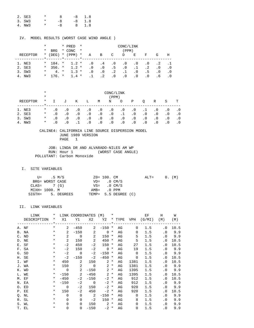| 2. SE3 | $\star$ | $\mathcal{B}$ | -8 1.8   |
|--------|---------|---------------|----------|
| 3. SW3 | $\star$ | -8            | $-8$ 1.8 |
| 4. NW3 | $\star$ | -8            | 8 1.8    |

#### IV. MODEL RESULTS (WORST CASE WIND ANGLE )

|          | *        |            |         | * PRED         | $\star$ |           |           |            | CONC/LINK |            |                 |           |            |
|----------|----------|------------|---------|----------------|---------|-----------|-----------|------------|-----------|------------|-----------------|-----------|------------|
|          | *        | <b>BRG</b> |         | * CONC         | $\star$ |           |           |            | (PPM)     |            |                 |           |            |
| RECEPTOR |          | $*$ (DEG)  |         | $*$ (PPM)      | $\star$ | Α         | B         | C          | D         | E          | F               | G         | H          |
|          |          |            | $\star$ | $\sim$ $\star$ |         |           |           |            |           |            |                 |           |            |
| 1. NE3   | $\star$  | 184. *     |         | $1.2*$         |         | $\cdot$ 0 | $\cdot$ 4 | $\cdot$ .0 | $\cdot$ 0 | . 0        | $\cdot$ 0       | . 2       |            |
| 2. SE3   | $\star$  | $356.$ *   |         | $1.2 *$        |         | $\cdot$ 0 | $\cdot$ 0 | . 5        | $\cdot$ 0 | $\cdot$ 1  | $\cdot$ 2       | $\cdot$ 0 | $\cdot$ .0 |
| 3. SW3   | $^\star$ | $4. *$     |         | $1.3 *$        |         | $\cdot$ 0 | $\cdot$ 0 | $\cdot$ 2  | $\cdot$ 1 | $.0 \cdot$ | .5 <sub>1</sub> | $\cdot$ 0 | . 0        |
| 4. NW3   | $\star$  | 176. *     |         | $1.4 *$        |         | $\cdot$ 1 | $\cdot$ 2 | $\cdot$ 0  | . 0       | . 0        | $\cdot$ 0       | . 6       | .0         |

|          | $^\star$ | CONC/LINK |           |           |           |           |           |           |           |           |           |           |           |  |
|----------|----------|-----------|-----------|-----------|-----------|-----------|-----------|-----------|-----------|-----------|-----------|-----------|-----------|--|
|          | $\star$  |           | (PPM)     |           |           |           |           |           |           |           |           |           |           |  |
| RECEPTOR | $\ast$   | $\perp$   | J         | Κ         | L         | M         | N         | $\circ$   | Ρ         | O         | R         | S         | т         |  |
| 1. NE3   | $\ast$   | . 0       | $\cdot$ 0 | $\cdot$ 0 | $\cdot$ 0 | $\cdot$ 0 | $\cdot$ 0 | $\cdot$ 0 | $\cdot$ 0 | .1        | $\cdot$ 0 | $\cdot$ 0 |           |  |
| 2. SE3   | $\ast$   | . 0       | $\cdot$ 0 | $\cdot$ 0 | $\cdot$ 0 | $\cdot$ 0 | $\cdot$ 0 | $\cdot$ 1 | $\cdot$ 0 | $\cdot$ 0 | $\cdot$ 0 | $\cdot$ 0 | $\cdot$ 0 |  |
| 3. SW3   | $\ast$   | . 0       | $\cdot$ 0 | $\cdot$ 0 | $\cdot$ 0 | $\cdot$ 0 | $\cdot$ 0 | $\cdot$ 0 | $\cdot$ 0 | $\cdot$ 0 | $\cdot$ 0 | $\cdot$ 0 | $\cdot$ 0 |  |
| NW3      | $\star$  | . 0       |           |           | . 0       | $\cdot$ 0 | $\cdot$ 0 | . 0       | $\cdot$ 0 | $\cdot$ 0 | $\cdot$ 0 |           |           |  |

#### CALINE4: CALIFORNIA LINE SOURCE DISPERSION MODEL JUNE 1989 VERSION PAGE 1

 JOB: LINDA DR AND ALVARADO-NILES AM WP RUN: Hour 1 (WORST CASE ANGLE) POLLUTANT: Carbon Monoxide

### I. SITE VARIABLES

| U= .5 M/S       |                   | $Z0 = 100$ . CM |                         | $ALT=$ |  | $0.$ (M) |
|-----------------|-------------------|-----------------|-------------------------|--------|--|----------|
| BRG= WORST CASE |                   |                 | $VD = 0 CM/S$           |        |  |          |
| $CLAS = 7(G)$   |                   |                 | $VS = 0 \, \text{CM/S}$ |        |  |          |
| MIXH= 1000. M   |                   | AMB= .0 PPM     |                         |        |  |          |
|                 | SIGTH= 5. DEGREES |                 | TEMP= 5.5 DEGREE (C)    |        |  |          |

| LINK        | $\star$ |                | LINK COORDINATES (M) *     |                            |                  |        |    | EF          | H      | W         |        |
|-------------|---------|----------------|----------------------------|----------------------------|------------------|--------|----|-------------|--------|-----------|--------|
| DESCRIPTION | $\star$ |                | X1 Y1 X2 Y2 * TYPE VPH     |                            |                  |        |    |             | (G/MI) | (M)       | (M)    |
|             |         |                |                            |                            |                  |        |    |             |        |           |        |
| A. NF       | $\star$ | $\mathbf{2}$   | $-450$                     | $\mathbf{2}$               | $-150$ *         |        | AG | $\Omega$    | 1.5    | $\cdot$ 0 | 10.5   |
| B. NA       | $\star$ | $\overline{a}$ | $-150$                     | 2                          | $0 *$            |        | AG | $\Omega$    | 1.5    | $\cdot$ 0 | 9.9    |
| C. ND       | $\star$ | 2              | $\overline{0}$             | 2                          | $150 *$          |        | AG | 5           | 1.5    |           | .0 9.9 |
| D. NE       | $\star$ | 2              | 150                        | $\overline{\phantom{0}}^2$ | 450              | $\ast$ | AG | 5           | 1.5    | $\cdot$ 0 | 10.5   |
| E. SF       | $\ast$  | $-2$           | 450                        | $-2$                       | 150 *            |        | AG | 27          | 1.5    | . 0       | 10.5   |
| F. SA       | $\star$ | $-2$           | 150                        | $-2$                       | $\overline{0}$ * |        | AG | 19          | 1.5    |           | .0 9.9 |
| G. SD       | $\ast$  | $-2$           | $\overline{0}$             | $-2$                       | $-150$ *         |        | AG | $\Omega$    | 1.5    |           | .0 9.9 |
| H. SE       | $\ast$  | $-2$           | $-150$                     | $-2$                       | $-450$ *         |        | AG | 0           | 1.5    | . 0       | 10.5   |
| I. WF       | $\ast$  | 450            | 2                          | 150                        | $2^*$            |        | AG | 1381        | 1.5    | $\cdot$ 0 | 10.5   |
| J. WA       | $\ast$  |                | 150 2                      | $\overline{0}$             | $2^*$            |        | AG | 1381        | 1.5    |           | .0 9.9 |
| K. WD       | $\star$ | $\overline{0}$ | $\overline{\phantom{a}}$ 2 |                            | $-150$ 2 *       |        | AG | 1395        | 1.5    |           | .0 9.9 |
| L. WE       | $\star$ |                | $-150$ 2                   |                            | $-450$ 2 *       |        | AG | 1395        | 1.5    | . 0       | 10.5   |
| M. EF       | $\star$ | $-450$         | $-2$                       | $-150$                     | $-2$ *           |        | AG | 912         | 1.5    | . 0       | 10.5   |
| N. EA       | $\star$ | $-150$         |                            | $-2$ 0                     | $-2$ *           |        | AG | 912         | 1.5    |           | .0 9.9 |
| O. ED       | $\star$ | $\overline{0}$ | $-2$                       | 150                        | $-2$ *           |        | AG | 920         | 1.5    | $\cdot$ 0 | 9.9    |
| P. EE       | $\star$ | 150            | $-2$                       | 450                        | $-2$ *           |        | AG | 920         | 1.5    | . 0       | 10.5   |
| Q. NL       | $\ast$  | $\Omega$       | $\Omega$                   | $\overline{\phantom{a}}$   | $-150$ *         |        | AG | $\mathbf 0$ | 1.5    | . 0       | 9.9    |
| R. SL       | $\star$ | $\Omega$       | $\Omega$                   | $-2$                       | $150 *$          |        | AG | 8           | 1.5    | . 0       | 9.9    |
| S. WL       | $\star$ | $\Omega$       | $\Omega$                   |                            | $150$ 2 $*$      |        | AG | 0           | 1.5    | $\cdot$ 0 | 9.9    |
| T. EL       | $\ast$  | $\Omega$       |                            | $\Omega$<br>$-150$         |                  | $-2$ * | AG | 0           | 1.5    | $\cdot$ 0 | 9.9    |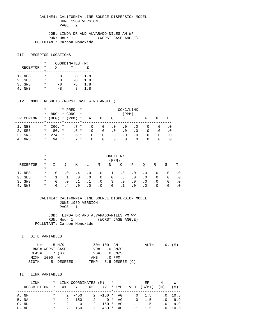JOB: LINDA DR AND ALVARADO-NILES AM WP RUN: Hour 1 (WORST CASE ANGLE) POLLUTANT: Carbon Monoxide

### III. RECEPTOR LOCATIONS

|                 | * | COORDINATES (M) |      |     |
|-----------------|---|-----------------|------|-----|
| <b>RECEPTOR</b> | * | X               | v    |     |
|                 |   |                 |      |     |
| 1. NE3          | * | я               | я    | 1.8 |
| 2. SE3          | * | я               | $-8$ | 1.8 |
| 3. SW3          | * | -8              | -8   | 1.8 |
| NW 3            |   | -8              | Χ    | 1.8 |

#### IV. MODEL RESULTS (WORST CASE WIND ANGLE )

|           | *       |            | * PRED    | $\star$ | CONC/LINK |           |           |           |           |           |           |     |  |  |  |
|-----------|---------|------------|-----------|---------|-----------|-----------|-----------|-----------|-----------|-----------|-----------|-----|--|--|--|
|           | *       | <b>BRG</b> | * CONC    | $\star$ |           |           |           | (PPM)     |           |           |           |     |  |  |  |
| RECEPTOR  | $\ast$  | (DEG)      | $*$ (PPM) | $\ast$  | Α         | В         | C         | D         | E         | F         | G         | Η   |  |  |  |
|           |         |            |           |         |           |           |           |           |           |           |           |     |  |  |  |
| 1. NE3    | $\star$ | $266.$ *   | $.7*$     |         | . 0       | . 0       | . 0       | . 0       | . 0       | $\cdot$ 0 | . 0       | . 0 |  |  |  |
| 2. SE3    | $\ast$  | $86. *$    | $.6*$     |         | $\cdot$ 0 | . 0       | $\cdot$ 0 | $\cdot$ 0 | . 0       | $\cdot$ 0 | $\cdot$ 0 | . 0 |  |  |  |
| 3. SW3    | $\star$ | $274.$ *   | $.6*$     |         | $\cdot$ 0 | . 0       | . 0       | $\cdot$ 0 | . 0       | $\cdot$ 0 | . 0       | . 0 |  |  |  |
| NW3<br>4. | $\ast$  | 94. *      | $7 *$     |         | . 0       | $\cdot$ 0 | $\cdot$ 0 | . 0       | $\cdot$ 0 | . 0       | . 0       |     |  |  |  |

|          | $^\star$ | CONC/LINK    |           |           |           |           |           |           |           |           |           |           |           |  |
|----------|----------|--------------|-----------|-----------|-----------|-----------|-----------|-----------|-----------|-----------|-----------|-----------|-----------|--|
|          | $\ast$   | (PPM)        |           |           |           |           |           |           |           |           |           |           |           |  |
| RECEPTOR | $^\star$ | $\mathbf{I}$ | J         | К         | L         | M         | N         | $\circ$   | Ρ         | $\circ$   | R         | S         | т         |  |
| 1. NE3   | $\ast$   | $\cdot$ 0    | $\cdot$ 0 | . 4       | $\cdot$ 0 | $\cdot$ 0 | $\cdot$ 1 | $\cdot$ 0 | $\cdot$ 0 | $\cdot$ 0 | $\cdot$ 0 | $\cdot$ 0 | . 0       |  |
| 2. SE3   | $\ast$   |              |           | $\cdot$ 0 | $\cdot$ 0 | . 0       | $\cdot$ 0 | $\cdot$ 3 | $\cdot$ 0 | $\cdot$ 0 | $\cdot$ 0 | $\cdot$ 0 | $\cdot$ 0 |  |
| 3. SW3   | $\ast$   | $\cdot$ 0    | $\cdot$ 0 |           |           | $\cdot$ 0 | $\cdot$ 3 | $\cdot$ 0 | $\cdot$ 0 | $\cdot$ 0 | $\cdot$ 0 | $\cdot$ 0 | $\cdot$ 0 |  |
| NW 3     | $\star$  | . 0          | $\Delta$  | $\cdot$ 0 | $\cdot$ 0 | . 0       | $\cdot$ 0 |           | $\cdot$ 0 | $\cdot$ 0 | $\cdot$ 0 | $\cdot$ 0 |           |  |

 CALINE4: CALIFORNIA LINE SOURCE DISPERSION MODEL JUNE 1989 VERSION PAGE 1

 JOB: LINDA DR AND ALVARADO-NILES PM WP RUN: Hour 1 (WORST CASE ANGLE) POLLUTANT: Carbon Monoxide

#### I. SITE VARIABLES

|               | U= .5 M/S       |                   | Z0= 100. CM   |                         | $ALT = 0. (M)$ |  |  |
|---------------|-----------------|-------------------|---------------|-------------------------|----------------|--|--|
|               | BRG= WORST CASE |                   |               | $VD = 0 CM/S$           |                |  |  |
| $CLAS = 7(G)$ |                 |                   |               | $VS = 0 \, \text{CM/S}$ |                |  |  |
|               | MIXH= 1000. M   |                   | $AMB = 0$ PPM |                         |                |  |  |
|               |                 | SIGTH= 5. DEGREES |               | TEMP= 5.5 DEGREE (C)    |                |  |  |

| LINK        |        |                  | * LINK COORDINATES (M)  |   | $\star$       |    |     | EF            | Н   | W               |
|-------------|--------|------------------|-------------------------|---|---------------|----|-----|---------------|-----|-----------------|
| DESCRIPTION |        | $\star$ $\chi$ 1 | Y1 X2 Y2 * TYPE         |   |               |    | VPH | (G/MI)        | (M) | (M)             |
|             |        |                  |                         |   |               |    |     |               |     |                 |
| A. NF       | $\ast$ |                  | $2 - 450$               |   | $2 -150 * AG$ |    |     | $0 \t 1.5$    |     | $.0$ 10.5       |
| B. NA       | $\ast$ |                  | $2 - 150$               |   | 2 $0 * AG$    |    |     | $0 \quad 1.5$ |     | $.0 \t9.9$      |
| C. ND       | $\ast$ |                  | $2^{\circ}$<br>$\Omega$ | 2 | $150 *$       | AG | 11  | 1.5           |     | $.0 \t9.9$      |
| D. NE       | *      | $\overline{2}$   | 150                     | 2 | 450 *         | AG | 11  | 1.5           |     | $.0 \quad 10.5$ |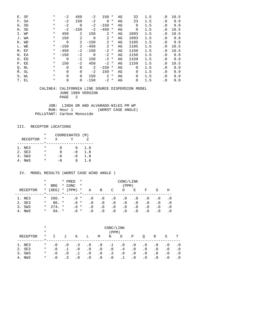|       | E. SF | $^\star$ | $-2$        | 450         | -2          | 150            | $^\star$ | ΑG | 32          | 1.5 | $\cdot$ 0 | 10.5 |
|-------|-------|----------|-------------|-------------|-------------|----------------|----------|----|-------------|-----|-----------|------|
|       | F. SA | $\ast$   | $-2$        | 150         | $-2$        | $\mathbf 0$    | $\ast$   | AG | 23          | 1.5 | $\cdot$ 0 | 9.9  |
|       | G. SD | $\ast$   | $-2$        | $\mathbf 0$ | $-2$        | $-150$         | $^\ast$  | AG | 0           | 1.5 | $\cdot$ 0 | 9.9  |
|       | H. SE | $^\star$ | $-2$        | $-150$      | $-2$        | $-450$         | $^\star$ | AG | 0           | 1.5 | $\cdot$ 0 | 10.5 |
|       | I. WF | $^\star$ | 450         | 2           | 150         | 2              | $\ast$   | AG | 1093        | 1.5 | $\cdot$ 0 | 10.5 |
|       | J. WA | $^\star$ | 150         | 2           | $\mathbf 0$ | 2              | $^\star$ | AG | 1093        | 1.5 | $\cdot$ 0 | 9.9  |
|       | K. WD | $^\star$ | $\mathbf 0$ | 2           | $-150$      | 2              | $\ast$   | AG | 1105        | 1.5 | . 0       | 9.9  |
|       | L. WE | $^\star$ | $-150$      | 2           | $-450$      | $\overline{2}$ | $\ast$   | AG | 1105        | 1.5 | $\cdot$ 0 | 10.5 |
|       | M. EF | $\ast$   | $-450$      | $-2$        | $-150$      | $-2$ *         |          | AG | 1150        | 1.5 | . 0       | 10.5 |
| N. EA |       | $^\star$ | $-150$      | $-2$        | 0           | $-2$ *         |          | AG | 1150        | 1.5 | . 0       | 9.9  |
|       | O. ED | $^\star$ | $\Omega$    | $-2$        | 150         | $-2$ *         |          | AG | 1159        | 1.5 | $\cdot$ 0 | 9.9  |
|       | P. EE | $^\star$ | 150         | -2          | 450         | $-2$ *         |          | AG | 1159        | 1.5 | . 0       | 10.5 |
|       | Q. NL | $^\star$ | $\Omega$    | 0           | 2           | $-150$         | $\ast$   | AG | 0           | 1.5 | $\cdot$ 0 | 9.9  |
|       | R. SL | $\ast$   | $\Omega$    | $\mathbf 0$ | $-2$        | 150            | $^\star$ | AG | 9           | 1.5 | $\cdot$ 0 | 9.9  |
|       | S. WL | $^\star$ | $\Omega$    | 0           | 150         | 2              | $\ast$   | AG | 0           | 1.5 | . 0       | 9.9  |
|       | T. EL | $^\star$ | 0           | $\mathbf 0$ | $-150$      | $-2$           | $^\star$ | AG | $\mathbf 0$ | 1.5 | $\cdot$ 0 | 9.9  |

 JOB: LINDA DR AND ALVARADO-NILES PM WP RUN: Hour 1 (WORST CASE ANGLE) POLLUTANT: Carbon Monoxide

## III. RECEPTOR LOCATIONS

|                 | * | COORDINATES (M) |      |     |
|-----------------|---|-----------------|------|-----|
| <b>RECEPTOR</b> | * | x               |      |     |
|                 |   |                 |      |     |
| 1. NE3          |   | я               | x    | 1.8 |
| 2. SE3          | * | я               | $-8$ | 1.8 |
| 3. SW3          | * | -8              | $-8$ | 1.8 |
| NW 3            |   | -8              | x    | 1.8 |

|          | $^\star$ |            | * PRED    | $\star$ | CONC/LINK |           |           |           |           |           |     |           |  |  |
|----------|----------|------------|-----------|---------|-----------|-----------|-----------|-----------|-----------|-----------|-----|-----------|--|--|
|          | *        | <b>BRG</b> | * CONC    | $\star$ |           |           |           | (PPM)     |           |           |     |           |  |  |
| RECEPTOR |          | $*$ (DEG)  | $*$ (PPM) | $\ast$  | Α         | В         | C         | D         | E         | F         | G   | Η         |  |  |
|          |          |            |           |         |           |           |           |           |           |           |     |           |  |  |
| 1. NE3   | $\star$  | $266.$ *   | .6 *      |         | . 0       | . 0       | . 0       | $\cdot$ 0 | $\cdot$ 0 | . 0       | . 0 | $\cdot$ 0 |  |  |
| 2. SE3   | $\ast$   | $86. *$    | $.6*$     |         | . 0       | $\cdot$ 0 | $\cdot$ 0 | $\cdot$ 0 | . 0       | $\cdot$ 0 | . 0 | . 0       |  |  |
| 3. SW3   | $\star$  | $274.$ *   | $.6*$     |         | . 0       | . 0       | $\cdot$ 0 | $\cdot$ 0 | . 0       | $\cdot$ 0 | . 0 | . 0       |  |  |
| 4. NW3   | $^\star$ | $94 *$     | $.6*$     |         | $\cdot$ 0 | $\cdot$ 0 | $\cdot$ 0 | $\cdot$ 0 | $\cdot$ 0 | $\cdot$ 0 | . 0 | . 0       |  |  |

|           | $\ast$<br>$\star$ |           |           |           |           |           | CONC/LINK<br>(PPM) |           |           |           |           |           |           |
|-----------|-------------------|-----------|-----------|-----------|-----------|-----------|--------------------|-----------|-----------|-----------|-----------|-----------|-----------|
| RECEPTOR  | $\ast$            |           | J         | Κ         | Ŀ         | М         | N                  | O         | Ρ         | Q         | R         | S         | т         |
| NE3<br>1. | $\ast$            | $\cdot$ 0 | $\cdot$ 0 | $\cdot$ 3 | $\cdot$ 0 | $\cdot$ 0 | .1                 | $\cdot$ 0 | $\cdot$ 0 | $\cdot$ 0 | $\cdot$ 0 | . 0       | $\cdot$ 0 |
| 2. SE3    | $\ast$            | $\cdot$ 0 |           | $\cdot$ 0 | $\cdot$ 0 | $\cdot$ 0 | $\cdot$ 0          | . 4       | $\cdot$ 0 | $\cdot$ 0 | $\cdot$ 0 | $\cdot$ 0 | . 0       |
| SW3<br>3. | $\ast$            | $\cdot$ 0 | $\cdot$ 0 |           | $\cdot$ 0 | $\cdot$ 0 | $\cdot$ 3          | $\cdot$ 0 | $\cdot$ 0 | $\cdot$ 0 | $\cdot$ 0 | $\cdot$ 0 | . 0       |
| NW3       | $\ast$            | . 0       |           | $\cdot$ 0 | $\cdot$ 0 | $\cdot$ 0 | $\cdot$ 0          |           | $\cdot$ 0 | $\cdot$ 0 | $\cdot$ 0 | $\cdot$ 0 |           |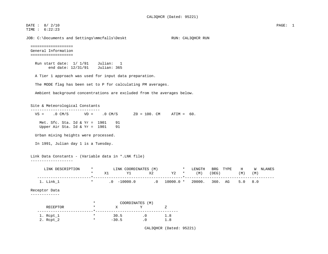DATE : 8/ 2/10 PAGE: 1 TIME : 6:22:23

JOB: C:\Documents and Settings\mmcfalls\Deskt RUN: CAL3QHCR RUN:

```
 ===================  General Information  ===================
```
 Run start date: 1/ 1/91 Julian: 1 end date: 12/31/91 Julian: 365

A Tier 1 approach was used for input data preparation.

The MODE flag has been set to P for calculating PM averages.

Ambient background concentrations are excluded from the averages below.

#### Site & Meteorological Constants

| $VS =$ .0 CM/S $VD =$ .0 CM/S $Z0 = 100$ . CM ATIM = 60.           |                                      |                                     |                                                              |           |                     |     |                |       |            |         |     |          |
|--------------------------------------------------------------------|--------------------------------------|-------------------------------------|--------------------------------------------------------------|-----------|---------------------|-----|----------------|-------|------------|---------|-----|----------|
| Met. Sfc. Sta. Id & $Yr = 1901$<br>Upper Air Sta. Id & Yr = $1901$ |                                      | 91<br>91                            |                                                              |           |                     |     |                |       |            |         |     |          |
| Urban mixing heights were processed.                               |                                      |                                     |                                                              |           |                     |     |                |       |            |         |     |          |
| In 1991, Julian day 1 is a Tuesday.                                |                                      |                                     |                                                              |           |                     |     |                |       |            |         |     |          |
| Link Data Constants - (Variable data in *.LNK file)                |                                      |                                     |                                                              |           |                     |     |                |       |            |         |     |          |
| ---------------                                                    |                                      |                                     |                                                              |           |                     |     |                |       |            |         |     |          |
|                                                                    |                                      |                                     |                                                              |           |                     |     |                |       |            |         |     |          |
| LINK DESCRIPTION                                                   | $\star$<br>$\ast$                    | LINK COORDINATES (M) * LENGTH<br>X1 | Y1                                                           |           | $X2 \t\t Y2 \t\t *$ |     | (M)            | (DEG) | BRG TYPE H | (M)     | (M) |          |
| $1.$ Link_1                                                        |                                      | * $0.0 -10000.0$ .0 10000.0 *       |                                                              |           |                     | -*- | 20000. 360. AG |       |            | 5.0 8.0 |     | W NLANES |
| Receptor Data                                                      |                                      |                                     |                                                              |           |                     |     |                |       |            |         |     |          |
|                                                                    | $^\star$                             |                                     |                                                              |           |                     |     |                |       |            |         |     |          |
| RECEPTOR                                                           | $^\star$                             | X                                   | COORDINATES (M)<br>Y                                         |           | Ζ                   |     |                |       |            |         |     |          |
| 1. Rcpt_1<br>2. Rcpt_2                                             | . * _ _<br>$\star$ $\sim$<br>$\star$ | 30.5<br>$-30.5$                     | -----------------------------<br>$\overline{\phantom{a}}$ .0 | $\cdot$ 0 | 1.8<br>1.8          |     |                |       |            |         |     |          |

CAL3QHCR (Dated: 95221)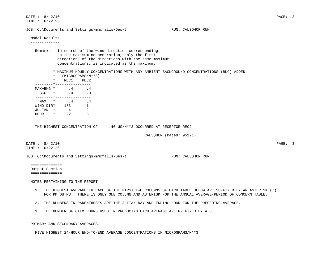DATE : 8/ 2/10 PAGE: 2 TIME : 6:22:23 JOB: C:\Documents and Settings\mmcfalls\Deskt RUN: CAL3QHCR RUN Model Results ------------- Remarks : In search of the wind direction corresponding to the maximum concentration, only the first direction, of the directions with the same maximum concentrations, is indicated as the maximum. \* MAXIMUM HOURLY CONCENTRATIONS WITH ANY AMBIENT BACKGROUND CONCENTRATIONS (BKG) ADDED \* (MICROGRAMS/M\*\*3) \* REC1 REC2 --------\*----------------  $MAX+BKG$  \*  $4$  . 4 - BKG \* .0  $\cdot$  0 --------\*---------------- MAX \* .4 .4 WIND DIR\* 183 1  $JULIAN * 4 2$  HOUR \* 22 8 THE HIGHEST CONCENTRATION OF .40 UG/M\*\*3 OCCURRED AT RECEPTOR REC2 CAL3QHCR (Dated: 95221) DATE : 8/ 2/10 PAGE: 3 TIME : 6:22:26 JOB: C:\Documents and Settings\mmcfalls\Deskt RUN: CAL3QHCR RUN ============== Output Section ============== NOTES PERTAINING TO THE REPORT 1. THE HIGHEST AVERAGE IN EACH OF THE FIRST TWO COLUMNS OF EACH TABLE BELOW ARE SUFFIXED BY AN ASTERISK (\*). FOR PM OUTPUT, THERE IS ONLY ONE COLUMN AND ASTERISK FOR THE ANNUAL AVERAGE/PERIOD OF CONCERN TABLE. 2. THE NUMBERS IN PARENTHESES ARE THE JULIAN DAY AND ENDING HOUR FOR THE PRECEDING AVERAGE. 3. THE NUMBER OF CALM HOURS USED IN PRODUCING EACH AVERAGE ARE PREFIXED BY A C. PRIMARY AND SECONDARY AVERAGES.

FIVE HIGHEST 24-HOUR END-TO-END AVERAGE CONCENTRATIONS IN MICROGRAMS/M\*\*3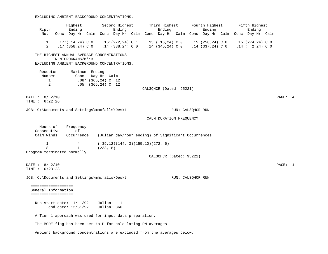EXCLUDING AMBIENT BACKGROUND CONCENTRATIONS.

| Highest<br>Ending<br>Reptr                             |                                               |                                                                      |  |                                     | Second Highest<br>Ending                 |  | Third Highest<br>Ending                                                 |                   | Fourth Highest<br>Ending                                                             |  | Fifth Highest<br>Ending                |         |  |
|--------------------------------------------------------|-----------------------------------------------|----------------------------------------------------------------------|--|-------------------------------------|------------------------------------------|--|-------------------------------------------------------------------------|-------------------|--------------------------------------------------------------------------------------|--|----------------------------------------|---------|--|
| No.                                                    |                                               |                                                                      |  |                                     |                                          |  |                                                                         |                   | Conc Day Hr Calm Conc Day Hr Calm Conc Day Hr Calm Conc Day Hr Calm Conc Day Hr Calm |  |                                        |         |  |
| $\mathbf{1}$<br>$\overline{2}$                         |                                               | $.17*(14,24)$ C 0<br>$.17(358, 24)$ C 0                              |  |                                     | $.16*(272,24)$ C 1<br>$.14$ (338,24) C 0 |  | .15 ( 15,24) C 0<br>$.14$ (345,24) C 0                                  |                   | .15 (256,24) C 0<br>$.14$ (337,24) C 0                                               |  | $.15(274,24)$ C 0<br>$.14$ ( 2,24) C 0 |         |  |
|                                                        |                                               | THE HIGHEST ANNUAL AVERAGE CONCENTRATIONS                            |  |                                     |                                          |  |                                                                         |                   |                                                                                      |  |                                        |         |  |
|                                                        |                                               | IN MICROGRAMS/M ** 3<br>EXCLUDING AMBIENT BACKGROUND CONCENTRATIONS. |  |                                     |                                          |  |                                                                         |                   |                                                                                      |  |                                        |         |  |
| Receptor<br>Number<br>$\mathbf{1}$                     |                                               | Maximum Ending<br>Conc                                               |  | Day Hr Calm<br>$.08*$ (365,24) C 12 |                                          |  |                                                                         |                   |                                                                                      |  |                                        |         |  |
| $\overline{2}$                                         |                                               |                                                                      |  | $.05$ $(365, 24)$ C 12              |                                          |  | CAL3QHCR (Dated: 95221)                                                 |                   |                                                                                      |  |                                        |         |  |
| DATE: 8/ 2/10                                          |                                               |                                                                      |  |                                     |                                          |  |                                                                         |                   |                                                                                      |  |                                        | PAGE: 4 |  |
| TIME : 6:22:26                                         |                                               |                                                                      |  |                                     |                                          |  |                                                                         |                   |                                                                                      |  |                                        |         |  |
|                                                        | JOB: C:\Documents and Settings\mmcfalls\Deskt |                                                                      |  |                                     |                                          |  |                                                                         | RUN: CAL3QHCR RUN |                                                                                      |  |                                        |         |  |
|                                                        |                                               |                                                                      |  |                                     |                                          |  | CALM DURATION FREQUENCY                                                 |                   |                                                                                      |  |                                        |         |  |
| Hours of<br>Consecutive<br>Calm Winds                  |                                               | Frequency<br>оf<br>Occurrence                                        |  |                                     |                                          |  | (Julian day/hour ending) of Significant Occurrences                     |                   |                                                                                      |  |                                        |         |  |
| $\mathbf 1$<br>8                                       |                                               | $\overline{4}$<br>$\mathbf{1}$                                       |  | (233, 8)                            | (39,12)(144, 3)(155,10)(272, 6)          |  |                                                                         |                   |                                                                                      |  |                                        |         |  |
| Program terminated normally                            |                                               |                                                                      |  |                                     |                                          |  | CAL3QHCR (Dated: 95221)                                                 |                   |                                                                                      |  |                                        |         |  |
| DATE: 8/ 2/10<br>TIME : 6:23:23                        |                                               |                                                                      |  |                                     |                                          |  |                                                                         |                   |                                                                                      |  |                                        | PAGE: 1 |  |
| JOB: C:\Documents and Settings\mmcfalls\Deskt          |                                               |                                                                      |  |                                     |                                          |  |                                                                         | RUN: CAL3QHCR RUN |                                                                                      |  |                                        |         |  |
| ===================<br>General Information             |                                               |                                                                      |  |                                     |                                          |  |                                                                         |                   |                                                                                      |  |                                        |         |  |
| ====================                                   |                                               |                                                                      |  |                                     |                                          |  |                                                                         |                   |                                                                                      |  |                                        |         |  |
|                                                        |                                               | Run start date: $1/1/92$<br>end date: 12/31/92                       |  | Julian:<br>Julian: 366              | $\mathbf{1}$                             |  |                                                                         |                   |                                                                                      |  |                                        |         |  |
| A Tier 1 approach was used for input data preparation. |                                               |                                                                      |  |                                     |                                          |  |                                                                         |                   |                                                                                      |  |                                        |         |  |
|                                                        |                                               | The MODE flag has been set to P for calculating PM averages.         |  |                                     |                                          |  |                                                                         |                   |                                                                                      |  |                                        |         |  |
|                                                        |                                               |                                                                      |  |                                     |                                          |  | Ambient background concentrations are excluded from the averages below. |                   |                                                                                      |  |                                        |         |  |
|                                                        |                                               |                                                                      |  |                                     |                                          |  |                                                                         |                   |                                                                                      |  |                                        |         |  |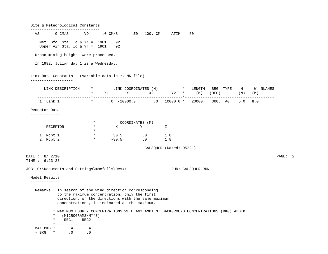Site & Meteorological Constants -------------------------------  $VS =$  .0  $CM/S$   $VD =$  .0  $CM/S$   $Z0 = 100$ .  $CM$  ATIM = 60. Met. Sfc. Sta. Id &  $Yr = 1901$  92 Upper Air Sta. Id & Yr =  $1901$  92 Urban mixing heights were processed. In 1992, Julian day 1 is a Wednesday. Link Data Constants - (Variable data in \*.LNK file) ------------------- LINK DESCRIPTION \* LINK COORDINATES (M) \* LENGTH BRG TYPE H W NLANES \* X1 Y1 X2 Y2 \* (M) (DEG) (M) (M) ------------------------\*----------------------------------------\*---------------------------------------- 1. Link\_1 \* .0 -10000.0 .0 10000.0 \* 20000. 360. AG 5.0 8.0 Receptor Data ------------- \* COORDINATES (M) RECEPTOR \* X Y Z -------------------------\*------------------------------------- 1. Rcpt\_1 \* 30.5 .0 1.8 2. Rcpt\_2 \* -30.5 .0 1.8 CAL3QHCR (Dated: 95221) DATE : 8/ 2/10 PAGE: 2 TIME : 6:23:23 JOB: C:\Documents and Settings\mmcfalls\Deskt RUN: CAL3QHCR RUN Model Results ------------- Remarks : In search of the wind direction corresponding to the maximum concentration, only the first direction, of the directions with the same maximum concentrations, is indicated as the maximum. \* MAXIMUM HOURLY CONCENTRATIONS WITH ANY AMBIENT BACKGROUND CONCENTRATIONS (BKG) ADDED \* (MICROGRAMS/M\*\*3) \* REC1 REC2 --------\*----------------  $MAX+BKG$  \* .4 .4 - BKG \* .0 .0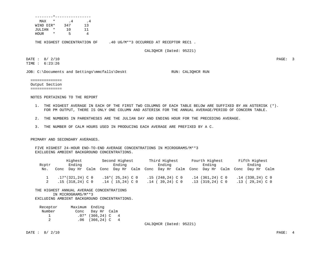| MAX       | *      | . 4 | . 4 |
|-----------|--------|-----|-----|
| WIND DIR* |        | 347 | 13  |
| JULIAN    | $\ast$ | 1 O |     |
| HOUR      | *      | 5   |     |
|           |        |     |     |

THE HIGHEST CONCENTRATION OF .40 UG/M\*\*3 OCCURRED AT RECEPTOR REC1.

CAL3QHCR (Dated: 95221)

DATE : 8/ 2/10 PAGE: 3 TIME : 6:23:26

JOB: C:\Documents and Settings\mmcfalls\Deskt RUN: CAL3QHCR RUN:

 ============== Output Section ==============

NOTES PERTAINING TO THE REPORT

- 1. THE HIGHEST AVERAGE IN EACH OF THE FIRST TWO COLUMNS OF EACH TABLE BELOW ARE SUFFIXED BY AN ASTERISK (\*). FOR PM OUTPUT, THERE IS ONLY ONE COLUMN AND ASTERISK FOR THE ANNUAL AVERAGE/PERIOD OF CONCERN TABLE.
- 2. THE NUMBERS IN PARENTHESES ARE THE JULIAN DAY AND ENDING HOUR FOR THE PRECEDING AVERAGE.
- 3. THE NUMBER OF CALM HOURS USED IN PRODUCING EACH AVERAGE ARE PREFIXED BY A C.

PRIMARY AND SECONDARY AVERAGES.

 FIVE HIGHEST 24-HOUR END-TO-END AVERAGE CONCENTRATIONS IN MICROGRAMS/M\*\*3 EXCLUDING AMBIENT BACKGROUND CONCENTRATIONS.

|     | Highest<br>Ending<br>Roptr |                   | Second Highest<br>Ending |                  |                   | Third Highest<br>Ending |      |                   | Fourth Highest<br>Ending |      |                    | Fifth Highest<br>Ending |      |                    |  |
|-----|----------------------------|-------------------|--------------------------|------------------|-------------------|-------------------------|------|-------------------|--------------------------|------|--------------------|-------------------------|------|--------------------|--|
|     |                            |                   |                          |                  |                   |                         |      |                   |                          |      |                    |                         |      |                    |  |
| No. | Conc                       | Dav Hr            | Calm                     | Conc             | Day Hr            | Calm                    | Conc | Day Hr            | Calm                     | Conc | Day Hr             | Calm                    | Conc | Day Hr Calm        |  |
|     |                            | .17*(321,24) C 0  |                          |                  | $.16*(25,24)$ C 0 |                         |      | $.15(248.24)$ C 0 |                          |      | $.14$ (361,24) C 0 |                         |      | $.14$ (330,24) C 0 |  |
|     |                            | $.15(318.24)$ C 0 |                          | .14 <sub>0</sub> | 15,24) C 0        |                         |      | $.14$ (39.24) C 0 |                          |      | $.13(319.24)$ C 0  |                         | .13  | 29,24) C 0         |  |

#### THE HIGHEST ANNUAL AVERAGE CONCENTRATIONS

IN MICROGRAMS/M\*\*3

EXCLUDING AMBIENT BACKGROUND CONCENTRATIONS.

| Receptor | Maximum Ending |                     |  |
|----------|----------------|---------------------|--|
| Number   |                | Conc Day Hr Calm    |  |
|          |                | $.07*$ (366,24) C 4 |  |
|          |                | $.06$ (366,24) C 4  |  |

CAL3QHCR (Dated: 95221)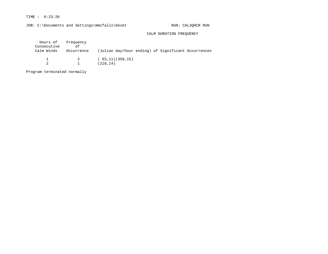## TIME : 6:23:26

JOB: C:\Documents and Settings\mmcfalls\Deskt RUN: CAL3QHCR RUN

### CALM DURATION FREQUENCY

| Hours of Frequency<br>Consecutive<br>Calm Winds | оf<br>Occurrence | (Julian day/hour ending) of Significant Occurrences |  |  |
|-------------------------------------------------|------------------|-----------------------------------------------------|--|--|
|                                                 | 2                | (63, 11)(350, 15)<br>(218, 14)                      |  |  |

Program terminated normally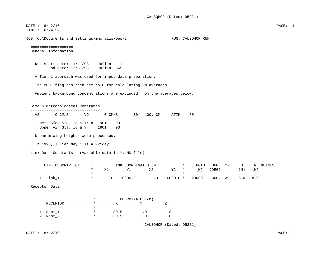| DATE: 8/ 2/10<br>TIME : 6:24:22<br>JOB: C:\Documents and Settings\mmcfalls\Deskt<br>RUN: CAL3QHCR RUN<br>===================<br>General Information<br>===================<br>Julian:<br>Run start date: $1/1/93$<br>-1<br>end date: $12/31/93$<br>Julian: 365<br>A Tier 1 approach was used for input data preparation.<br>The MODE flag has been set to P for calculating PM averages.<br>Ambient background concentrations are excluded from the averages below.<br>Site & Meteorological Constants<br>_______________________________<br>$VS = .0 \text{ CM/S}$<br>$VD = .0 CM/S$ $Z0 = 100. CM$ $ATIM = 60.$<br>Met. Sfc. Sta. Id & $Yr = 1901$<br>93<br>Upper Air Sta. Id & Yr = $1901$<br>93<br>Urban mixing heights were processed.<br>In 1993, Julian day 1 is a Friday.<br>Link Data Constants - (Variable data in *.LNK file)<br>----------------- |         |          |                                                     |      |        |          |     |          |  |
|---------------------------------------------------------------------------------------------------------------------------------------------------------------------------------------------------------------------------------------------------------------------------------------------------------------------------------------------------------------------------------------------------------------------------------------------------------------------------------------------------------------------------------------------------------------------------------------------------------------------------------------------------------------------------------------------------------------------------------------------------------------------------------------------------------------------------------------------------------------|---------|----------|-----------------------------------------------------|------|--------|----------|-----|----------|--|
|                                                                                                                                                                                                                                                                                                                                                                                                                                                                                                                                                                                                                                                                                                                                                                                                                                                               |         |          |                                                     |      |        |          |     |          |  |
|                                                                                                                                                                                                                                                                                                                                                                                                                                                                                                                                                                                                                                                                                                                                                                                                                                                               |         |          |                                                     |      |        |          |     |          |  |
|                                                                                                                                                                                                                                                                                                                                                                                                                                                                                                                                                                                                                                                                                                                                                                                                                                                               |         |          |                                                     |      |        |          |     |          |  |
|                                                                                                                                                                                                                                                                                                                                                                                                                                                                                                                                                                                                                                                                                                                                                                                                                                                               |         |          |                                                     |      |        |          |     |          |  |
|                                                                                                                                                                                                                                                                                                                                                                                                                                                                                                                                                                                                                                                                                                                                                                                                                                                               |         |          |                                                     |      |        |          |     |          |  |
|                                                                                                                                                                                                                                                                                                                                                                                                                                                                                                                                                                                                                                                                                                                                                                                                                                                               |         |          |                                                     |      |        |          |     |          |  |
|                                                                                                                                                                                                                                                                                                                                                                                                                                                                                                                                                                                                                                                                                                                                                                                                                                                               |         |          |                                                     |      |        |          |     |          |  |
|                                                                                                                                                                                                                                                                                                                                                                                                                                                                                                                                                                                                                                                                                                                                                                                                                                                               |         |          |                                                     |      |        |          |     |          |  |
|                                                                                                                                                                                                                                                                                                                                                                                                                                                                                                                                                                                                                                                                                                                                                                                                                                                               |         |          |                                                     |      |        |          |     |          |  |
|                                                                                                                                                                                                                                                                                                                                                                                                                                                                                                                                                                                                                                                                                                                                                                                                                                                               |         |          |                                                     |      |        |          |     |          |  |
|                                                                                                                                                                                                                                                                                                                                                                                                                                                                                                                                                                                                                                                                                                                                                                                                                                                               |         |          |                                                     |      |        |          |     |          |  |
|                                                                                                                                                                                                                                                                                                                                                                                                                                                                                                                                                                                                                                                                                                                                                                                                                                                               |         |          |                                                     |      |        |          |     |          |  |
|                                                                                                                                                                                                                                                                                                                                                                                                                                                                                                                                                                                                                                                                                                                                                                                                                                                               |         |          |                                                     |      |        |          |     |          |  |
|                                                                                                                                                                                                                                                                                                                                                                                                                                                                                                                                                                                                                                                                                                                                                                                                                                                               |         |          |                                                     |      |        |          |     |          |  |
|                                                                                                                                                                                                                                                                                                                                                                                                                                                                                                                                                                                                                                                                                                                                                                                                                                                               |         |          |                                                     |      |        |          |     |          |  |
|                                                                                                                                                                                                                                                                                                                                                                                                                                                                                                                                                                                                                                                                                                                                                                                                                                                               |         |          |                                                     |      |        |          |     |          |  |
|                                                                                                                                                                                                                                                                                                                                                                                                                                                                                                                                                                                                                                                                                                                                                                                                                                                               |         |          |                                                     |      |        |          |     |          |  |
| LINK DESCRIPTION                                                                                                                                                                                                                                                                                                                                                                                                                                                                                                                                                                                                                                                                                                                                                                                                                                              | $\star$ |          | LINK COORDINATES (M) *                              |      | LENGTH | BRG TYPE | H   | W NLANES |  |
|                                                                                                                                                                                                                                                                                                                                                                                                                                                                                                                                                                                                                                                                                                                                                                                                                                                               | $\ast$  | X1<br>Y1 | X2                                                  | Y2 * | (M)    | (DEG)    | (M) | (M)      |  |
| 1. Link_1                                                                                                                                                                                                                                                                                                                                                                                                                                                                                                                                                                                                                                                                                                                                                                                                                                                     |         |          | * $.0$ $-10000.0$ $.0$ $10000.0$ $*$ 20000. 360. AG |      |        |          | 5.0 | 8.0      |  |
| Receptor Data                                                                                                                                                                                                                                                                                                                                                                                                                                                                                                                                                                                                                                                                                                                                                                                                                                                 |         |          |                                                     |      |        |          |     |          |  |
| -------------                                                                                                                                                                                                                                                                                                                                                                                                                                                                                                                                                                                                                                                                                                                                                                                                                                                 |         |          |                                                     |      |        |          |     |          |  |
|                                                                                                                                                                                                                                                                                                                                                                                                                                                                                                                                                                                                                                                                                                                                                                                                                                                               | $\star$ |          | COORDINATES (M)                                     |      |        |          |     |          |  |
| RECEPTOR                                                                                                                                                                                                                                                                                                                                                                                                                                                                                                                                                                                                                                                                                                                                                                                                                                                      | $\star$ | X        | Y                                                   | Z    |        |          |     |          |  |
| 1. Rcpt_1                                                                                                                                                                                                                                                                                                                                                                                                                                                                                                                                                                                                                                                                                                                                                                                                                                                     | $\star$ | 30.5     | $\overline{\phantom{a}}$ .0                         | 1.8  |        |          |     |          |  |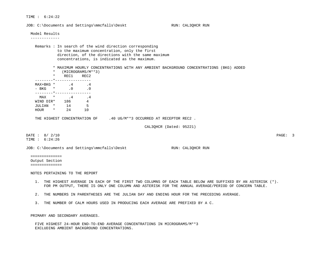TIME : 6:24:22

JOB: C:\Documents and Settings\mmcfalls\Deskt RUN: CAL3OHCR RUN: Model Results ------------- Remarks : In search of the wind direction corresponding to the maximum concentration, only the first direction, of the directions with the same maximum concentrations, is indicated as the maximum. \* MAXIMUM HOURLY CONCENTRATIONS WITH ANY AMBIENT BACKGROUND CONCENTRATIONS (BKG) ADDED \* (MICROGRAMS/M\*\*3) \* REC1 REC2 --------\*---------------- <code>MAX+BKG \*</code>  $.4$   $.4$ - BKG \* .0 .0 --------\*----------------  $MAX *$  .4 .4 WIND DIR<sup>\*</sup> 186  $\overline{4}$  JULIAN \* 14 5 HOUR \* 24 10 THE HIGHEST CONCENTRATION OF  $.40$  UG/M\*\*3 OCCURRED AT RECEPTOR REC2. CAL3QHCR (Dated: 95221) DATE : 8/ 2/10 PAGE: 3 TIME : 6:24:26 JOB: C:\Documents and Settings\mmcfalls\Deskt RUN: CAL3QHCR RUN: ============== Output Section ============== NOTES PERTAINING TO THE REPORT 1. THE HIGHEST AVERAGE IN EACH OF THE FIRST TWO COLUMNS OF EACH TABLE BELOW ARE SUFFIXED BY AN ASTERISK (\*). FOR PM OUTPUT, THERE IS ONLY ONE COLUMN AND ASTERISK FOR THE ANNUAL AVERAGE/PERIOD OF CONCERN TABLE. 2. THE NUMBERS IN PARENTHESES ARE THE JULIAN DAY AND ENDING HOUR FOR THE PRECEDING AVERAGE. 3. THE NUMBER OF CALM HOURS USED IN PRODUCING EACH AVERAGE ARE PREFIXED BY A C.

PRIMARY AND SECONDARY AVERAGES.

 FIVE HIGHEST 24-HOUR END-TO-END AVERAGE CONCENTRATIONS IN MICROGRAMS/M\*\*3 EXCLUDING AMBIENT BACKGROUND CONCENTRATIONS.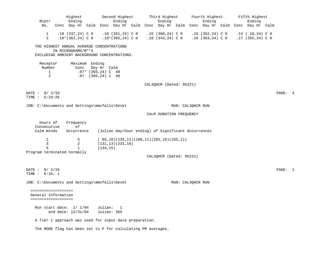|                                               | Highest                                                                              |                        | Second Highest                          |  | Third Highest                                       |                   | Fourth Highest                          |  | Fifth Highest                              |         |  |
|-----------------------------------------------|--------------------------------------------------------------------------------------|------------------------|-----------------------------------------|--|-----------------------------------------------------|-------------------|-----------------------------------------|--|--------------------------------------------|---------|--|
| Reptr                                         | Ending                                                                               |                        | Ending                                  |  | Ending                                              |                   | Ending                                  |  | Ending                                     |         |  |
| No.                                           | Conc Day Hr Calm Conc Day Hr Calm Conc Day Hr Calm Conc Day Hr Calm Conc Day Hr Calm |                        |                                         |  |                                                     |                   |                                         |  |                                            |         |  |
| $\mathbf{1}$<br>$\overline{2}$                | .19 (337,24) C 0<br>$.19*(362,24)$ C 0                                               |                        | $.18(351,24)$ C 0<br>$.18*(365,24)$ C 0 |  | $.15(360, 24)$ C 0<br>$.18$ (343,24) C 0            |                   | $.15(352,24)$ C 0<br>$.18$ (363,24) C 0 |  | $.14$ ( $18,24$ ) C 0<br>$.17(355,24)$ C 0 |         |  |
|                                               |                                                                                      |                        |                                         |  |                                                     |                   |                                         |  |                                            |         |  |
|                                               | THE HIGHEST ANNUAL AVERAGE CONCENTRATIONS<br>IN MICROGRAMS/M**3                      |                        |                                         |  |                                                     |                   |                                         |  |                                            |         |  |
|                                               | EXCLUDING AMBIENT BACKGROUND CONCENTRATIONS.                                         |                        |                                         |  |                                                     |                   |                                         |  |                                            |         |  |
| Receptor                                      | Maximum Ending                                                                       |                        |                                         |  |                                                     |                   |                                         |  |                                            |         |  |
| Number                                        | Conc                                                                                 | Day Hr Calm            |                                         |  |                                                     |                   |                                         |  |                                            |         |  |
| $\mathbf{1}$<br>$\overline{2}$                |                                                                                      | $.07*$ (365,24) C 40   |                                         |  |                                                     |                   |                                         |  |                                            |         |  |
|                                               |                                                                                      | $.07$ $(365, 24)$ C 40 |                                         |  |                                                     |                   |                                         |  |                                            |         |  |
|                                               |                                                                                      |                        |                                         |  | CAL3QHCR (Dated: 95221)                             |                   |                                         |  |                                            |         |  |
| DATE: 8/ 2/10                                 |                                                                                      |                        |                                         |  |                                                     |                   |                                         |  |                                            | PAGE: 4 |  |
| TIME : 6:24:26                                |                                                                                      |                        |                                         |  |                                                     |                   |                                         |  |                                            |         |  |
| JOB: C:\Documents and Settings\mmcfalls\Deskt |                                                                                      |                        |                                         |  |                                                     | RUN: CAL3QHCR RUN |                                         |  |                                            |         |  |
|                                               |                                                                                      |                        |                                         |  | CALM DURATION FREQUENCY                             |                   |                                         |  |                                            |         |  |
| Hours of                                      | Frequency                                                                            |                        |                                         |  |                                                     |                   |                                         |  |                                            |         |  |
| Consecutive                                   | оf                                                                                   |                        |                                         |  |                                                     |                   |                                         |  |                                            |         |  |
| Calm Winds                                    | Occurrence                                                                           |                        |                                         |  | (Julian day/hour ending) of Significant Occurrences |                   |                                         |  |                                            |         |  |
| $\mathbf 1$                                   | 5                                                                                    |                        |                                         |  | $(85,10)(132,11)(180,11)(202,16)(335,11)$           |                   |                                         |  |                                            |         |  |
| 3                                             | 2                                                                                    |                        | (131, 13) (231, 16)                     |  |                                                     |                   |                                         |  |                                            |         |  |
| 5<br>Program terminated normally              | $\mathbf{1}$                                                                         | (134, 15)              |                                         |  |                                                     |                   |                                         |  |                                            |         |  |
|                                               |                                                                                      |                        |                                         |  | CAL3QHCR (Dated: 95221)                             |                   |                                         |  |                                            |         |  |
|                                               |                                                                                      |                        |                                         |  |                                                     |                   |                                         |  |                                            |         |  |
| DATE: 8/ 2/10                                 |                                                                                      |                        |                                         |  |                                                     |                   |                                         |  |                                            | PAGE: 1 |  |
| TIME : 6:25: 1                                |                                                                                      |                        |                                         |  |                                                     |                   |                                         |  |                                            |         |  |
|                                               |                                                                                      |                        |                                         |  |                                                     |                   |                                         |  |                                            |         |  |
| JOB: C:\Documents and Settings\mmcfalls\Deskt |                                                                                      |                        |                                         |  |                                                     | RUN: CAL3QHCR RUN |                                         |  |                                            |         |  |
| ====================                          |                                                                                      |                        |                                         |  |                                                     |                   |                                         |  |                                            |         |  |
| General Information<br>====================   |                                                                                      |                        |                                         |  |                                                     |                   |                                         |  |                                            |         |  |
|                                               |                                                                                      |                        |                                         |  |                                                     |                   |                                         |  |                                            |         |  |
|                                               | Run start date: $1/1/94$<br>end date: 12/31/94                                       | Julian:<br>Julian: 365 | $\overline{1}$                          |  |                                                     |                   |                                         |  |                                            |         |  |
|                                               | A Tier 1 approach was used for input data preparation.                               |                        |                                         |  |                                                     |                   |                                         |  |                                            |         |  |
|                                               |                                                                                      |                        |                                         |  |                                                     |                   |                                         |  |                                            |         |  |
|                                               | The MODE flag has been set to P for calculating PM averages.                         |                        |                                         |  |                                                     |                   |                                         |  |                                            |         |  |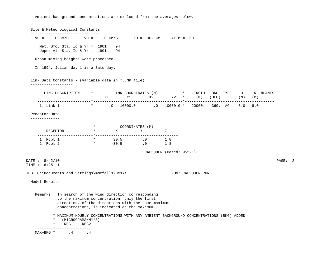Ambient background concentrations are excluded from the averages below.

 Site & Meteorological Constants -------------------------------  $VS =$  . 0 CM/S  $VD =$  . 0 CM/S  $Z0 = 100$ . CM ATIM = 60. Met. Sfc. Sta. Id & Yr = 1901 94 Upper Air Sta. Id & Yr =  $1901$  94 Urban mixing heights were processed. In 1994, Julian day 1 is a Saturday. Link Data Constants - (Variable data in \*.LNK file) ------------------- LINK DESCRIPTION \* LINK COORDINATES (M) \* LENGTH BRG TYPE H W NLANES \* X1 Y1 X2 Y2 \* (M) (DEG) (M) (M) ------------------------\*----------------------------------------\*---------------------------------------- 1. Link\_1 \* .0 -10000.0 .0 10000.0 \* 20000. 360. AG 5.0 8.0 Receptor Data ------------- \* COORDINATES (M) RECEPTOR  $\star$  X Y Z -------------------------\*------------------------------------- 1. Rcpt\_1 \* 30.5 .0 1.8 2. Rcpt\_2 \* –30.5 .0 1.8 CAL3QHCR (Dated: 95221) DATE : 8/ 2/10 PAGE: 2 TIME : 6:25: 1 JOB: C:\Documents and Settings\mmcfalls\Deskt RUN: CAL3QHCR RUN: Model Results ------------- Remarks : In search of the wind direction corresponding to the maximum concentration, only the first direction, of the directions with the same maximum concentrations, is indicated as the maximum. \* MAXIMUM HOURLY CONCENTRATIONS WITH ANY AMBIENT BACKGROUND CONCENTRATIONS (BKG) ADDED \* (MICROGRAMS/M\*\*3) \* REC1 REC2 --------\*---------------- MAX+BKG \* .4 .4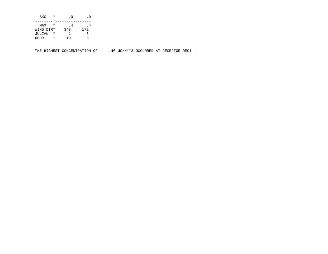| - BKG     | $^\star$ | . 0 |     |
|-----------|----------|-----|-----|
|           |          |     |     |
| MAX       | $\star$  | . 4 | . 4 |
| WIND DIR* |          | 348 | 172 |
| JULIAN    | $^\star$ |     | 3   |
| HOUR      | $\star$  | 1 Q |     |

THE HIGHEST CONCENTRATION OF .40 UG/M\*\*3 OCCURRED AT RECEPTOR REC1.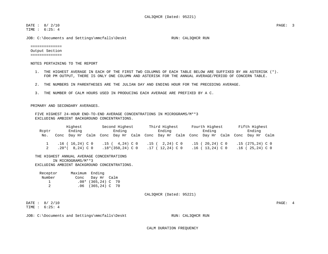DATE : 8/ 2/10 PAGE: 3 TIME : 6:25: 4

JOB: C:\Documents and Settings\mmcfalls\Deskt RUN: CAL3QHCR RUN:

 ============== Output Section ==============

NOTES PERTAINING TO THE REPORT

- 1. THE HIGHEST AVERAGE IN EACH OF THE FIRST TWO COLUMNS OF EACH TABLE BELOW ARE SUFFIXED BY AN ASTERISK (\*). FOR PM OUTPUT, THERE IS ONLY ONE COLUMN AND ASTERISK FOR THE ANNUAL AVERAGE/PERIOD OF CONCERN TABLE.
- 2. THE NUMBERS IN PARENTHESES ARE THE JULIAN DAY AND ENDING HOUR FOR THE PRECEDING AVERAGE.
- 3. THE NUMBER OF CALM HOURS USED IN PRODUCING EACH AVERAGE ARE PREFIXED BY A C.

PRIMARY AND SECONDARY AVERAGES.

 FIVE HIGHEST 24-HOUR END-TO-END AVERAGE CONCENTRATIONS IN MICROGRAMS/M\*\*3 EXCLUDING AMBIENT BACKGROUND CONCENTRATIONS.

|       |         | Highest               |      |      | Second Highest       |      |      | Third Highest |      |      | Fourth Highest        |      |      | Fifth Highest      |  |
|-------|---------|-----------------------|------|------|----------------------|------|------|---------------|------|------|-----------------------|------|------|--------------------|--|
| Roptr |         | Ending                |      |      | Ending               |      |      | Ending        |      |      | Ending                |      |      | Ending             |  |
| No.   | Conc    | Dav Hr                | Calm | Conc | Dav Hr               | Calm | Conc | Day Hr        | Calm | Conc | Day Hr                | Calm | Conc | Day Hr Calm        |  |
|       |         | $.16$ ( $16,24$ ) C 0 |      |      | $.15$ ( $4.24$ ) C 0 |      | .15( | 2,24) C 0     |      |      | $.15$ ( 20.24) C 0    |      |      | $.15(275, 24)$ C 0 |  |
|       | $.20*($ | 8,24) C 0             |      |      | $.18*(350, 24)$ C 0  |      | 17 ( | $(12,24)$ C O |      |      | $.16$ ( $13,24$ ) C 0 |      | .16  | 25,24) C 0         |  |

THE HIGHEST ANNUAL AVERAGE CONCENTRATIONS

IN MICROGRAMS/M\*\*3

EXCLUDING AMBIENT BACKGROUND CONCENTRATIONS.

| Receptor | Maximum Ending |                        |  |
|----------|----------------|------------------------|--|
| Number   | Conc           | Day Hr Calm            |  |
|          |                | $.08*$ (365,24) C 70   |  |
|          |                | $.06$ $(365, 24)$ C 70 |  |

CAL3QHCR (Dated: 95221)

DATE : 8/ 2/10 PAGE: 4 TIME : 6:25: 4

JOB: C:\Documents and Settings\mmcfalls\Deskt RUN: CAL3QHCR RUN

CALM DURATION FREQUENCY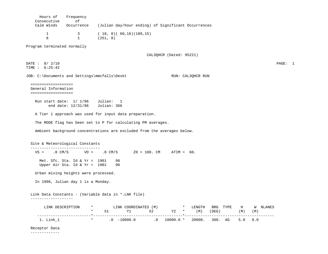| Consecutive                                                       | оf                                                                 |                                                                                                                                                                                                                                                                                                       |         |
|-------------------------------------------------------------------|--------------------------------------------------------------------|-------------------------------------------------------------------------------------------------------------------------------------------------------------------------------------------------------------------------------------------------------------------------------------------------------|---------|
| Calm Winds                                                        | Occurrence                                                         | (Julian day/hour ending) of Significant Occurrences                                                                                                                                                                                                                                                   |         |
| $\mathbf 1$<br>8                                                  | 3<br>$\mathbf{1}$                                                  | (18, 8) (60,16) (189,15)<br>(251, 8)                                                                                                                                                                                                                                                                  |         |
| Program terminated normally                                       |                                                                    |                                                                                                                                                                                                                                                                                                       |         |
|                                                                   |                                                                    | CAL3QHCR (Dated: 95221)                                                                                                                                                                                                                                                                               |         |
| DATE: 8/ 2/10<br>TIME : 6:25:42                                   |                                                                    |                                                                                                                                                                                                                                                                                                       | PAGE: 1 |
|                                                                   |                                                                    | JOB: C:\Documents and Settings\mmcfalls\Deskt<br>RUN: CAL3QHCR RUN                                                                                                                                                                                                                                    |         |
| ===================<br>General Information<br>=================== |                                                                    |                                                                                                                                                                                                                                                                                                       |         |
|                                                                   |                                                                    | Run start date: 1/ 1/96 Julian: 1                                                                                                                                                                                                                                                                     |         |
|                                                                   | end date: 12/31/96 Julian: 366                                     |                                                                                                                                                                                                                                                                                                       |         |
|                                                                   |                                                                    | A Tier 1 approach was used for input data preparation.                                                                                                                                                                                                                                                |         |
|                                                                   |                                                                    | The MODE flag has been set to P for calculating PM averages.                                                                                                                                                                                                                                          |         |
|                                                                   |                                                                    |                                                                                                                                                                                                                                                                                                       |         |
|                                                                   |                                                                    | Ambient background concentrations are excluded from the averages below.                                                                                                                                                                                                                               |         |
| Site & Meteorological Constants                                   |                                                                    |                                                                                                                                                                                                                                                                                                       |         |
| -------------------------------                                   |                                                                    | $VS =$ .0 CM/S $VD =$ .0 CM/S $Z0 = 100$ . CM ATIM = 60.                                                                                                                                                                                                                                              |         |
|                                                                   | Met. Sfc. Sta. Id & $Yr = 1901$<br>Upper Air Sta. Id & Yr = $1901$ | 96<br>96                                                                                                                                                                                                                                                                                              |         |
|                                                                   | Urban mixing heights were processed.                               |                                                                                                                                                                                                                                                                                                       |         |
|                                                                   | In 1996, Julian day 1 is a Monday.                                 |                                                                                                                                                                                                                                                                                                       |         |
|                                                                   |                                                                    |                                                                                                                                                                                                                                                                                                       |         |
|                                                                   |                                                                    | Link Data Constants - (Variable data in *.LNK file)                                                                                                                                                                                                                                                   |         |
| -------------------                                               |                                                                    |                                                                                                                                                                                                                                                                                                       |         |
|                                                                   |                                                                    | $\begin{array}{cccccccccc} \text{LINK DESCRIPTION} & \star & \text{LINK COORDINATES (M)} & \star & \text{LENGTH} & \text{BRG TYPE} & \text{H} & \text{W NLAMES} \\ & \star & \text{X1} & \text{Y1} & \text{X2} & \text{Y2} & \star & \text{(M)} & \text{(DEG)} & \text{(M)} & \text{(M)} \end{array}$ |         |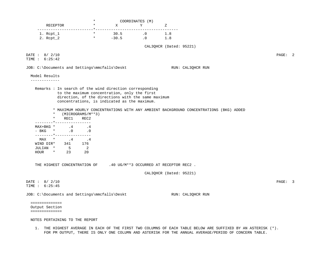|                                                                    |                                                                                                    | COORDINATES (M)             |                                                                                                           |                                                                                        |         |
|--------------------------------------------------------------------|----------------------------------------------------------------------------------------------------|-----------------------------|-----------------------------------------------------------------------------------------------------------|----------------------------------------------------------------------------------------|---------|
| RECEPTOR                                                           | $\star$<br>$\mathbf X$                                                                             | Y                           | Ζ                                                                                                         |                                                                                        |         |
| $1.$ $Rept_1$                                                      | $\star$<br>$30.5$ .0 1.8                                                                           |                             | -----------                                                                                               |                                                                                        |         |
| $\star$ and $\star$<br>2. Rcpt_2                                   | $-30.5$                                                                                            | $\overline{\phantom{a}}$ .0 | 1.8                                                                                                       |                                                                                        |         |
|                                                                    |                                                                                                    |                             | CAL3QHCR (Dated: 95221)                                                                                   |                                                                                        |         |
| DATE: 8/ 2/10                                                      |                                                                                                    |                             |                                                                                                           |                                                                                        | PAGE: 2 |
| TIME : 6:25:42                                                     |                                                                                                    |                             |                                                                                                           |                                                                                        |         |
| JOB: C:\Documents and Settings\mmcfalls\Deskt                      |                                                                                                    |                             | RUN: CAL3QHCR RUN                                                                                         |                                                                                        |         |
| Model Results                                                      |                                                                                                    |                             |                                                                                                           |                                                                                        |         |
| -------------                                                      |                                                                                                    |                             |                                                                                                           |                                                                                        |         |
| Remarks : In search of the wind direction corresponding            |                                                                                                    |                             |                                                                                                           |                                                                                        |         |
|                                                                    | to the maximum concentration, only the first<br>direction, of the directions with the same maximum |                             |                                                                                                           |                                                                                        |         |
|                                                                    | concentrations, is indicated as the maximum.                                                       |                             |                                                                                                           |                                                                                        |         |
|                                                                    |                                                                                                    |                             |                                                                                                           | * MAXIMUM HOURLY CONCENTRATIONS WITH ANY AMBIENT BACKGROUND CONCENTRATIONS (BKG) ADDED |         |
| $\ast$<br>(MICROGRAMS/M**3)                                        |                                                                                                    |                             |                                                                                                           |                                                                                        |         |
| $\star$<br>REC1<br>REC2                                            |                                                                                                    |                             |                                                                                                           |                                                                                        |         |
| ________*________________<br>$\cdot$ 4<br>MAX+BKG *<br>.4          |                                                                                                    |                             |                                                                                                           |                                                                                        |         |
| $\star$ 0.0<br>- BKG                                               |                                                                                                    |                             |                                                                                                           |                                                                                        |         |
| ________*_________________<br>MAX<br>$\star$ . 4 . 4               |                                                                                                    |                             |                                                                                                           |                                                                                        |         |
| 341 176<br>WIND DIR*                                               |                                                                                                    |                             |                                                                                                           |                                                                                        |         |
| $5^{\circ}$<br>$\overline{\phantom{a}}$<br>JULIAN *                |                                                                                                    |                             |                                                                                                           |                                                                                        |         |
| 23<br>20<br>HOUR<br>$\star$                                        |                                                                                                    |                             |                                                                                                           |                                                                                        |         |
| THE HIGHEST CONCENTRATION OF 40 UG/M**3 OCCURRED AT RECEPTOR REC2. |                                                                                                    |                             |                                                                                                           |                                                                                        |         |
|                                                                    |                                                                                                    |                             | CAL3QHCR (Dated: 95221)                                                                                   |                                                                                        |         |
|                                                                    |                                                                                                    |                             |                                                                                                           |                                                                                        |         |
| DATE : 8/ 2/10<br>TIME : 6:25:45                                   |                                                                                                    |                             |                                                                                                           |                                                                                        | PAGE: 3 |
|                                                                    |                                                                                                    |                             |                                                                                                           |                                                                                        |         |
| JOB: C:\Documents and Settings\mmcfalls\Deskt                      |                                                                                                    |                             | RUN: CAL3QHCR RUN                                                                                         |                                                                                        |         |
| ==============                                                     |                                                                                                    |                             |                                                                                                           |                                                                                        |         |
| Output Section                                                     |                                                                                                    |                             |                                                                                                           |                                                                                        |         |
| ==============                                                     |                                                                                                    |                             |                                                                                                           |                                                                                        |         |
| NOTES PERTAINING TO THE REPORT                                     |                                                                                                    |                             |                                                                                                           |                                                                                        |         |
|                                                                    |                                                                                                    |                             | THE HIGHEST AVERAGE IN EACH OF THE FIRST TWO COLUMNS OF EACH TABLE BELOW ARE SUFFIXED BY AN ASTERISK (*). |                                                                                        |         |

FOR PM OUTPUT, THERE IS ONLY ONE COLUMN AND ASTERISK FOR THE ANNUAL AVERAGE/PERIOD OF CONCERN TABLE.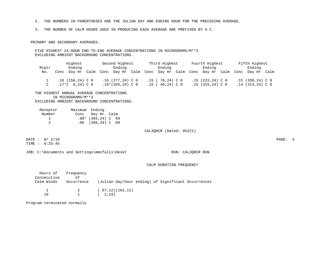2. THE NUMBERS IN PARENTHESES ARE THE JULIAN DAY AND ENDING HOUR FOR THE PRECEDING AVERAGE.

3. THE NUMBER OF CALM HOURS USED IN PRODUCING EACH AVERAGE ARE PREFIXED BY A C.

PRIMARY AND SECONDARY AVERAGES.

 FIVE HIGHEST 24-HOUR END-TO-END AVERAGE CONCENTRATIONS IN MICROGRAMS/M\*\*3 EXCLUDING AMBIENT BACKGROUND CONCENTRATIONS.

|       |         | Highest           |      |      | Second Highest     |           | Third Highest     |      |      | Fourth Highest    |      | Fifth Highest      |  |
|-------|---------|-------------------|------|------|--------------------|-----------|-------------------|------|------|-------------------|------|--------------------|--|
| Roptr |         | Ending            |      |      | Ending             |           | Ending            |      |      | Ending            |      | Ending             |  |
| No.   | Conc    | Dav Hr            | Calm | Conc | Day Hr             | Calm Conc | Day Hr            | Calm | Conc | Day Hr Calm       | Conc | Day Hr Calm        |  |
|       |         | $.16(156,24)$ C 0 |      |      | $.16$ (277,24) C 0 |           | $.15$ (76.24) C 0 |      |      | $.15(222,24)$ C 0 |      | $.15(330, 24)$ C 0 |  |
|       | $.17*($ | $6,24)$ C 0       |      |      | $.16*(355,24)$ C 0 | ا 15.     | 46,24) C 0        |      |      | $.15(315,24)$ C 0 |      | $.14$ (314,24) C 0 |  |

## THE HIGHEST ANNUAL AVERAGE CONCENTRATIONS IN MICROGRAMS/M\*\*3 EXCLUDING AMBIENT BACKGROUND CONCENTRATIONS.

| Receptor | Maximum Ending |                        |  |
|----------|----------------|------------------------|--|
| Number   | Conc           | Dav Hr  Calm           |  |
|          |                | $.08*$ (366,24) C 69   |  |
|          |                | $.06$ $(366, 24)$ C 69 |  |

CAL3QHCR (Dated: 95221)

 DATE : 8/ 2/10 PAGE: 4 TIME : 6:25:45

JOB: C:\Documents and Settings\mmcfalls\Deskt RUN: CAL3QHCR RUN

## CALM DURATION FREQUENCY

| Consecutive | Hours of Frequency<br>Ωf |                                                     |
|-------------|--------------------------|-----------------------------------------------------|
| Calm Winds  | Occurrence               | (Julian day/hour ending) of Significant Occurrences |
|             | $\overline{2}$           | (67,12)(162,11)                                     |
|             |                          | 2,19)                                               |

Program terminated normally